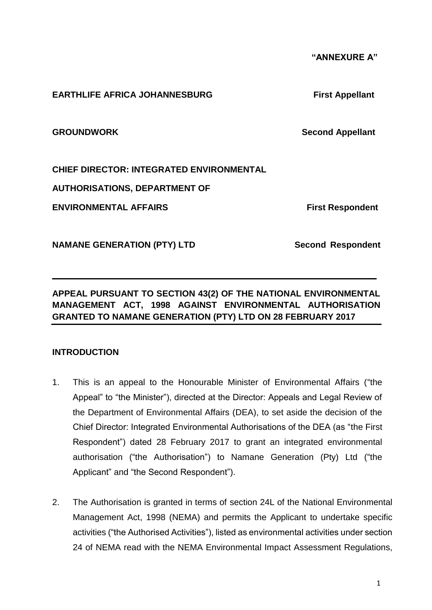1

 **"ANNEXURE A"**

#### **EARTHLIFE AFRICA JOHANNESBURG First Appellant**

**GROUNDWORK Second Appellant** 

**CHIEF DIRECTOR: INTEGRATED ENVIRONMENTAL** 

**AUTHORISATIONS, DEPARTMENT OF** 

**ENVIRONMENTAL AFFAIRS** First Respondent

**NAMANE GENERATION (PTY) LTD Second Respondent** 

**APPEAL PURSUANT TO SECTION 43(2) OF THE NATIONAL ENVIRONMENTAL MANAGEMENT ACT, 1998 AGAINST ENVIRONMENTAL AUTHORISATION GRANTED TO NAMANE GENERATION (PTY) LTD ON 28 FEBRUARY 2017**

**\_\_\_\_\_\_\_\_\_\_\_\_\_\_\_\_\_\_\_\_\_\_\_\_\_\_\_\_\_\_\_\_\_\_\_\_\_\_\_\_\_\_\_\_\_\_\_\_\_\_\_\_\_\_\_\_\_\_\_\_\_\_\_\_\_\_\_**

# **INTRODUCTION**

- 1. This is an appeal to the Honourable Minister of Environmental Affairs ("the Appeal" to "the Minister"), directed at the Director: Appeals and Legal Review of the Department of Environmental Affairs (DEA), to set aside the decision of the Chief Director: Integrated Environmental Authorisations of the DEA (as "the First Respondent") dated 28 February 2017 to grant an integrated environmental authorisation ("the Authorisation") to Namane Generation (Pty) Ltd ("the Applicant" and "the Second Respondent").
- 2. The Authorisation is granted in terms of section 24L of the National Environmental Management Act, 1998 (NEMA) and permits the Applicant to undertake specific activities ("the Authorised Activities"), listed as environmental activities under section 24 of NEMA read with the NEMA Environmental Impact Assessment Regulations,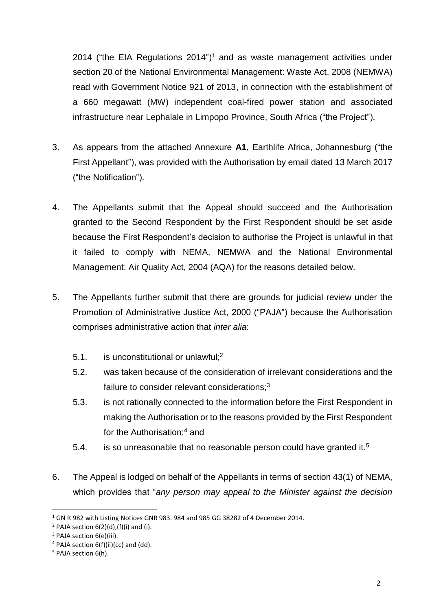2014 ("the EIA Regulations  $2014$ ")<sup>1</sup> and as waste management activities under section 20 of the National Environmental Management: Waste Act, 2008 (NEMWA) read with Government Notice 921 of 2013, in connection with the establishment of a 660 megawatt (MW) independent coal-fired power station and associated infrastructure near Lephalale in Limpopo Province, South Africa ("the Project").

- 3. As appears from the attached Annexure **A1**, Earthlife Africa, Johannesburg ("the First Appellant"), was provided with the Authorisation by email dated 13 March 2017 ("the Notification").
- 4. The Appellants submit that the Appeal should succeed and the Authorisation granted to the Second Respondent by the First Respondent should be set aside because the First Respondent's decision to authorise the Project is unlawful in that it failed to comply with NEMA, NEMWA and the National Environmental Management: Air Quality Act, 2004 (AQA) for the reasons detailed below.
- 5. The Appellants further submit that there are grounds for judicial review under the Promotion of Administrative Justice Act, 2000 ("PAJA") because the Authorisation comprises administrative action that *inter alia*:
	- 5.1. is unconstitutional or unlawful;<sup>2</sup>
	- 5.2. was taken because of the consideration of irrelevant considerations and the failure to consider relevant considerations;<sup>3</sup>
	- 5.3. is not rationally connected to the information before the First Respondent in making the Authorisation or to the reasons provided by the First Respondent for the Authorisation;<sup>4</sup> and
	- 5.4. is so unreasonable that no reasonable person could have granted it.<sup>5</sup>
- 6. The Appeal is lodged on behalf of the Appellants in terms of section 43(1) of NEMA, which provides that "*any person may appeal to the Minister against the decision*

 $\overline{\phantom{a}}$ 

<sup>&</sup>lt;sup>1</sup> GN R 982 with Listing Notices GNR 983. 984 and 985 GG 38282 of 4 December 2014.

 $2$  PAJA section 6(2)(d),(f)(i) and (i).

<sup>&</sup>lt;sup>3</sup> PAJA section 6(e)(iii).

 $4$  PAJA section 6(f)(ii)(cc) and (dd).

<sup>5</sup> PAJA section 6(h).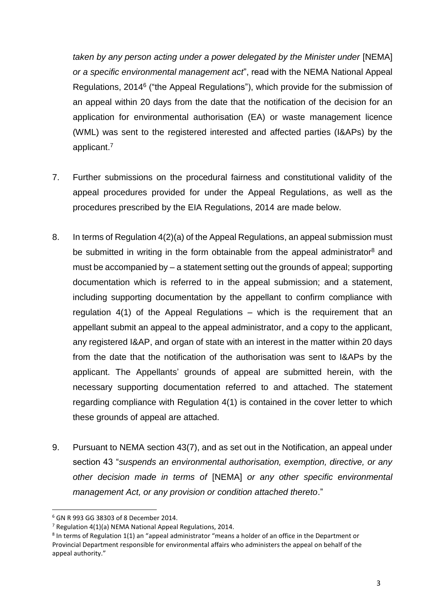*taken by any person acting under a power delegated by the Minister under* [NEMA] *or a specific environmental management act*", read with the NEMA National Appeal Regulations, 2014<sup>6</sup> ("the Appeal Regulations"), which provide for the submission of an appeal within 20 days from the date that the notification of the decision for an application for environmental authorisation (EA) or waste management licence (WML) was sent to the registered interested and affected parties (I&APs) by the applicant. 7

- 7. Further submissions on the procedural fairness and constitutional validity of the appeal procedures provided for under the Appeal Regulations, as well as the procedures prescribed by the EIA Regulations, 2014 are made below.
- 8. In terms of Regulation 4(2)(a) of the Appeal Regulations, an appeal submission must be submitted in writing in the form obtainable from the appeal administrator<sup>8</sup> and must be accompanied by – a statement setting out the grounds of appeal; supporting documentation which is referred to in the appeal submission; and a statement, including supporting documentation by the appellant to confirm compliance with regulation 4(1) of the Appeal Regulations – which is the requirement that an appellant submit an appeal to the appeal administrator, and a copy to the applicant, any registered I&AP, and organ of state with an interest in the matter within 20 days from the date that the notification of the authorisation was sent to I&APs by the applicant. The Appellants' grounds of appeal are submitted herein, with the necessary supporting documentation referred to and attached. The statement regarding compliance with Regulation 4(1) is contained in the cover letter to which these grounds of appeal are attached.
- 9. Pursuant to NEMA section 43(7), and as set out in the Notification, an appeal under section 43 "*suspends an environmental authorisation, exemption, directive, or any other decision made in terms of* [NEMA] *or any other specific environmental management Act, or any provision or condition attached thereto*."

 $\overline{\phantom{a}}$ 

<sup>6</sup> GN R 993 GG 38303 of 8 December 2014.

<sup>7</sup> Regulation 4(1)(a) NEMA National Appeal Regulations, 2014.

<sup>&</sup>lt;sup>8</sup> In terms of Regulation 1(1) an "appeal administrator "means a holder of an office in the Department or Provincial Department responsible for environmental affairs who administers the appeal on behalf of the appeal authority."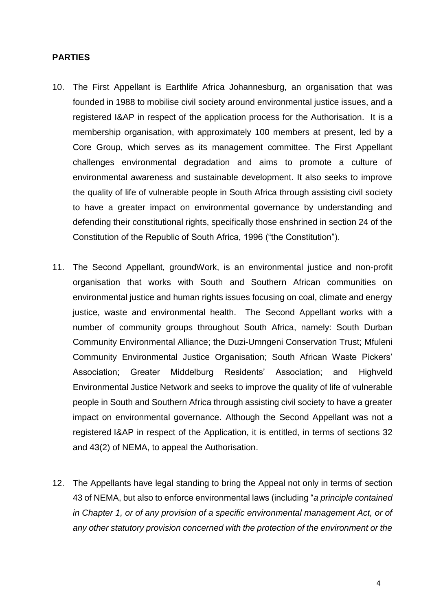#### **PARTIES**

- 10. The First Appellant is Earthlife Africa Johannesburg, an organisation that was founded in 1988 to mobilise civil society around environmental justice issues, and a registered I&AP in respect of the application process for the Authorisation. It is a membership organisation, with approximately 100 members at present, led by a Core Group, which serves as its management committee. The First Appellant challenges environmental degradation and aims to promote a culture of environmental awareness and sustainable development. It also seeks to improve the quality of life of vulnerable people in South Africa through assisting civil society to have a greater impact on environmental governance by understanding and defending their constitutional rights, specifically those enshrined in section 24 of the Constitution of the Republic of South Africa, 1996 ("the Constitution").
- 11. The Second Appellant, groundWork, is an environmental justice and non-profit organisation that works with South and Southern African communities on environmental justice and human rights issues focusing on coal, climate and energy justice, waste and environmental health. The Second Appellant works with a number of community groups throughout South Africa, namely: South Durban Community Environmental Alliance; the Duzi-Umngeni Conservation Trust; Mfuleni Community Environmental Justice Organisation; South African Waste Pickers' Association; Greater Middelburg Residents' Association; and Highveld Environmental Justice Network and seeks to improve the quality of life of vulnerable people in South and Southern Africa through assisting civil society to have a greater impact on environmental governance. Although the Second Appellant was not a registered I&AP in respect of the Application, it is entitled, in terms of sections 32 and 43(2) of NEMA, to appeal the Authorisation.
- 12. The Appellants have legal standing to bring the Appeal not only in terms of section 43 of NEMA, but also to enforce environmental laws (including "*a principle contained in Chapter 1, or of any provision of a specific environmental management Act, or of any other statutory provision concerned with the protection of the environment or the*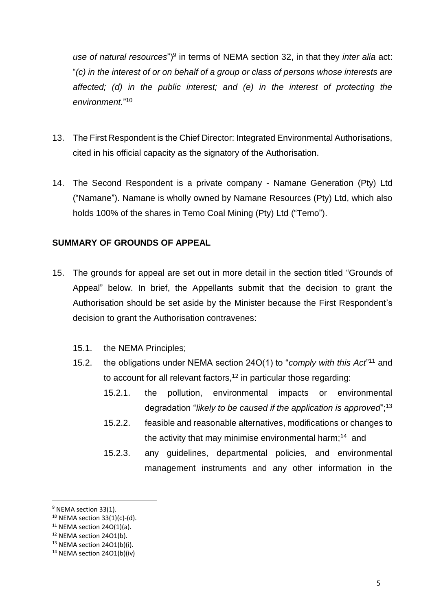use of natural resources")<sup>9</sup> in terms of NEMA section 32, in that they *inter alia* act: "*(c) in the interest of or on behalf of a group or class of persons whose interests are affected; (d) in the public interest; and (e) in the interest of protecting the environment.*" 10

- 13. The First Respondent is the Chief Director: Integrated Environmental Authorisations, cited in his official capacity as the signatory of the Authorisation.
- 14. The Second Respondent is a private company Namane Generation (Pty) Ltd ("Namane"). Namane is wholly owned by Namane Resources (Pty) Ltd, which also holds 100% of the shares in Temo Coal Mining (Pty) Ltd ("Temo").

# **SUMMARY OF GROUNDS OF APPEAL**

- 15. The grounds for appeal are set out in more detail in the section titled "Grounds of Appeal" below. In brief, the Appellants submit that the decision to grant the Authorisation should be set aside by the Minister because the First Respondent's decision to grant the Authorisation contravenes:
	- 15.1. the NEMA Principles;
	- 15.2. the obligations under NEMA section 24O(1) to "*comply with this Act*<sup>"11</sup> and to account for all relevant factors,  $12$  in particular those regarding:
		- 15.2.1. the pollution, environmental impacts or environmental degradation "*likely to be caused if the application is approved*";<sup>13</sup>
		- 15.2.2. feasible and reasonable alternatives, modifications or changes to the activity that may minimise environmental harm;<sup>14</sup> and
		- 15.2.3. any guidelines, departmental policies, and environmental management instruments and any other information in the

<sup>&</sup>lt;sup>9</sup> NEMA section 33(1).

 $10$  NEMA section 33(1)(c)-(d).

 $11$  NEMA section 24O(1)(a).

<sup>&</sup>lt;sup>12</sup> NEMA section 24O1(b).

<sup>13</sup> NEMA section 24O1(b)(i).

<sup>14</sup> NEMA section 24O1(b)(iv)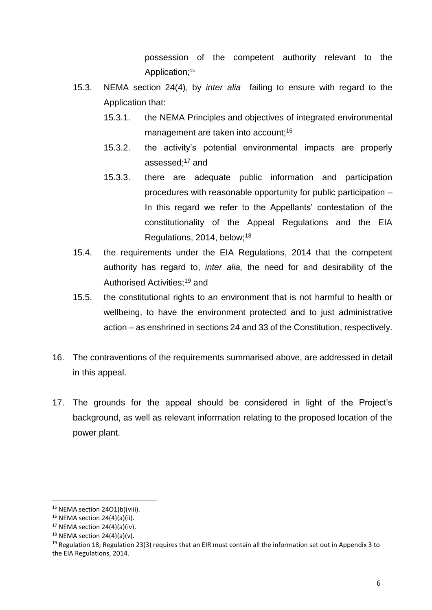possession of the competent authority relevant to the Application; 15

- 15.3. NEMA section 24(4), by *inter alia* failing to ensure with regard to the Application that:
	- 15.3.1. the NEMA Principles and objectives of integrated environmental management are taken into account;<sup>16</sup>
	- 15.3.2. the activity's potential environmental impacts are properly assessed;<sup>17</sup> and
	- 15.3.3. there are adequate public information and participation procedures with reasonable opportunity for public participation – In this regard we refer to the Appellants' contestation of the constitutionality of the Appeal Regulations and the EIA Regulations, 2014, below; 18
- 15.4. the requirements under the EIA Regulations, 2014 that the competent authority has regard to, *inter alia,* the need for and desirability of the Authorised Activities;<sup>19</sup> and
- 15.5. the constitutional rights to an environment that is not harmful to health or wellbeing, to have the environment protected and to just administrative action – as enshrined in sections 24 and 33 of the Constitution, respectively.
- 16. The contraventions of the requirements summarised above, are addressed in detail in this appeal.
- 17. The grounds for the appeal should be considered in light of the Project's background, as well as relevant information relating to the proposed location of the power plant.

<sup>&</sup>lt;sup>15</sup> NEMA section 24O1(b)(viii).

 $16$  NEMA section 24(4)(a)(ii).

 $17$  NEMA section 24(4)(a)(iv).

 $18$  NEMA section 24(4)(a)(v).

<sup>&</sup>lt;sup>19</sup> Regulation 18; Regulation 23(3) requires that an EIR must contain all the information set out in Appendix 3 to the EIA Regulations, 2014.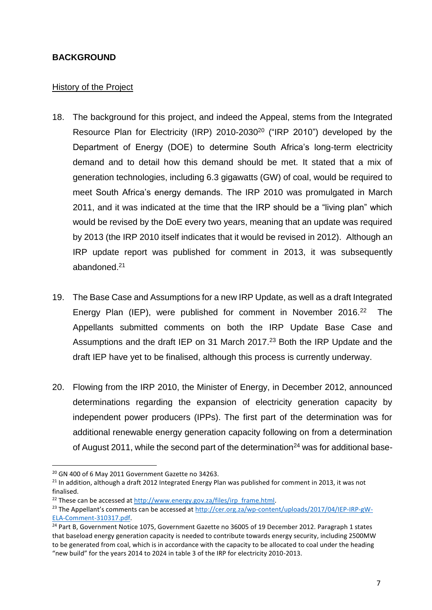#### **BACKGROUND**

#### History of the Project

- 18. The background for this project, and indeed the Appeal, stems from the Integrated Resource Plan for Electricity (IRP) 2010-2030<sup>20</sup> ("IRP 2010") developed by the Department of Energy (DOE) to determine South Africa's long-term electricity demand and to detail how this demand should be met. It stated that a mix of generation technologies, including 6.3 gigawatts (GW) of coal, would be required to meet South Africa's energy demands. The IRP 2010 was promulgated in March 2011, and it was indicated at the time that the IRP should be a "living plan" which would be revised by the DoE every two years, meaning that an update was required by 2013 (the IRP 2010 itself indicates that it would be revised in 2012). Although an IRP update report was published for comment in 2013, it was subsequently abandoned.<sup>21</sup>
- 19. The Base Case and Assumptions for a new IRP Update, as well as a draft Integrated Energy Plan (IEP), were published for comment in November 2016.<sup>22</sup> The Appellants submitted comments on both the IRP Update Base Case and Assumptions and the draft IEP on 31 March 2017.<sup>23</sup> Both the IRP Update and the draft IEP have yet to be finalised, although this process is currently underway.
- 20. Flowing from the IRP 2010, the Minister of Energy, in December 2012, announced determinations regarding the expansion of electricity generation capacity by independent power producers (IPPs). The first part of the determination was for additional renewable energy generation capacity following on from a determination of August 2011, while the second part of the determination<sup>24</sup> was for additional base-

<sup>20</sup> GN 400 of 6 May 2011 Government Gazette no 34263.

 $21$  In addition, although a draft 2012 Integrated Energy Plan was published for comment in 2013, it was not finalised.

<sup>&</sup>lt;sup>22</sup> These can be accessed at [http://www.energy.gov.za/files/irp\\_frame.html.](http://www.energy.gov.za/files/irp_frame.html)

<sup>&</sup>lt;sup>23</sup> The Appellant's comments can be accessed at [http://cer.org.za/wp-content/uploads/2017/04/IEP-IRP-gW-](http://cer.org.za/wp-content/uploads/2017/04/IEP-IRP-gW-ELA-Comment-310317.pdf)[ELA-Comment-310317.pdf.](http://cer.org.za/wp-content/uploads/2017/04/IEP-IRP-gW-ELA-Comment-310317.pdf)

<sup>&</sup>lt;sup>24</sup> Part B, Government Notice 1075, Government Gazette no 36005 of 19 December 2012. Paragraph 1 states that baseload energy generation capacity is needed to contribute towards energy security, including 2500MW to be generated from coal, which is in accordance with the capacity to be allocated to coal under the heading "new build" for the years 2014 to 2024 in table 3 of the IRP for electricity 2010-2013.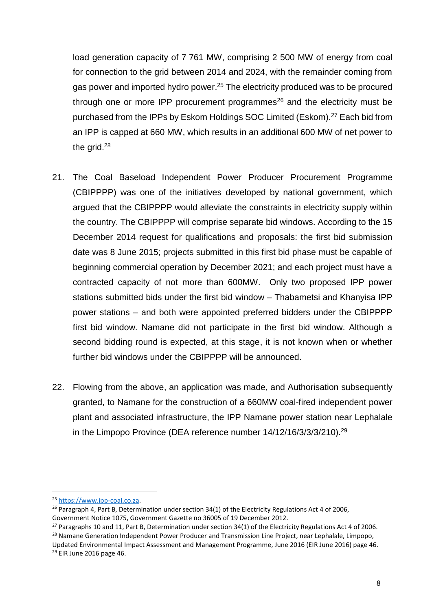load generation capacity of 7 761 MW, comprising 2 500 MW of energy from coal for connection to the grid between 2014 and 2024, with the remainder coming from gas power and imported hydro power.<sup>25</sup> The electricity produced was to be procured through one or more IPP procurement programmes $26$  and the electricity must be purchased from the IPPs by Eskom Holdings SOC Limited (Eskom).<sup>27</sup> Each bid from an IPP is capped at 660 MW, which results in an additional 600 MW of net power to the grid.<sup>28</sup>

- 21. The Coal Baseload Independent Power Producer Procurement Programme (CBIPPPP) was one of the initiatives developed by national government, which argued that the CBIPPPP would alleviate the constraints in electricity supply within the country. The CBIPPPP will comprise separate bid windows. According to the 15 December 2014 request for qualifications and proposals: the first bid submission date was 8 June 2015; projects submitted in this first bid phase must be capable of beginning commercial operation by December 2021; and each project must have a contracted capacity of not more than 600MW. Only two proposed IPP power stations submitted bids under the first bid window – Thabametsi and Khanyisa IPP power stations – and both were appointed preferred bidders under the CBIPPPP first bid window. Namane did not participate in the first bid window. Although a second bidding round is expected, at this stage, it is not known when or whether further bid windows under the CBIPPPP will be announced.
- 22. Flowing from the above, an application was made, and Authorisation subsequently granted, to Namane for the construction of a 660MW coal-fired independent power plant and associated infrastructure, the IPP Namane power station near Lephalale in the Limpopo Province (DEA reference number 14/12/16/3/3/3/210).<sup>29</sup>

 $\overline{\phantom{a}}$ 

<sup>25</sup> [https://www.ipp-coal.co.za.](https://www.ipp-coal.co.za/)

<sup>&</sup>lt;sup>26</sup> Paragraph 4, Part B, Determination under section 34(1) of the Electricity Regulations Act 4 of 2006, Government Notice 1075, Government Gazette no 36005 of 19 December 2012.

<sup>&</sup>lt;sup>27</sup> Paragraphs 10 and 11, Part B, Determination under section 34(1) of the Electricity Regulations Act 4 of 2006. <sup>28</sup> Namane Generation Independent Power Producer and Transmission Line Project, near Lephalale, Limpopo,

Updated Environmental Impact Assessment and Management Programme, June 2016 (EIR June 2016) page 46. <sup>29</sup> EIR June 2016 page 46.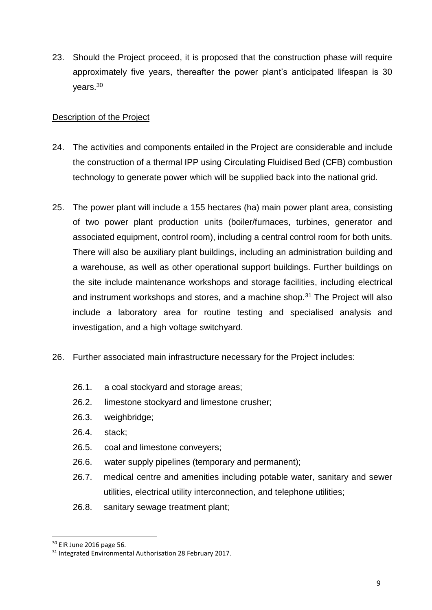23. Should the Project proceed, it is proposed that the construction phase will require approximately five years, thereafter the power plant's anticipated lifespan is 30 years.<sup>30</sup>

# Description of the Project

- 24. The activities and components entailed in the Project are considerable and include the construction of a thermal IPP using Circulating Fluidised Bed (CFB) combustion technology to generate power which will be supplied back into the national grid.
- 25. The power plant will include a 155 hectares (ha) main power plant area, consisting of two power plant production units (boiler/furnaces, turbines, generator and associated equipment, control room), including a central control room for both units. There will also be auxiliary plant buildings, including an administration building and a warehouse, as well as other operational support buildings. Further buildings on the site include maintenance workshops and storage facilities, including electrical and instrument workshops and stores, and a machine shop. $31$  The Project will also include a laboratory area for routine testing and specialised analysis and investigation, and a high voltage switchyard.
- 26. Further associated main infrastructure necessary for the Project includes:
	- 26.1. a coal stockyard and storage areas;
	- 26.2. limestone stockyard and limestone crusher;
	- 26.3. weighbridge;
	- 26.4. stack;
	- 26.5. coal and limestone conveyers;
	- 26.6. water supply pipelines (temporary and permanent);
	- 26.7. medical centre and amenities including potable water, sanitary and sewer utilities, electrical utility interconnection, and telephone utilities;
	- 26.8. sanitary sewage treatment plant;

<sup>30</sup> EIR June 2016 page 56.

<sup>&</sup>lt;sup>31</sup> Integrated Environmental Authorisation 28 February 2017.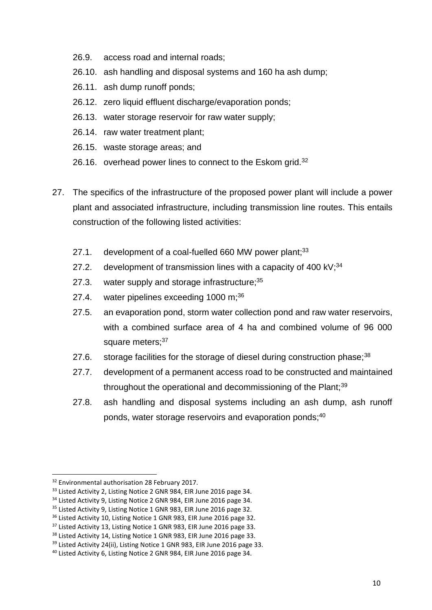- 26.9. access road and internal roads;
- 26.10. ash handling and disposal systems and 160 ha ash dump;
- 26.11. ash dump runoff ponds;
- 26.12. zero liquid effluent discharge/evaporation ponds;
- 26.13. water storage reservoir for raw water supply;
- 26.14. raw water treatment plant;
- 26.15. waste storage areas; and
- 26.16. overhead power lines to connect to the Eskom grid.<sup>32</sup>
- 27. The specifics of the infrastructure of the proposed power plant will include a power plant and associated infrastructure, including transmission line routes. This entails construction of the following listed activities:
	- 27.1. development of a coal-fuelled 660 MW power plant; $33$
	- 27.2. development of transmission lines with a capacity of 400 kV; $34$
	- 27.3. water supply and storage infrastructure;<sup>35</sup>
	- 27.4. water pipelines exceeding  $1000 \text{ m}$ ; 36
	- 27.5. an evaporation pond, storm water collection pond and raw water reservoirs, with a combined surface area of 4 ha and combined volume of 96 000 square meters;<sup>37</sup>
	- 27.6. storage facilities for the storage of diesel during construction phase;<sup>38</sup>
	- 27.7. development of a permanent access road to be constructed and maintained throughout the operational and decommissioning of the Plant;<sup>39</sup>
	- 27.8. ash handling and disposal systems including an ash dump, ash runoff ponds, water storage reservoirs and evaporation ponds;<sup>40</sup>

<sup>&</sup>lt;sup>32</sup> Environmental authorisation 28 February 2017.

<sup>&</sup>lt;sup>33</sup> Listed Activity 2, Listing Notice 2 GNR 984, EIR June 2016 page 34.

<sup>&</sup>lt;sup>34</sup> Listed Activity 9, Listing Notice 2 GNR 984, EIR June 2016 page 34.

<sup>&</sup>lt;sup>35</sup> Listed Activity 9, Listing Notice 1 GNR 983, EIR June 2016 page 32.

<sup>&</sup>lt;sup>36</sup> Listed Activity 10, Listing Notice 1 GNR 983, EIR June 2016 page 32.

<sup>&</sup>lt;sup>37</sup> Listed Activity 13, Listing Notice 1 GNR 983, EIR June 2016 page 33.

<sup>&</sup>lt;sup>38</sup> Listed Activity 14, Listing Notice 1 GNR 983, EIR June 2016 page 33.

<sup>&</sup>lt;sup>39</sup> Listed Activity 24(ii), Listing Notice 1 GNR 983, EIR June 2016 page 33.

<sup>40</sup> Listed Activity 6, Listing Notice 2 GNR 984, EIR June 2016 page 34.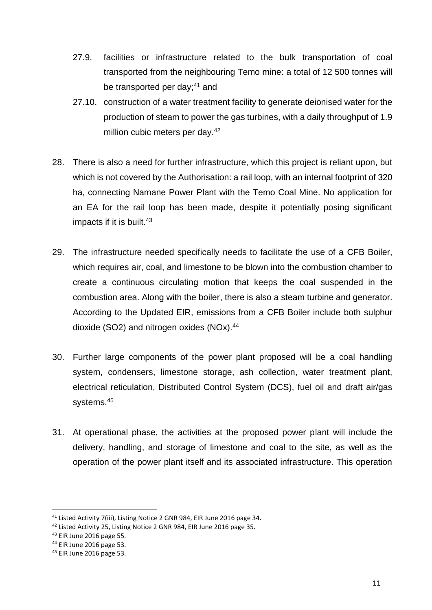- 27.9. facilities or infrastructure related to the bulk transportation of coal transported from the neighbouring Temo mine: a total of 12 500 tonnes will be transported per day;<sup>41</sup> and
- 27.10. construction of a water treatment facility to generate deionised water for the production of steam to power the gas turbines, with a daily throughput of 1.9 million cubic meters per day.<sup>42</sup>
- 28. There is also a need for further infrastructure, which this project is reliant upon, but which is not covered by the Authorisation: a rail loop, with an internal footprint of 320 ha, connecting Namane Power Plant with the Temo Coal Mine. No application for an EA for the rail loop has been made, despite it potentially posing significant impacts if it is built.<sup>43</sup>
- 29. The infrastructure needed specifically needs to facilitate the use of a CFB Boiler, which requires air, coal, and limestone to be blown into the combustion chamber to create a continuous circulating motion that keeps the coal suspended in the combustion area. Along with the boiler, there is also a steam turbine and generator. According to the Updated EIR, emissions from a CFB Boiler include both sulphur dioxide (SO2) and nitrogen oxides (NOx).<sup>44</sup>
- 30. Further large components of the power plant proposed will be a coal handling system, condensers, limestone storage, ash collection, water treatment plant, electrical reticulation, Distributed Control System (DCS), fuel oil and draft air/gas systems.<sup>45</sup>
- 31. At operational phase, the activities at the proposed power plant will include the delivery, handling, and storage of limestone and coal to the site, as well as the operation of the power plant itself and its associated infrastructure. This operation

 $\overline{\phantom{a}}$ 

<sup>&</sup>lt;sup>41</sup> Listed Activity 7(iii), Listing Notice 2 GNR 984, EIR June 2016 page 34.

<sup>42</sup> Listed Activity 25, Listing Notice 2 GNR 984, EIR June 2016 page 35.

<sup>43</sup> EIR June 2016 page 55.

<sup>44</sup> EIR June 2016 page 53.

<sup>45</sup> EIR June 2016 page 53.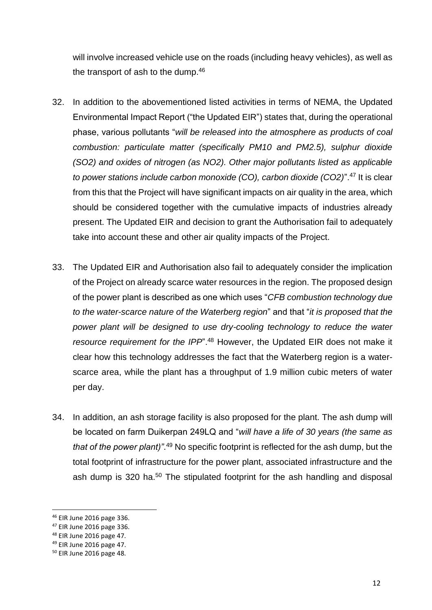will involve increased vehicle use on the roads (including heavy vehicles), as well as the transport of ash to the dump.<sup>46</sup>

- 32. In addition to the abovementioned listed activities in terms of NEMA, the Updated Environmental Impact Report ("the Updated EIR") states that, during the operational phase, various pollutants "*will be released into the atmosphere as products of coal combustion: particulate matter (specifically PM10 and PM2.5), sulphur dioxide (SO2) and oxides of nitrogen (as NO2). Other major pollutants listed as applicable to power stations include carbon monoxide (CO), carbon dioxide (CO2)*".<sup>47</sup> It is clear from this that the Project will have significant impacts on air quality in the area, which should be considered together with the cumulative impacts of industries already present. The Updated EIR and decision to grant the Authorisation fail to adequately take into account these and other air quality impacts of the Project.
- 33. The Updated EIR and Authorisation also fail to adequately consider the implication of the Project on already scarce water resources in the region. The proposed design of the power plant is described as one which uses "*CFB combustion technology due to the water-scarce nature of the Waterberg region*" and that "*it is proposed that the*  power plant will be designed to use dry-cooling technology to reduce the water *resource requirement for the IPP*".<sup>48</sup> However, the Updated EIR does not make it clear how this technology addresses the fact that the Waterberg region is a waterscarce area, while the plant has a throughput of 1.9 million cubic meters of water per day.
- 34. In addition, an ash storage facility is also proposed for the plant. The ash dump will be located on farm Duikerpan 249LQ and "*will have a life of 30 years (the same as*  that of the power plant)".<sup>49</sup> No specific footprint is reflected for the ash dump, but the total footprint of infrastructure for the power plant, associated infrastructure and the ash dump is 320 ha.<sup>50</sup> The stipulated footprint for the ash handling and disposal

 $\overline{a}$ 

<sup>46</sup> EIR June 2016 page 336.

<sup>47</sup> EIR June 2016 page 336.

<sup>48</sup> EIR June 2016 page 47.

<sup>49</sup> EIR June 2016 page 47.

<sup>50</sup> EIR June 2016 page 48.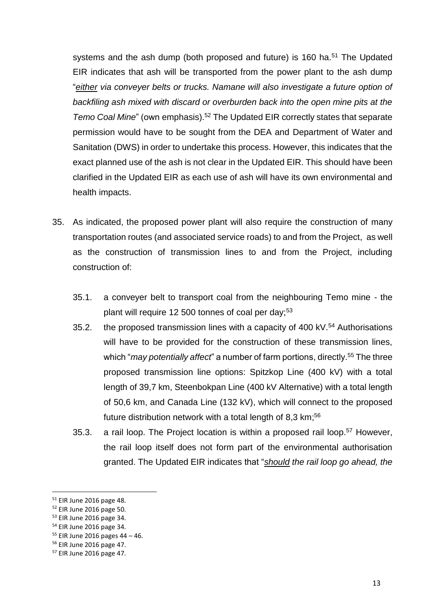systems and the ash dump (both proposed and future) is 160 ha.<sup>51</sup> The Updated EIR indicates that ash will be transported from the power plant to the ash dump "*either via conveyer belts or trucks. Namane will also investigate a future option of backfiling ash mixed with discard or overburden back into the open mine pits at the Temo Coal Mine*" (own emphasis).<sup>52</sup> The Updated EIR correctly states that separate permission would have to be sought from the DEA and Department of Water and Sanitation (DWS) in order to undertake this process. However, this indicates that the exact planned use of the ash is not clear in the Updated EIR. This should have been clarified in the Updated EIR as each use of ash will have its own environmental and health impacts.

- 35. As indicated, the proposed power plant will also require the construction of many transportation routes (and associated service roads) to and from the Project, as well as the construction of transmission lines to and from the Project, including construction of:
	- 35.1. a conveyer belt to transport coal from the neighbouring Temo mine the plant will require 12 500 tonnes of coal per day;<sup>53</sup>
	- 35.2. the proposed transmission lines with a capacity of 400 kV.<sup>54</sup> Authorisations will have to be provided for the construction of these transmission lines, which "*may potentially affect*" a number of farm portions, directly. <sup>55</sup> The three proposed transmission line options: Spitzkop Line (400 kV) with a total length of 39,7 km, Steenbokpan Line (400 kV Alternative) with a total length of 50,6 km, and Canada Line (132 kV), which will connect to the proposed future distribution network with a total length of 8,3 km;<sup>56</sup>
	- 35.3. a rail loop. The Project location is within a proposed rail loop.<sup>57</sup> However, the rail loop itself does not form part of the environmental authorisation granted. The Updated EIR indicates that "*should the rail loop go ahead, the*

 $\overline{a}$ 

<sup>51</sup> EIR June 2016 page 48.

<sup>52</sup> EIR June 2016 page 50.

<sup>53</sup> EIR June 2016 page 34.

<sup>54</sup> EIR June 2016 page 34.

<sup>55</sup> EIR June 2016 pages 44 – 46.

<sup>56</sup> EIR June 2016 page 47.

<sup>57</sup> EIR June 2016 page 47.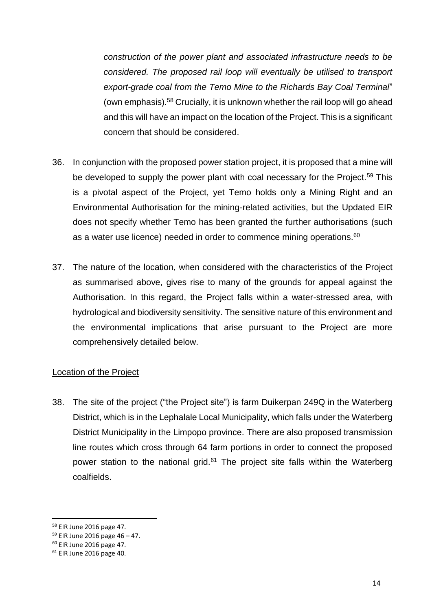*construction of the power plant and associated infrastructure needs to be considered. The proposed rail loop will eventually be utilised to transport export-grade coal from the Temo Mine to the Richards Bay Coal Terminal*" (own emphasis).<sup>58</sup> Crucially, it is unknown whether the rail loop will go ahead and this will have an impact on the location of the Project. This is a significant concern that should be considered.

- 36. In conjunction with the proposed power station project, it is proposed that a mine will be developed to supply the power plant with coal necessary for the Project.<sup>59</sup> This is a pivotal aspect of the Project, yet Temo holds only a Mining Right and an Environmental Authorisation for the mining-related activities, but the Updated EIR does not specify whether Temo has been granted the further authorisations (such as a water use licence) needed in order to commence mining operations.<sup>60</sup>
- 37. The nature of the location, when considered with the characteristics of the Project as summarised above, gives rise to many of the grounds for appeal against the Authorisation. In this regard, the Project falls within a water-stressed area, with hydrological and biodiversity sensitivity. The sensitive nature of this environment and the environmental implications that arise pursuant to the Project are more comprehensively detailed below.

#### Location of the Project

38. The site of the project ("the Project site") is farm Duikerpan 249Q in the Waterberg District, which is in the Lephalale Local Municipality, which falls under the Waterberg District Municipality in the Limpopo province. There are also proposed transmission line routes which cross through 64 farm portions in order to connect the proposed power station to the national grid. $61$  The project site falls within the Waterberg coalfields.

<sup>58</sup> EIR June 2016 page 47.

 $59$  EIR June 2016 page 46 – 47.

<sup>60</sup> EIR June 2016 page 47.

<sup>61</sup> EIR June 2016 page 40.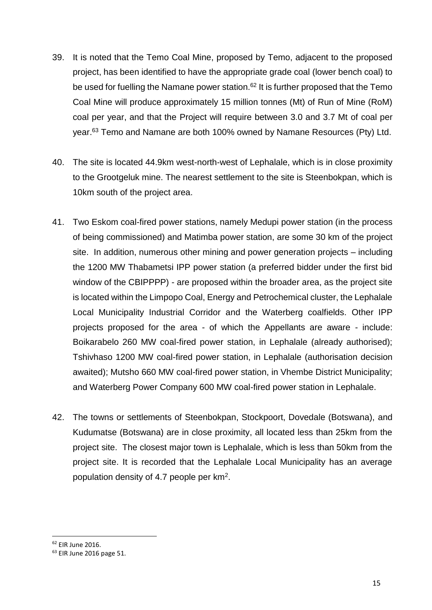- 39. It is noted that the Temo Coal Mine, proposed by Temo, adjacent to the proposed project, has been identified to have the appropriate grade coal (lower bench coal) to be used for fuelling the Namane power station.<sup>62</sup> It is further proposed that the Temo Coal Mine will produce approximately 15 million tonnes (Mt) of Run of Mine (RoM) coal per year, and that the Project will require between 3.0 and 3.7 Mt of coal per vear.<sup>63</sup> Temo and Namane are both 100% owned by Namane Resources (Pty) Ltd.
- 40. The site is located 44.9km west-north-west of Lephalale, which is in close proximity to the Grootgeluk mine. The nearest settlement to the site is Steenbokpan, which is 10km south of the project area.
- 41. Two Eskom coal-fired power stations, namely Medupi power station (in the process of being commissioned) and Matimba power station, are some 30 km of the project site. In addition, numerous other mining and power generation projects – including the 1200 MW Thabametsi IPP power station (a preferred bidder under the first bid window of the CBIPPPP) - are proposed within the broader area, as the project site is located within the Limpopo Coal, Energy and Petrochemical cluster, the Lephalale Local Municipality Industrial Corridor and the Waterberg coalfields. Other IPP projects proposed for the area - of which the Appellants are aware - include: Boikarabelo 260 MW coal-fired power station, in Lephalale (already authorised); Tshivhaso 1200 MW coal-fired power station, in Lephalale (authorisation decision awaited); Mutsho 660 MW coal-fired power station, in Vhembe District Municipality; and Waterberg Power Company 600 MW coal-fired power station in Lephalale.
- 42. The towns or settlements of Steenbokpan, Stockpoort, Dovedale (Botswana), and Kudumatse (Botswana) are in close proximity, all located less than 25km from the project site. The closest major town is Lephalale, which is less than 50km from the project site. It is recorded that the Lephalale Local Municipality has an average population density of 4.7 people per km<sup>2</sup>.

<sup>62</sup> EIR June 2016.

<sup>63</sup> EIR June 2016 page 51.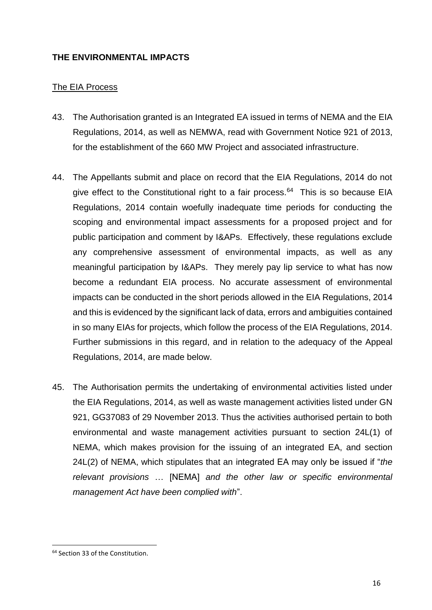#### **THE ENVIRONMENTAL IMPACTS**

#### The EIA Process

- 43. The Authorisation granted is an Integrated EA issued in terms of NEMA and the EIA Regulations, 2014, as well as NEMWA, read with Government Notice 921 of 2013, for the establishment of the 660 MW Project and associated infrastructure.
- 44. The Appellants submit and place on record that the EIA Regulations, 2014 do not give effect to the Constitutional right to a fair process.<sup>64</sup> This is so because EIA Regulations, 2014 contain woefully inadequate time periods for conducting the scoping and environmental impact assessments for a proposed project and for public participation and comment by I&APs. Effectively, these regulations exclude any comprehensive assessment of environmental impacts, as well as any meaningful participation by I&APs. They merely pay lip service to what has now become a redundant EIA process. No accurate assessment of environmental impacts can be conducted in the short periods allowed in the EIA Regulations, 2014 and this is evidenced by the significant lack of data, errors and ambiguities contained in so many EIAs for projects, which follow the process of the EIA Regulations, 2014. Further submissions in this regard, and in relation to the adequacy of the Appeal Regulations, 2014, are made below.
- 45. The Authorisation permits the undertaking of environmental activities listed under the EIA Regulations, 2014, as well as waste management activities listed under GN 921, GG37083 of 29 November 2013. Thus the activities authorised pertain to both environmental and waste management activities pursuant to section 24L(1) of NEMA, which makes provision for the issuing of an integrated EA, and section 24L(2) of NEMA, which stipulates that an integrated EA may only be issued if "*the relevant provisions* … [NEMA] *and the other law or specific environmental management Act have been complied with*".

<sup>64</sup> Section 33 of the Constitution.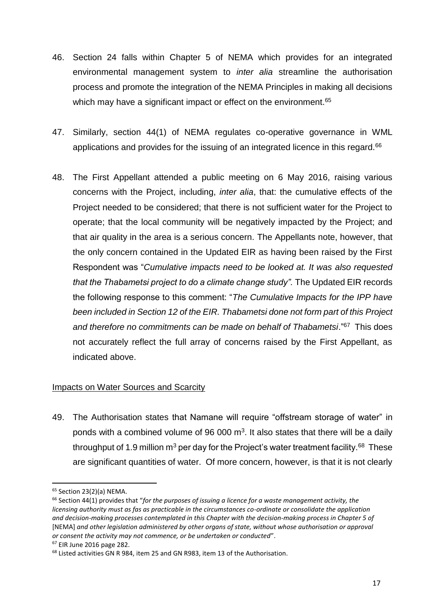- 46. Section 24 falls within Chapter 5 of NEMA which provides for an integrated environmental management system to *inter alia* streamline the authorisation process and promote the integration of the NEMA Principles in making all decisions which may have a significant impact or effect on the environment.<sup>65</sup>
- 47. Similarly, section 44(1) of NEMA regulates co-operative governance in WML applications and provides for the issuing of an integrated licence in this regard.<sup>66</sup>
- 48. The First Appellant attended a public meeting on 6 May 2016, raising various concerns with the Project, including, *inter alia*, that: the cumulative effects of the Project needed to be considered; that there is not sufficient water for the Project to operate; that the local community will be negatively impacted by the Project; and that air quality in the area is a serious concern. The Appellants note, however, that the only concern contained in the Updated EIR as having been raised by the First Respondent was "*Cumulative impacts need to be looked at. It was also requested that the Thabametsi project to do a climate change study".* The Updated EIR records the following response to this comment: "*The Cumulative Impacts for the IPP have been included in Section 12 of the EIR. Thabametsi done not form part of this Project*  and therefore no commitments can be made on behalf of Thabametsi."<sup>67</sup> This does not accurately reflect the full array of concerns raised by the First Appellant, as indicated above.

## Impacts on Water Sources and Scarcity

49. The Authorisation states that Namane will require "offstream storage of water" in ponds with a combined volume of 96 000  $m<sup>3</sup>$ . It also states that there will be a daily throughput of 1.9 million m<sup>3</sup> per day for the Project's water treatment facility.<sup>68</sup> These are significant quantities of water. Of more concern, however, is that it is not clearly

**.** 

<sup>67</sup> EIR June 2016 page 282.

<sup>65</sup> Section 23(2)(a) NEMA.

<sup>66</sup> Section 44(1) provides that "*for the purposes of issuing a licence for a waste management activity, the licensing authority must as fas as practicable in the circumstances co-ordinate or consolidate the application and decision-making processes contemplated in this Chapter with the decision-making process in Chapter 5 of*  [NEMA] *and other legislation administered by other organs of state, without whose authorisation or approval or consent the activity may not commence, or be undertaken or conducted*".

<sup>68</sup> Listed activities GN R 984, item 25 and GN R983, item 13 of the Authorisation.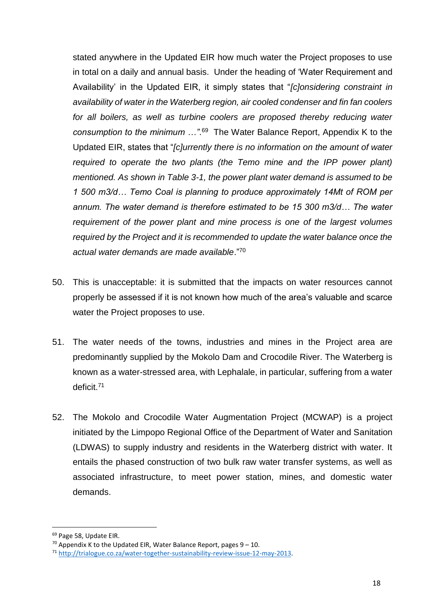stated anywhere in the Updated EIR how much water the Project proposes to use in total on a daily and annual basis. Under the heading of 'Water Requirement and Availability' in the Updated EIR, it simply states that "*[c]onsidering constraint in availability of water in the Waterberg region, air cooled condenser and fin fan coolers*  for all boilers, as well as turbine coolers are proposed thereby reducing water *consumption to the minimum …"*. 69 The Water Balance Report, Appendix K to the Updated EIR, states that "*[c]urrently there is no information on the amount of water required to operate the two plants (the Temo mine and the IPP power plant) mentioned. As shown in Table 3-1, the power plant water demand is assumed to be 1 500 m3/d… Temo Coal is planning to produce approximately 14Mt of ROM per annum. The water demand is therefore estimated to be 15 300 m3/d… The water requirement of the power plant and mine process is one of the largest volumes required by the Project and it is recommended to update the water balance once the actual water demands are made available*."<sup>70</sup>

- 50. This is unacceptable: it is submitted that the impacts on water resources cannot properly be assessed if it is not known how much of the area's valuable and scarce water the Project proposes to use.
- 51. The water needs of the towns, industries and mines in the Project area are predominantly supplied by the Mokolo Dam and Crocodile River. The Waterberg is known as a water-stressed area, with Lephalale, in particular, suffering from a water deficit.<sup>71</sup>
- 52. The Mokolo and Crocodile Water Augmentation Project (MCWAP) is a project initiated by the Limpopo Regional Office of the Department of Water and Sanitation (LDWAS) to supply industry and residents in the Waterberg district with water. It entails the phased construction of two bulk raw water transfer systems, as well as associated infrastructure, to meet power station, mines, and domestic water demands.

**<sup>.</sup>** <sup>69</sup> Page 58, Update EIR.

<sup>&</sup>lt;sup>70</sup> Appendix K to the Updated EIR, Water Balance Report, pages  $9 - 10$ .

<sup>71</sup> [http://trialogue.co.za/water-together-sustainability-review-issue-12-may-2013.](http://trialogue.co.za/water-together-sustainability-review-issue-12-may-2013)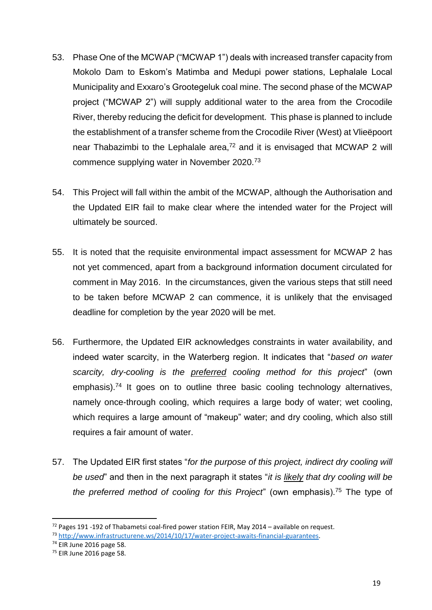- 53. Phase One of the MCWAP ("MCWAP 1") deals with increased transfer capacity from Mokolo Dam to Eskom's Matimba and Medupi power stations, Lephalale Local Municipality and Exxaro's Grootegeluk coal mine. The second phase of the MCWAP project ("MCWAP 2") will supply additional water to the area from the Crocodile River, thereby reducing the deficit for development. This phase is planned to include the establishment of a transfer scheme from the Crocodile River (West) at Vlieëpoort near Thabazimbi to the Lephalale area,<sup>72</sup> and it is envisaged that MCWAP 2 will commence supplying water in November 2020.<sup>73</sup>
- 54. This Project will fall within the ambit of the MCWAP, although the Authorisation and the Updated EIR fail to make clear where the intended water for the Project will ultimately be sourced.
- 55. It is noted that the requisite environmental impact assessment for MCWAP 2 has not yet commenced, apart from a background information document circulated for comment in May 2016. In the circumstances, given the various steps that still need to be taken before MCWAP 2 can commence, it is unlikely that the envisaged deadline for completion by the year 2020 will be met.
- 56. Furthermore, the Updated EIR acknowledges constraints in water availability, and indeed water scarcity, in the Waterberg region. It indicates that "*based on water scarcity, dry-cooling is the preferred cooling method for this project*" (own emphasis).<sup>74</sup> It goes on to outline three basic cooling technology alternatives, namely once-through cooling, which requires a large body of water; wet cooling, which requires a large amount of "makeup" water; and dry cooling, which also still requires a fair amount of water.
- 57. The Updated EIR first states "*for the purpose of this project, indirect dry cooling will be used*" and then in the next paragraph it states "*it is likely that dry cooling will be the preferred method of cooling for this Project*" (own emphasis).<sup>75</sup> The type of

<sup>&</sup>lt;sup>72</sup> Pages 191 -192 of Thabametsi coal-fired power station FEIR, May 2014 – available on request.

<sup>73</sup> [http://www.infrastructurene.ws/2014/10/17/water-project-awaits-financial-guarantees.](http://www.infrastructurene.ws/2014/10/17/water-project-awaits-financial-guarantees)

<sup>74</sup> EIR June 2016 page 58.

<sup>75</sup> EIR June 2016 page 58.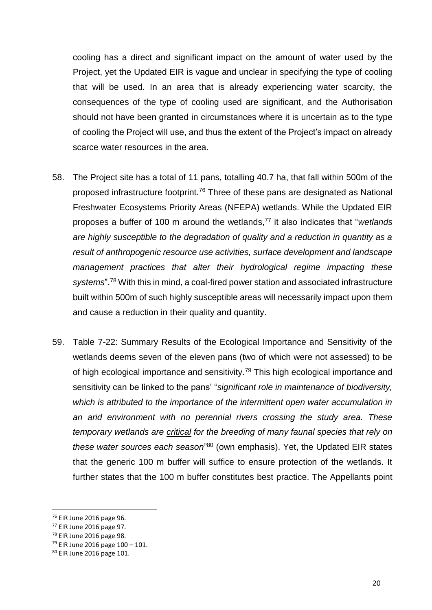cooling has a direct and significant impact on the amount of water used by the Project, yet the Updated EIR is vague and unclear in specifying the type of cooling that will be used. In an area that is already experiencing water scarcity, the consequences of the type of cooling used are significant, and the Authorisation should not have been granted in circumstances where it is uncertain as to the type of cooling the Project will use, and thus the extent of the Project's impact on already scarce water resources in the area.

- 58. The Project site has a total of 11 pans, totalling 40.7 ha, that fall within 500m of the proposed infrastructure footprint.<sup>76</sup> Three of these pans are designated as National Freshwater Ecosystems Priority Areas (NFEPA) wetlands. While the Updated EIR proposes a buffer of 100 m around the wetlands,<sup>77</sup> it also indicates that "*wetlands are highly susceptible to the degradation of quality and a reduction in quantity as a result of anthropogenic resource use activities, surface development and landscape management practices that alter their hydrological regime impacting these systems*".<sup>78</sup> With this in mind, a coal-fired power station and associated infrastructure built within 500m of such highly susceptible areas will necessarily impact upon them and cause a reduction in their quality and quantity.
- 59. Table 7-22: Summary Results of the Ecological Importance and Sensitivity of the wetlands deems seven of the eleven pans (two of which were not assessed) to be of high ecological importance and sensitivity.<sup>79</sup> This high ecological importance and sensitivity can be linked to the pans' "*significant role in maintenance of biodiversity, which is attributed to the importance of the intermittent open water accumulation in an arid environment with no perennial rivers crossing the study area. These temporary wetlands are critical for the breeding of many faunal species that rely on these water sources each season*" <sup>80</sup> (own emphasis). Yet, the Updated EIR states that the generic 100 m buffer will suffice to ensure protection of the wetlands. It further states that the 100 m buffer constitutes best practice. The Appellants point

 $\overline{a}$ 

<sup>76</sup> EIR June 2016 page 96.

<sup>77</sup> EIR June 2016 page 97.

<sup>78</sup> EIR June 2016 page 98.

<sup>79</sup> EIR June 2016 page 100 – 101.

<sup>80</sup> EIR June 2016 page 101.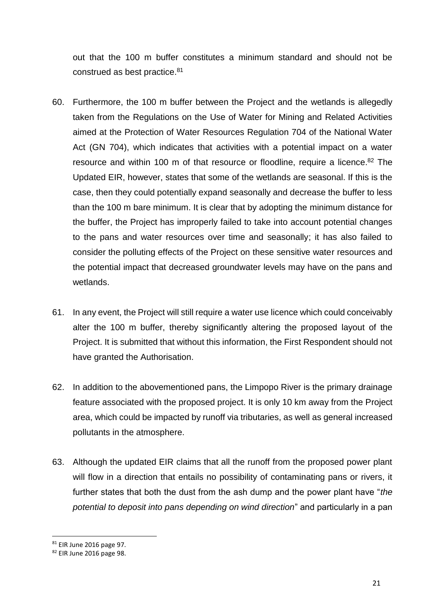out that the 100 m buffer constitutes a minimum standard and should not be construed as best practice.<sup>81</sup>

- 60. Furthermore, the 100 m buffer between the Project and the wetlands is allegedly taken from the Regulations on the Use of Water for Mining and Related Activities aimed at the Protection of Water Resources Regulation 704 of the National Water Act (GN 704), which indicates that activities with a potential impact on a water resource and within 100 m of that resource or floodline, require a licence.<sup>82</sup> The Updated EIR, however, states that some of the wetlands are seasonal. If this is the case, then they could potentially expand seasonally and decrease the buffer to less than the 100 m bare minimum. It is clear that by adopting the minimum distance for the buffer, the Project has improperly failed to take into account potential changes to the pans and water resources over time and seasonally; it has also failed to consider the polluting effects of the Project on these sensitive water resources and the potential impact that decreased groundwater levels may have on the pans and wetlands.
- 61. In any event, the Project will still require a water use licence which could conceivably alter the 100 m buffer, thereby significantly altering the proposed layout of the Project. It is submitted that without this information, the First Respondent should not have granted the Authorisation.
- 62. In addition to the abovementioned pans, the Limpopo River is the primary drainage feature associated with the proposed project. It is only 10 km away from the Project area, which could be impacted by runoff via tributaries, as well as general increased pollutants in the atmosphere.
- 63. Although the updated EIR claims that all the runoff from the proposed power plant will flow in a direction that entails no possibility of contaminating pans or rivers, it further states that both the dust from the ash dump and the power plant have "*the potential to deposit into pans depending on wind direction*" and particularly in a pan

<sup>81</sup> EIR June 2016 page 97.

<sup>82</sup> EIR June 2016 page 98.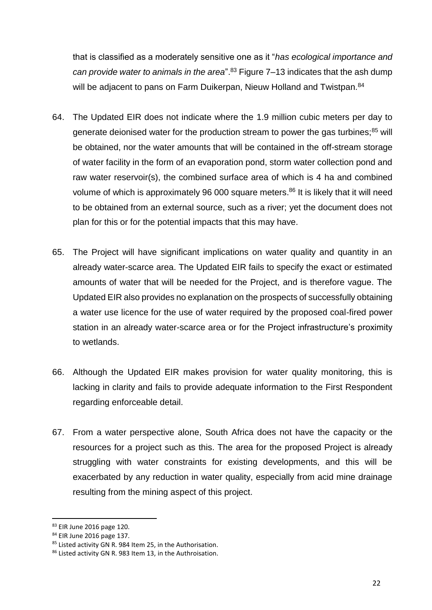that is classified as a moderately sensitive one as it "*has ecological importance and can provide water to animals in the area*".<sup>83</sup> Figure 7–13 indicates that the ash dump will be adjacent to pans on Farm Duikerpan, Nieuw Holland and Twistpan.<sup>84</sup>

- 64. The Updated EIR does not indicate where the 1.9 million cubic meters per day to generate deionised water for the production stream to power the gas turbines;<sup>85</sup> will be obtained, nor the water amounts that will be contained in the off-stream storage of water facility in the form of an evaporation pond, storm water collection pond and raw water reservoir(s), the combined surface area of which is 4 ha and combined volume of which is approximately 96 000 square meters.<sup>86</sup> It is likely that it will need to be obtained from an external source, such as a river; yet the document does not plan for this or for the potential impacts that this may have.
- 65. The Project will have significant implications on water quality and quantity in an already water-scarce area. The Updated EIR fails to specify the exact or estimated amounts of water that will be needed for the Project, and is therefore vague. The Updated EIR also provides no explanation on the prospects of successfully obtaining a water use licence for the use of water required by the proposed coal-fired power station in an already water-scarce area or for the Project infrastructure's proximity to wetlands.
- 66. Although the Updated EIR makes provision for water quality monitoring, this is lacking in clarity and fails to provide adequate information to the First Respondent regarding enforceable detail.
- 67. From a water perspective alone, South Africa does not have the capacity or the resources for a project such as this. The area for the proposed Project is already struggling with water constraints for existing developments, and this will be exacerbated by any reduction in water quality, especially from acid mine drainage resulting from the mining aspect of this project.

<sup>83</sup> EIR June 2016 page 120.

<sup>84</sup> EIR June 2016 page 137.

<sup>85</sup> Listed activity GN R. 984 Item 25, in the Authorisation.

<sup>86</sup> Listed activity GN R. 983 Item 13, in the Authroisation.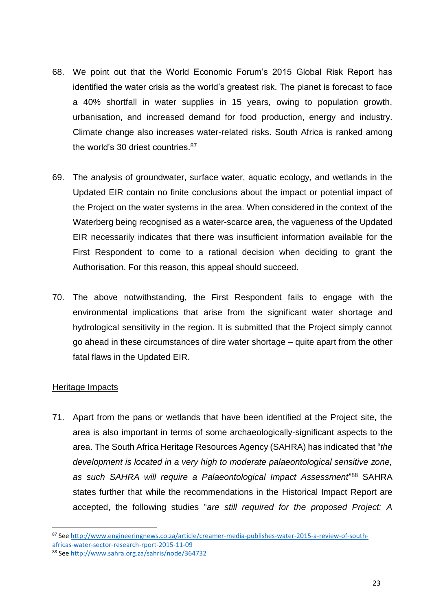- 68. We point out that the World Economic Forum's 2015 Global Risk Report has identified the water crisis as the world's greatest risk. The planet is forecast to face a 40% shortfall in water supplies in 15 years, owing to population growth, urbanisation, and increased demand for food production, energy and industry. Climate change also increases water-related risks. South Africa is ranked among the world's 30 driest countries.<sup>87</sup>
- 69. The analysis of groundwater, surface water, aquatic ecology, and wetlands in the Updated EIR contain no finite conclusions about the impact or potential impact of the Project on the water systems in the area. When considered in the context of the Waterberg being recognised as a water-scarce area, the vagueness of the Updated EIR necessarily indicates that there was insufficient information available for the First Respondent to come to a rational decision when deciding to grant the Authorisation. For this reason, this appeal should succeed.
- 70. The above notwithstanding, the First Respondent fails to engage with the environmental implications that arise from the significant water shortage and hydrological sensitivity in the region. It is submitted that the Project simply cannot go ahead in these circumstances of dire water shortage – quite apart from the other fatal flaws in the Updated EIR.

## Heritage Impacts

**.** 

71. Apart from the pans or wetlands that have been identified at the Project site, the area is also important in terms of some archaeologically-significant aspects to the area. The South Africa Heritage Resources Agency (SAHRA) has indicated that "*the development is located in a very high to moderate palaeontological sensitive zone, as such SAHRA will require a Palaeontological Impact Assessment*" <sup>88</sup> SAHRA states further that while the recommendations in the Historical Impact Report are accepted, the following studies "*are still required for the proposed Project: A* 

<sup>87</sup> Se[e http://www.engineeringnews.co.za/article/creamer-media-publishes-water-2015-a-review-of-south](http://www.engineeringnews.co.za/article/creamer-media-publishes-water-2015-a-review-of-south-africas-water-sector-research-rport-2015-11-09)[africas-water-sector-research-rport-2015-11-09](http://www.engineeringnews.co.za/article/creamer-media-publishes-water-2015-a-review-of-south-africas-water-sector-research-rport-2015-11-09)

<sup>88</sup> Se[e http://www.sahra.org.za/sahris/node/364732](http://www.sahra.org.za/sahris/node/364732)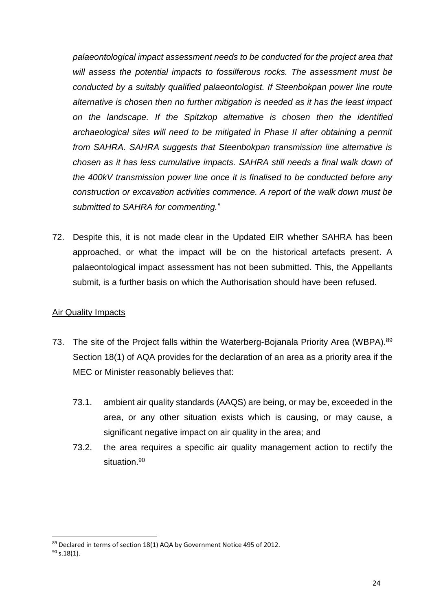*palaeontological impact assessment needs to be conducted for the project area that will assess the potential impacts to fossilferous rocks. The assessment must be conducted by a suitably qualified palaeontologist. If Steenbokpan power line route alternative is chosen then no further mitigation is needed as it has the least impact on the landscape. If the Spitzkop alternative is chosen then the identified archaeological sites will need to be mitigated in Phase II after obtaining a permit from SAHRA. SAHRA suggests that Steenbokpan transmission line alternative is chosen as it has less cumulative impacts. SAHRA still needs a final walk down of the 400kV transmission power line once it is finalised to be conducted before any construction or excavation activities commence. A report of the walk down must be submitted to SAHRA for commenting.*"

72. Despite this, it is not made clear in the Updated EIR whether SAHRA has been approached, or what the impact will be on the historical artefacts present. A palaeontological impact assessment has not been submitted. This, the Appellants submit, is a further basis on which the Authorisation should have been refused.

## Air Quality Impacts

- 73. The site of the Project falls within the Waterberg-Bojanala Priority Area (WBPA).<sup>89</sup> Section 18(1) of AQA provides for the declaration of an area as a priority area if the MEC or Minister reasonably believes that:
	- 73.1. ambient air quality standards (AAQS) are being, or may be, exceeded in the area, or any other situation exists which is causing, or may cause, a significant negative impact on air quality in the area; and
	- 73.2. the area requires a specific air quality management action to rectify the situation.<sup>90</sup>

<sup>89</sup> Declared in terms of section 18(1) AQA by Government Notice 495 of 2012.

 $90$  s.18(1).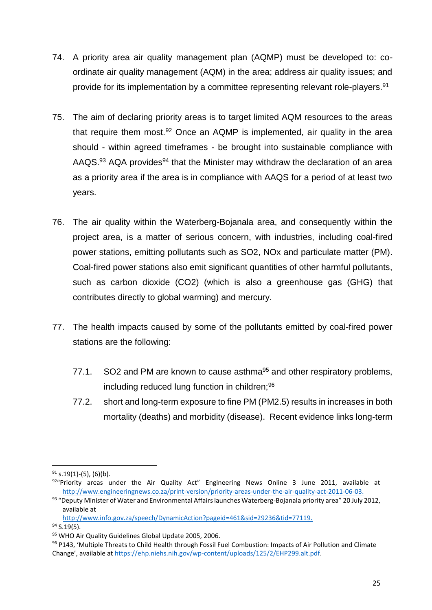- 74. A priority area air quality management plan (AQMP) must be developed to: coordinate air quality management (AQM) in the area; address air quality issues; and provide for its implementation by a committee representing relevant role-players.<sup>91</sup>
- 75. The aim of declaring priority areas is to target limited AQM resources to the areas that require them most.<sup>92</sup> Once an AQMP is implemented, air quality in the area should - within agreed timeframes - be brought into sustainable compliance with AAQS. $93$  AQA provides<sup>94</sup> that the Minister may withdraw the declaration of an area as a priority area if the area is in compliance with AAQS for a period of at least two years.
- 76. The air quality within the Waterberg-Bojanala area, and consequently within the project area, is a matter of serious concern, with industries, including coal-fired power stations, emitting pollutants such as SO2, NOx and particulate matter (PM). Coal-fired power stations also emit significant quantities of other harmful pollutants, such as carbon dioxide (CO2) (which is also a greenhouse gas (GHG) that contributes directly to global warming) and mercury.
- 77. The health impacts caused by some of the pollutants emitted by coal-fired power stations are the following:
	- 77.1. SO2 and PM are known to cause asthma<sup>95</sup> and other respiratory problems, including reduced lung function in children;<sup>96</sup>
	- 77.2. short and long-term exposure to fine PM (PM2.5) results in increases in both mortality (deaths) and morbidity (disease). Recent evidence links long-term

[http://www.info.gov.za/speech/DynamicAction?pageid=461&sid=29236&tid=77119.](http://www.info.gov.za/speech/DynamicAction?pageid=461&sid=29236&tid=77119)

 $94$  S.19(5).

 $91$  s.19(1)-(5), (6)(b).

 $92$ "Priority areas under the Air Quality Act" Engineering News Online 3 June 2011, available at [http://www.engineeringnews.co.za/print-version/priority-areas-under-the-air-quality-act-2011-06-03.](http://www.engineeringnews.co.za/print-version/priority-areas-under-the-air-quality-act-2011-06-03)

<sup>93 &</sup>quot;Deputy Minister of Water and Environmental Affairs launches Waterberg-Bojanala priority area" 20 July 2012, available at

<sup>95</sup> WHO Air Quality Guidelines Global Update 2005, 2006.

<sup>96</sup> P143, 'Multiple Threats to Child Health through Fossil Fuel Combustion: Impacts of Air Pollution and Climate Change', available at [https://ehp.niehs.nih.gov/wp-content/uploads/125/2/EHP299.alt.pdf.](https://ehp.niehs.nih.gov/wp-content/uploads/125/2/EHP299.alt.pdf)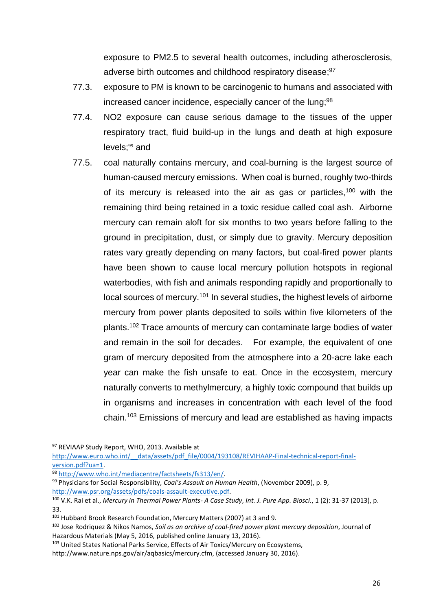exposure to PM2.5 to several health outcomes, including atherosclerosis, adverse birth outcomes and childhood respiratory disease;<sup>97</sup>

- 77.3. exposure to PM is known to be carcinogenic to humans and associated with increased cancer incidence, especially cancer of the lung;<sup>98</sup>
- 77.4. NO2 exposure can cause serious damage to the tissues of the upper respiratory tract, fluid build-up in the lungs and death at high exposure levels;<sup>99</sup> and
- 77.5. coal naturally contains mercury, and coal-burning is the largest source of human-caused mercury emissions. When coal is burned, roughly two-thirds of its mercury is released into the air as gas or particles,<sup>100</sup> with the remaining third being retained in a toxic residue called coal ash. Airborne mercury can remain aloft for six months to two years before falling to the ground in precipitation, dust, or simply due to gravity. Mercury deposition rates vary greatly depending on many factors, but coal-fired power plants have been shown to cause local mercury pollution hotspots in regional waterbodies, with fish and animals responding rapidly and proportionally to local sources of mercury.<sup>101</sup> In several studies, the highest levels of airborne mercury from power plants deposited to soils within five kilometers of the plants.<sup>102</sup> Trace amounts of mercury can contaminate large bodies of water and remain in the soil for decades. For example, the equivalent of one gram of mercury deposited from the atmosphere into a 20-acre lake each year can make the fish unsafe to eat. Once in the ecosystem, mercury naturally converts to methylmercury, a highly toxic compound that builds up in organisms and increases in concentration with each level of the food chain.<sup>103</sup> Emissions of mercury and lead are established as having impacts

1

<sup>97</sup> REVIAAP Study Report, WHO, 2013. Available at

http://www.euro.who.int/ data/assets/pdf\_file/0004/193108/REVIHAAP-Final-technical-report-final[version.pdf?ua=1.](http://www.euro.who.int/__data/assets/pdf_file/0004/193108/REVIHAAP-Final-technical-report-final-version.pdf?ua=1) 

<sup>98</sup> [http://www.who.int/mediacentre/factsheets/fs313/en/.](http://www.who.int/mediacentre/factsheets/fs313/en/) 

<sup>99</sup> Physicians for Social Responsibility, *Coal's Assault on Human Health*, (November 2009), p. 9, [http://www.psr.org/assets/pdfs/coals-assault-executive.pdf.](http://www.psr.org/assets/pdfs/coals-assault-executive.pdf)

<sup>100</sup> V.K. Rai et al., *Mercury in Thermal Power Plants- A Case Study*, *Int. J. Pure App. Biosci.*, 1 (2): 31-37 (2013), p. 33.

<sup>101</sup> Hubbard Brook Research Foundation, Mercury Matters (2007) at 3 and 9.

<sup>102</sup> Jose Rodriquez & Nikos Namos, *Soil as an archive of coal-fired power plant mercury deposition*, Journal of Hazardous Materials (May 5, 2016, published online January 13, 2016).

<sup>103</sup> United States National Parks Service, Effects of Air Toxics/Mercury on Ecosystems,

http://www.nature.nps.gov/air/aqbasics/mercury.cfm, (accessed January 30, 2016).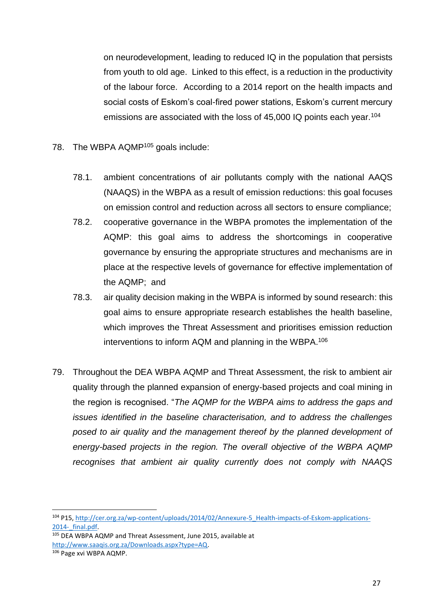on neurodevelopment, leading to reduced IQ in the population that persists from youth to old age. Linked to this effect, is a reduction in the productivity of the labour force. According to a 2014 report on the health impacts and social costs of Eskom's coal-fired power stations, Eskom's current mercury emissions are associated with the loss of 45,000 IQ points each year.<sup>104</sup>

- 78. The WBPA AQMP<sup>105</sup> goals include:
	- 78.1. ambient concentrations of air pollutants comply with the national AAQS (NAAQS) in the WBPA as a result of emission reductions: this goal focuses on emission control and reduction across all sectors to ensure compliance;
	- 78.2. cooperative governance in the WBPA promotes the implementation of the AQMP: this goal aims to address the shortcomings in cooperative governance by ensuring the appropriate structures and mechanisms are in place at the respective levels of governance for effective implementation of the AQMP; and
	- 78.3. air quality decision making in the WBPA is informed by sound research: this goal aims to ensure appropriate research establishes the health baseline, which improves the Threat Assessment and prioritises emission reduction interventions to inform AQM and planning in the WBPA. 106
- 79. Throughout the DEA WBPA AQMP and Threat Assessment, the risk to ambient air quality through the planned expansion of energy-based projects and coal mining in the region is recognised. "*The AQMP for the WBPA aims to address the gaps and issues identified in the baseline characterisation, and to address the challenges posed to air quality and the management thereof by the planned development of energy-based projects in the region. The overall objective of the WBPA AQMP recognises that ambient air quality currently does not comply with NAAQS*

 $\overline{a}$ 

<sup>104</sup> P15, [http://cer.org.za/wp-content/uploads/2014/02/Annexure-5\\_Health-impacts-of-Eskom-applications-](http://cer.org.za/wp-content/uploads/2014/02/Annexure-5_Health-impacts-of-Eskom-applications-2014-_final.pdf)2014- final.pdf.

<sup>105</sup> DEA WBPA AQMP and Threat Assessment, June 2015, available at [http://www.saaqis.org.za/Downloads.aspx?type=AQ.](http://www.saaqis.org.za/Downloads.aspx?type=AQ)

<sup>106</sup> Page xvi WBPA AQMP.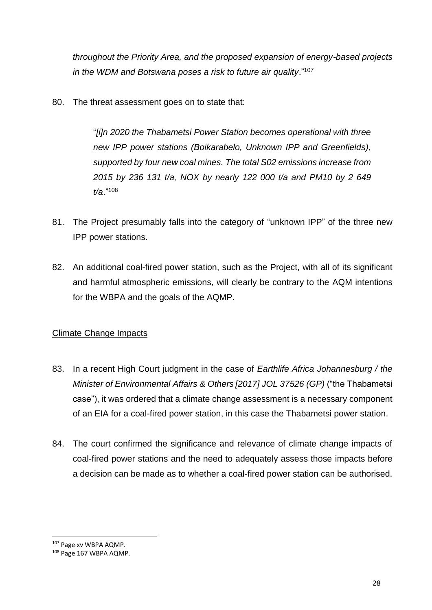*throughout the Priority Area, and the proposed expansion of energy-based projects in the WDM and Botswana poses a risk to future air quality*."<sup>107</sup>

80. The threat assessment goes on to state that:

"*[i]n 2020 the Thabametsi Power Station becomes operational with three new IPP power stations (Boikarabelo, Unknown IPP and Greenfields), supported by four new coal mines. The total S02 emissions increase from 2015 by 236 131 t/a, NOX by nearly 122 000 t/a and PM10 by 2 649 t/a*."<sup>108</sup>

- 81. The Project presumably falls into the category of "unknown IPP" of the three new IPP power stations.
- 82. An additional coal-fired power station, such as the Project, with all of its significant and harmful atmospheric emissions, will clearly be contrary to the AQM intentions for the WBPA and the goals of the AQMP.

## Climate Change Impacts

- 83. In a recent High Court judgment in the case of *Earthlife Africa Johannesburg / the Minister of Environmental Affairs & Others [2017] JOL 37526 (GP)* ("the Thabametsi case"), it was ordered that a climate change assessment is a necessary component of an EIA for a coal-fired power station, in this case the Thabametsi power station.
- 84. The court confirmed the significance and relevance of climate change impacts of coal-fired power stations and the need to adequately assess those impacts before a decision can be made as to whether a coal-fired power station can be authorised.

<sup>107</sup> Page xv WBPA AQMP.

<sup>108</sup> Page 167 WBPA AQMP.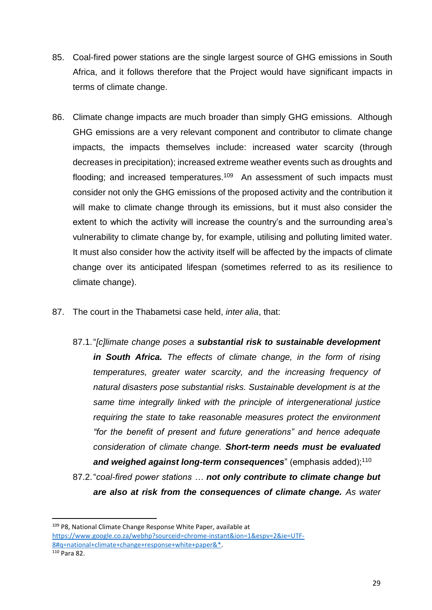- 85. Coal-fired power stations are the single largest source of GHG emissions in South Africa, and it follows therefore that the Project would have significant impacts in terms of climate change.
- 86. Climate change impacts are much broader than simply GHG emissions. Although GHG emissions are a very relevant component and contributor to climate change impacts, the impacts themselves include: increased water scarcity (through decreases in precipitation); increased extreme weather events such as droughts and flooding; and increased temperatures.<sup>109</sup> An assessment of such impacts must consider not only the GHG emissions of the proposed activity and the contribution it will make to climate change through its emissions, but it must also consider the extent to which the activity will increase the country's and the surrounding area's vulnerability to climate change by, for example, utilising and polluting limited water. It must also consider how the activity itself will be affected by the impacts of climate change over its anticipated lifespan (sometimes referred to as its resilience to climate change).
- 87. The court in the Thabametsi case held, *inter alia*, that:
	- 87.1."*[c]limate change poses a substantial risk to sustainable development in South Africa. The effects of climate change, in the form of rising temperatures, greater water scarcity, and the increasing frequency of natural disasters pose substantial risks. Sustainable development is at the same time integrally linked with the principle of intergenerational justice requiring the state to take reasonable measures protect the environment "for the benefit of present and future generations" and hence adequate consideration of climate change. Short-term needs must be evaluated*  and weighed against long-term consequences" (emphasis added);<sup>110</sup>
	- 87.2."*coal-fired power stations … not only contribute to climate change but are also at risk from the consequences of climate change. As water*

<sup>109</sup> P8, National Climate Change Response White Paper, available at [https://www.google.co.za/webhp?sourceid=chrome-instant&ion=1&espv=2&ie=UTF-](https://www.google.co.za/webhp?sourceid=chrome-instant&ion=1&espv=2&ie=UTF-8#q=national+climate+change+response+white+paper&*)[8#q=national+climate+change+response+white+paper&\\*.](https://www.google.co.za/webhp?sourceid=chrome-instant&ion=1&espv=2&ie=UTF-8#q=national+climate+change+response+white+paper&*) <sup>110</sup> Para 82.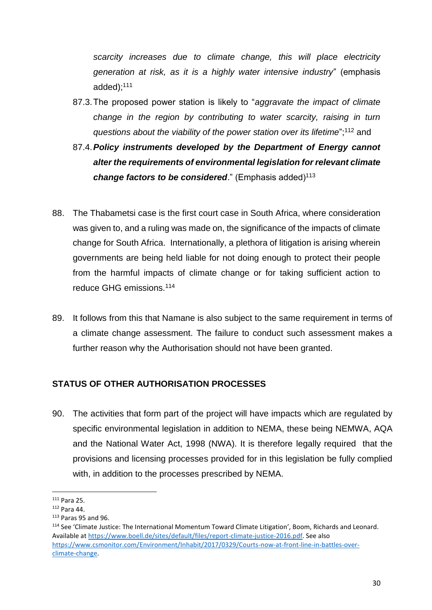*scarcity increases due to climate change, this will place electricity generation at risk, as it is a highly water intensive industry*" (emphasis added);<sup>111</sup>

- 87.3.The proposed power station is likely to "*aggravate the impact of climate change in the region by contributing to water scarcity, raising in turn questions about the viability of the power station over its lifetime*";<sup>112</sup> and
- 87.4.*Policy instruments developed by the Department of Energy cannot alter the requirements of environmental legislation for relevant climate*  change factors to be considered." (Emphasis added)<sup>113</sup>
- 88. The Thabametsi case is the first court case in South Africa, where consideration was given to, and a ruling was made on, the significance of the impacts of climate change for South Africa. Internationally, a plethora of litigation is arising wherein governments are being held liable for not doing enough to protect their people from the harmful impacts of climate change or for taking sufficient action to reduce GHG emissions.<sup>114</sup>
- 89. It follows from this that Namane is also subject to the same requirement in terms of a climate change assessment. The failure to conduct such assessment makes a further reason why the Authorisation should not have been granted.

## **STATUS OF OTHER AUTHORISATION PROCESSES**

90. The activities that form part of the project will have impacts which are regulated by specific environmental legislation in addition to NEMA, these being NEMWA, AQA and the National Water Act, 1998 (NWA). It is therefore legally required that the provisions and licensing processes provided for in this legislation be fully complied with, in addition to the processes prescribed by NEMA.

 $\overline{\phantom{a}}$ 

<sup>111</sup> Para 25.

<sup>112</sup> Para 44.

 $113$  Paras 95 and 96.

<sup>114</sup> See 'Climate Justice: The International Momentum Toward Climate Litigation', Boom, Richards and Leonard. Available a[t https://www.boell.de/sites/default/files/report-climate-justice-2016.pdf.](https://www.boell.de/sites/default/files/report-climate-justice-2016.pdf) See also [https://www.csmonitor.com/Environment/Inhabit/2017/0329/Courts-now-at-front-line-in-battles-over](https://www.csmonitor.com/Environment/Inhabit/2017/0329/Courts-now-at-front-line-in-battles-over-climate-change)[climate-change.](https://www.csmonitor.com/Environment/Inhabit/2017/0329/Courts-now-at-front-line-in-battles-over-climate-change)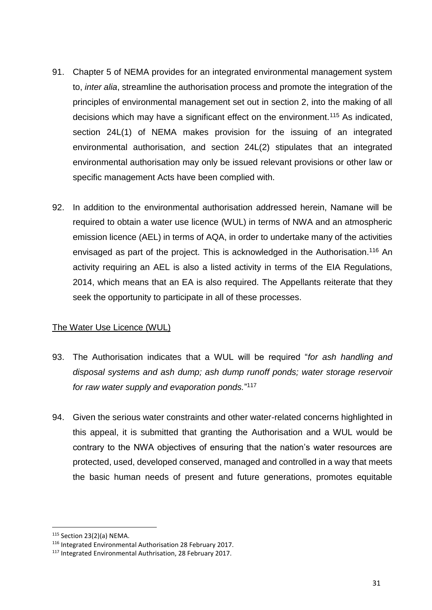- 91. Chapter 5 of NEMA provides for an integrated environmental management system to, *inter alia*, streamline the authorisation process and promote the integration of the principles of environmental management set out in section 2, into the making of all decisions which may have a significant effect on the environment.<sup>115</sup> As indicated, section 24L(1) of NEMA makes provision for the issuing of an integrated environmental authorisation, and section 24L(2) stipulates that an integrated environmental authorisation may only be issued relevant provisions or other law or specific management Acts have been complied with.
- 92. In addition to the environmental authorisation addressed herein, Namane will be required to obtain a water use licence (WUL) in terms of NWA and an atmospheric emission licence (AEL) in terms of AQA, in order to undertake many of the activities envisaged as part of the project. This is acknowledged in the Authorisation.<sup>116</sup> An activity requiring an AEL is also a listed activity in terms of the EIA Regulations, 2014, which means that an EA is also required. The Appellants reiterate that they seek the opportunity to participate in all of these processes.

## The Water Use Licence (WUL)

- 93. The Authorisation indicates that a WUL will be required "*for ash handling and disposal systems and ash dump; ash dump runoff ponds; water storage reservoir for raw water supply and evaporation ponds.*" 117
- 94. Given the serious water constraints and other water-related concerns highlighted in this appeal, it is submitted that granting the Authorisation and a WUL would be contrary to the NWA objectives of ensuring that the nation's water resources are protected, used, developed conserved, managed and controlled in a way that meets the basic human needs of present and future generations, promotes equitable

<sup>115</sup> Section 23(2)(a) NEMA.

<sup>116</sup> Integrated Environmental Authorisation 28 February 2017.

<sup>117</sup> Integrated Environmental Authrisation, 28 February 2017.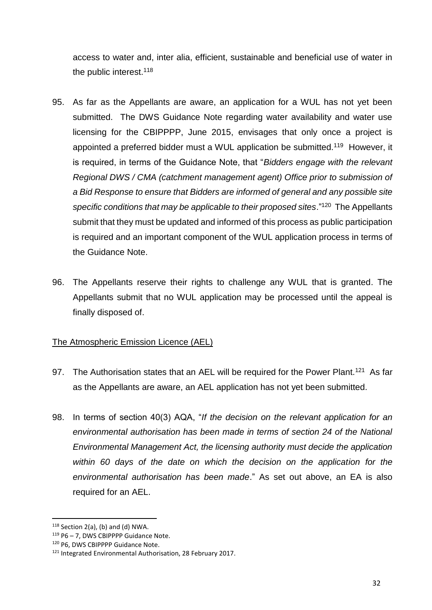access to water and, inter alia, efficient, sustainable and beneficial use of water in the public interest.<sup>118</sup>

- 95. As far as the Appellants are aware, an application for a WUL has not yet been submitted. The DWS Guidance Note regarding water availability and water use licensing for the CBIPPPP, June 2015, envisages that only once a project is appointed a preferred bidder must a WUL application be submitted.<sup>119</sup> However, it is required, in terms of the Guidance Note, that "*Bidders engage with the relevant Regional DWS / CMA (catchment management agent) Office prior to submission of a Bid Response to ensure that Bidders are informed of general and any possible site*  specific conditions that may be applicable to their proposed sites."<sup>120</sup> The Appellants submit that they must be updated and informed of this process as public participation is required and an important component of the WUL application process in terms of the Guidance Note.
- 96. The Appellants reserve their rights to challenge any WUL that is granted. The Appellants submit that no WUL application may be processed until the appeal is finally disposed of.

# The Atmospheric Emission Licence (AEL)

- 97. The Authorisation states that an AEL will be required for the Power Plant.<sup>121</sup> As far as the Appellants are aware, an AEL application has not yet been submitted.
- 98. In terms of section 40(3) AQA, "*If the decision on the relevant application for an environmental authorisation has been made in terms of section 24 of the National Environmental Management Act, the licensing authority must decide the application within 60 days of the date on which the decision on the application for the environmental authorisation has been made*." As set out above, an EA is also required for an AEL.

 $118$  Section 2(a), (b) and (d) NWA.

<sup>119</sup> P6 – 7, DWS CBIPPPP Guidance Note.

<sup>120</sup> P6, DWS CBIPPPP Guidance Note.

<sup>121</sup> Integrated Environmental Authorisation, 28 February 2017.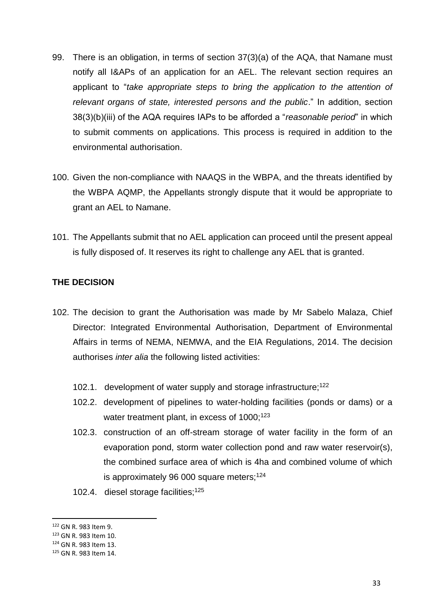- 99. There is an obligation, in terms of section 37(3)(a) of the AQA, that Namane must notify all I&APs of an application for an AEL. The relevant section requires an applicant to "*take appropriate steps to bring the application to the attention of relevant organs of state, interested persons and the public*." In addition, section 38(3)(b)(iii) of the AQA requires IAPs to be afforded a "*reasonable period*" in which to submit comments on applications. This process is required in addition to the environmental authorisation.
- 100. Given the non-compliance with NAAQS in the WBPA, and the threats identified by the WBPA AQMP, the Appellants strongly dispute that it would be appropriate to grant an AEL to Namane.
- 101. The Appellants submit that no AEL application can proceed until the present appeal is fully disposed of. It reserves its right to challenge any AEL that is granted.

## **THE DECISION**

- 102. The decision to grant the Authorisation was made by Mr Sabelo Malaza, Chief Director: Integrated Environmental Authorisation, Department of Environmental Affairs in terms of NEMA, NEMWA, and the EIA Regulations, 2014. The decision authorises *inter alia* the following listed activities:
	- 102.1. development of water supply and storage infrastructure;<sup>122</sup>
	- 102.2. development of pipelines to water-holding facilities (ponds or dams) or a water treatment plant, in excess of 1000;<sup>123</sup>
	- 102.3. construction of an off-stream storage of water facility in the form of an evaporation pond, storm water collection pond and raw water reservoir(s), the combined surface area of which is 4ha and combined volume of which is approximately 96 000 square meters;<sup>124</sup>
	- 102.4. diesel storage facilities;<sup>125</sup>

<sup>122</sup> GN R. 983 Item 9.

<sup>123</sup> GN R. 983 Item 10.

<sup>124</sup> GN R. 983 Item 13.

<sup>125</sup> GN R. 983 Item 14.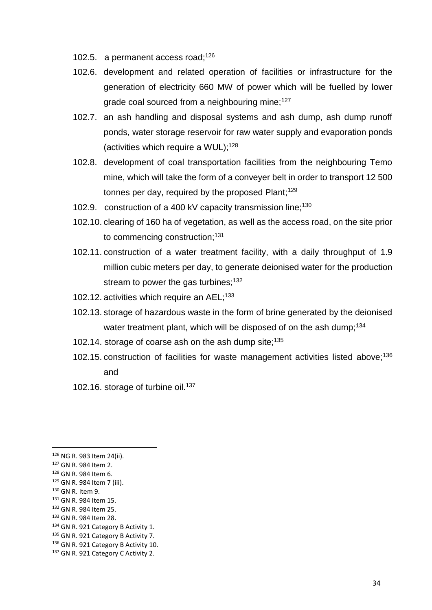- 102.5. a permanent access road;  $126$
- 102.6. development and related operation of facilities or infrastructure for the generation of electricity 660 MW of power which will be fuelled by lower grade coal sourced from a neighbouring mine;<sup>127</sup>
- 102.7. an ash handling and disposal systems and ash dump, ash dump runoff ponds, water storage reservoir for raw water supply and evaporation ponds (activities which require a WUL);<sup>128</sup>
- 102.8. development of coal transportation facilities from the neighbouring Temo mine, which will take the form of a conveyer belt in order to transport 12 500 tonnes per day, required by the proposed Plant; $129$
- 102.9. construction of a 400 kV capacity transmission line;<sup>130</sup>
- 102.10. clearing of 160 ha of vegetation, as well as the access road, on the site prior to commencing construction:<sup>131</sup>
- 102.11. construction of a water treatment facility, with a daily throughput of 1.9 million cubic meters per day, to generate deionised water for the production stream to power the gas turbines;<sup>132</sup>
- 102.12. activities which require an AEL;<sup>133</sup>
- 102.13. storage of hazardous waste in the form of brine generated by the deionised water treatment plant, which will be disposed of on the ash dump;<sup>134</sup>
- 102.14. storage of coarse ash on the ash dump site:<sup>135</sup>
- 102.15. construction of facilities for waste management activities listed above;<sup>136</sup> and
- 102.16. storage of turbine oil.<sup>137</sup>

<sup>131</sup> GN R. 984 Item 15.

 $\overline{\phantom{a}}$ 

- <sup>132</sup> GN R. 984 Item 25.
- <sup>133</sup> GN R. 984 Item 28.
- 134 GN R. 921 Category B Activity 1.
- <sup>135</sup> GN R. 921 Category B Activity 7.
- 136 GN R. 921 Category B Activity 10.

<sup>126</sup> NG R. 983 Item 24(ii).

<sup>127</sup> GN R. 984 Item 2.

<sup>128</sup> GN R. 984 Item 6.

<sup>129</sup> GN R. 984 Item 7 (iii). <sup>130</sup> GN R. Item 9.

<sup>&</sup>lt;sup>137</sup> GN R. 921 Category C Activity 2.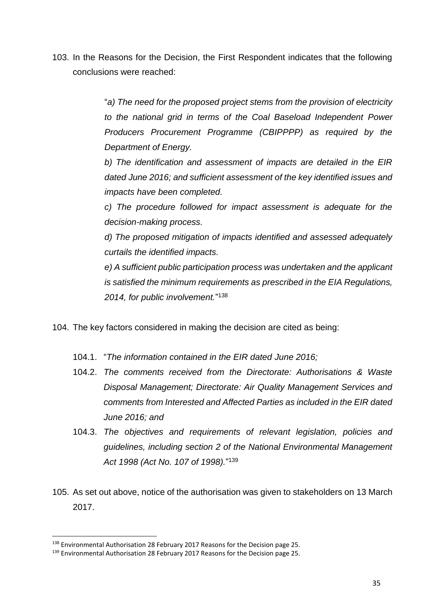103. In the Reasons for the Decision, the First Respondent indicates that the following conclusions were reached:

> "*a) The need for the proposed project stems from the provision of electricity to the national grid in terms of the Coal Baseload Independent Power Producers Procurement Programme (CBIPPPP) as required by the Department of Energy.*

> *b) The identification and assessment of impacts are detailed in the EIR dated June 2016; and sufficient assessment of the key identified issues and impacts have been completed.*

> *c) The procedure followed for impact assessment is adequate for the decision-making process.*

> *d) The proposed mitigation of impacts identified and assessed adequately curtails the identified impacts.*

> *e) A sufficient public participation process was undertaken and the applicant is satisfied the minimum requirements as prescribed in the EIA Regulations, 2014, for public involvement.*" 138

- 104. The key factors considered in making the decision are cited as being:
	- 104.1. "*The information contained in the EIR dated June 2016;*
	- 104.2. *The comments received from the Directorate: Authorisations & Waste Disposal Management; Directorate: Air Quality Management Services and comments from Interested and Affected Parties as included in the EIR dated June 2016; and*
	- 104.3. *The objectives and requirements of relevant legislation, policies and guidelines, including section 2 of the National Environmental Management Act 1998 (Act No. 107 of 1998).*" 139
- 105. As set out above, notice of the authorisation was given to stakeholders on 13 March 2017.

<sup>138</sup> Environmental Authorisation 28 February 2017 Reasons for the Decision page 25.

<sup>139</sup> Environmental Authorisation 28 February 2017 Reasons for the Decision page 25.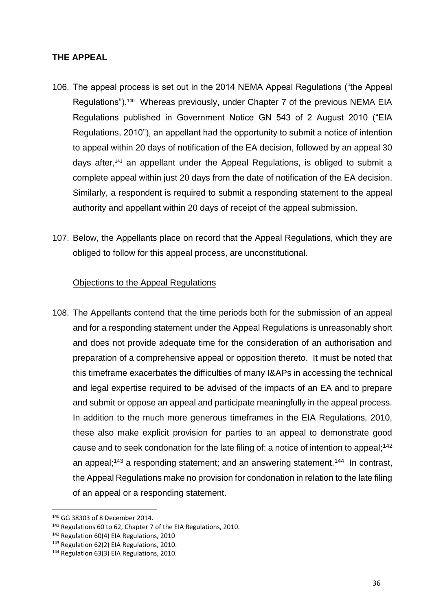#### **THE APPEAL**

- 106. The appeal process is set out in the 2014 NEMA Appeal Regulations ("the Appeal Regulations").<sup>140</sup> Whereas previously, under Chapter 7 of the previous NEMA EIA Regulations published in Government Notice GN 543 of 2 August 2010 ("EIA Regulations, 2010"), an appellant had the opportunity to submit a notice of intention to appeal within 20 days of notification of the EA decision, followed by an appeal 30 days after,<sup>141</sup> an appellant under the Appeal Regulations, is obliged to submit a complete appeal within just 20 days from the date of notification of the EA decision. Similarly, a respondent is required to submit a responding statement to the appeal authority and appellant within 20 days of receipt of the appeal submission.
- 107. Below, the Appellants place on record that the Appeal Regulations, which they are obliged to follow for this appeal process, are unconstitutional.

## Objections to the Appeal Regulations

108. The Appellants contend that the time periods both for the submission of an appeal and for a responding statement under the Appeal Regulations is unreasonably short and does not provide adequate time for the consideration of an authorisation and preparation of a comprehensive appeal or opposition thereto. It must be noted that this timeframe exacerbates the difficulties of many I&APs in accessing the technical and legal expertise required to be advised of the impacts of an EA and to prepare and submit or oppose an appeal and participate meaningfully in the appeal process. In addition to the much more generous timeframes in the EIA Regulations, 2010, these also make explicit provision for parties to an appeal to demonstrate good cause and to seek condonation for the late filing of: a notice of intention to appeal;<sup>142</sup> an appeal;<sup>143</sup> a responding statement; and an answering statement.<sup>144</sup> In contrast, the Appeal Regulations make no provision for condonation in relation to the late filing of an appeal or a responding statement.

 $\overline{\phantom{a}}$ 

<sup>140</sup> GG 38303 of 8 December 2014.

<sup>141</sup> Regulations 60 to 62, Chapter 7 of the EIA Regulations, 2010.

<sup>&</sup>lt;sup>142</sup> Regulation 60(4) EIA Regulations, 2010

<sup>&</sup>lt;sup>143</sup> Regulation 62(2) EIA Regulations, 2010.

<sup>144</sup> Regulation 63(3) EIA Regulations, 2010.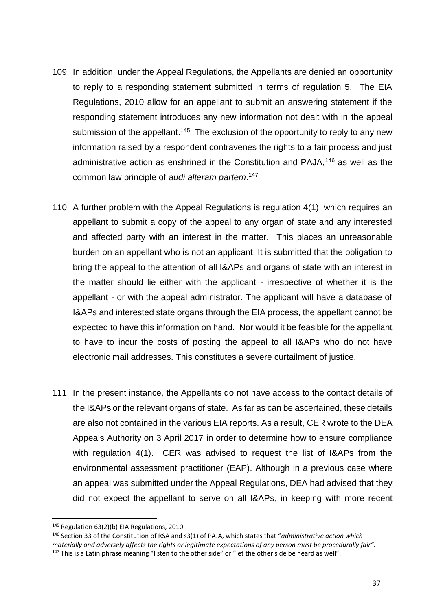- 109. In addition, under the Appeal Regulations, the Appellants are denied an opportunity to reply to a responding statement submitted in terms of regulation 5. The EIA Regulations, 2010 allow for an appellant to submit an answering statement if the responding statement introduces any new information not dealt with in the appeal submission of the appellant.<sup>145</sup> The exclusion of the opportunity to reply to any new information raised by a respondent contravenes the rights to a fair process and just administrative action as enshrined in the Constitution and PAJA,<sup>146</sup> as well as the common law principle of *audi alteram partem*. 147
- 110. A further problem with the Appeal Regulations is regulation 4(1), which requires an appellant to submit a copy of the appeal to any organ of state and any interested and affected party with an interest in the matter. This places an unreasonable burden on an appellant who is not an applicant. It is submitted that the obligation to bring the appeal to the attention of all I&APs and organs of state with an interest in the matter should lie either with the applicant - irrespective of whether it is the appellant - or with the appeal administrator. The applicant will have a database of I&APs and interested state organs through the EIA process, the appellant cannot be expected to have this information on hand. Nor would it be feasible for the appellant to have to incur the costs of posting the appeal to all I&APs who do not have electronic mail addresses. This constitutes a severe curtailment of justice.
- 111. In the present instance, the Appellants do not have access to the contact details of the I&APs or the relevant organs of state. As far as can be ascertained, these details are also not contained in the various EIA reports. As a result, CER wrote to the DEA Appeals Authority on 3 April 2017 in order to determine how to ensure compliance with regulation 4(1). CER was advised to request the list of I&APs from the environmental assessment practitioner (EAP). Although in a previous case where an appeal was submitted under the Appeal Regulations, DEA had advised that they did not expect the appellant to serve on all I&APs, in keeping with more recent

<sup>145</sup> Regulation 63(2)(b) EIA Regulations, 2010.

<sup>146</sup> Section 33 of the Constitution of RSA and s3(1) of PAJA, which states that "*administrative action which materially and adversely affects the rights or legitimate expectations of any person must be procedurally fair".* <sup>147</sup> This is a Latin phrase meaning "listen to the other side" or "let the other side be heard as well".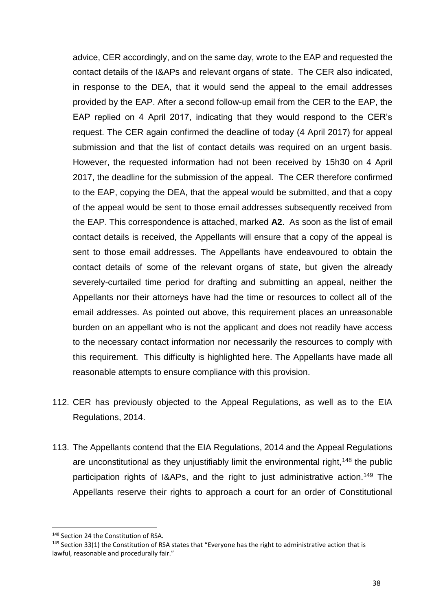advice, CER accordingly, and on the same day, wrote to the EAP and requested the contact details of the I&APs and relevant organs of state. The CER also indicated, in response to the DEA, that it would send the appeal to the email addresses provided by the EAP. After a second follow-up email from the CER to the EAP, the EAP replied on 4 April 2017, indicating that they would respond to the CER's request. The CER again confirmed the deadline of today (4 April 2017) for appeal submission and that the list of contact details was required on an urgent basis. However, the requested information had not been received by 15h30 on 4 April 2017, the deadline for the submission of the appeal. The CER therefore confirmed to the EAP, copying the DEA, that the appeal would be submitted, and that a copy of the appeal would be sent to those email addresses subsequently received from the EAP. This correspondence is attached, marked **A2**. As soon as the list of email contact details is received, the Appellants will ensure that a copy of the appeal is sent to those email addresses. The Appellants have endeavoured to obtain the contact details of some of the relevant organs of state, but given the already severely-curtailed time period for drafting and submitting an appeal, neither the Appellants nor their attorneys have had the time or resources to collect all of the email addresses. As pointed out above, this requirement places an unreasonable burden on an appellant who is not the applicant and does not readily have access to the necessary contact information nor necessarily the resources to comply with this requirement. This difficulty is highlighted here. The Appellants have made all reasonable attempts to ensure compliance with this provision.

- 112. CER has previously objected to the Appeal Regulations, as well as to the EIA Regulations, 2014.
- 113. The Appellants contend that the EIA Regulations, 2014 and the Appeal Regulations are unconstitutional as they unjustifiably limit the environmental right,  $148$  the public participation rights of I&APs, and the right to just administrative action.<sup>149</sup> The Appellants reserve their rights to approach a court for an order of Constitutional

<sup>148</sup> Section 24 the Constitution of RSA.

<sup>&</sup>lt;sup>149</sup> Section 33(1) the Constitution of RSA states that "Everyone has the right to administrative action that is lawful, reasonable and procedurally fair."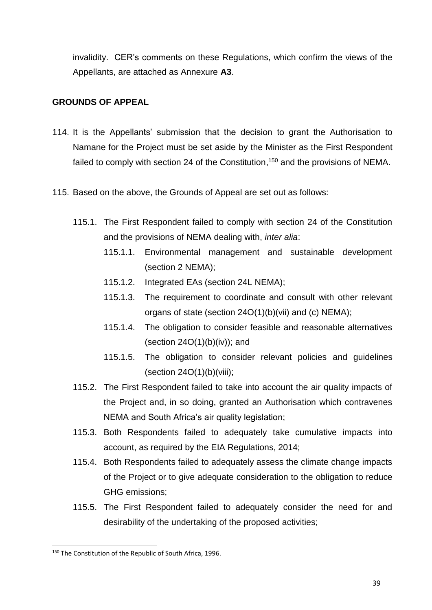invalidity. CER's comments on these Regulations, which confirm the views of the Appellants, are attached as Annexure **A3**.

#### **GROUNDS OF APPEAL**

- 114. It is the Appellants' submission that the decision to grant the Authorisation to Namane for the Project must be set aside by the Minister as the First Respondent failed to comply with section 24 of the Constitution,<sup>150</sup> and the provisions of NEMA.
- 115. Based on the above, the Grounds of Appeal are set out as follows:
	- 115.1. The First Respondent failed to comply with section 24 of the Constitution and the provisions of NEMA dealing with, *inter alia*:
		- 115.1.1. Environmental management and sustainable development (section 2 NEMA);
		- 115.1.2. Integrated EAs (section 24L NEMA);
		- 115.1.3. The requirement to coordinate and consult with other relevant organs of state (section 24O(1)(b)(vii) and (c) NEMA);
		- 115.1.4. The obligation to consider feasible and reasonable alternatives (section  $24O(1)(b)(iv)$ ); and
		- 115.1.5. The obligation to consider relevant policies and guidelines  $(section 24O(1)(b)(viii))$ ;
	- 115.2. The First Respondent failed to take into account the air quality impacts of the Project and, in so doing, granted an Authorisation which contravenes NEMA and South Africa's air quality legislation;
	- 115.3. Both Respondents failed to adequately take cumulative impacts into account, as required by the EIA Regulations, 2014;
	- 115.4. Both Respondents failed to adequately assess the climate change impacts of the Project or to give adequate consideration to the obligation to reduce GHG emissions;
	- 115.5. The First Respondent failed to adequately consider the need for and desirability of the undertaking of the proposed activities;

<sup>&</sup>lt;sup>150</sup> The Constitution of the Republic of South Africa, 1996.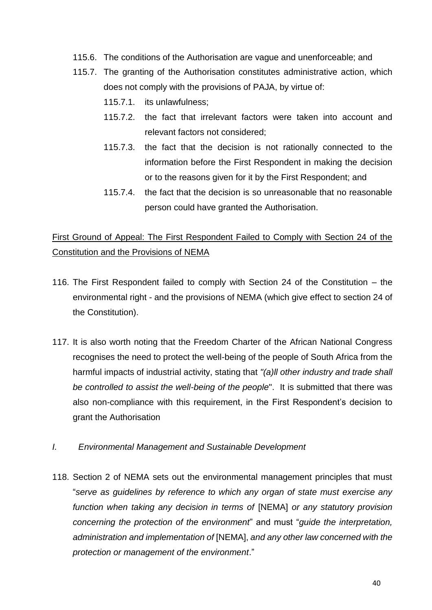- 115.6. The conditions of the Authorisation are vague and unenforceable; and
- 115.7. The granting of the Authorisation constitutes administrative action, which does not comply with the provisions of PAJA, by virtue of:
	- 115.7.1. its unlawfulness;
	- 115.7.2. the fact that irrelevant factors were taken into account and relevant factors not considered;
	- 115.7.3. the fact that the decision is not rationally connected to the information before the First Respondent in making the decision or to the reasons given for it by the First Respondent; and
	- 115.7.4. the fact that the decision is so unreasonable that no reasonable person could have granted the Authorisation.

## First Ground of Appeal: The First Respondent Failed to Comply with Section 24 of the Constitution and the Provisions of NEMA

- 116. The First Respondent failed to comply with Section 24 of the Constitution the environmental right - and the provisions of NEMA (which give effect to section 24 of the Constitution).
- 117. It is also worth noting that the Freedom Charter of the African National Congress recognises the need to protect the well-being of the people of South Africa from the harmful impacts of industrial activity, stating that *"(a)ll other industry and trade shall be controlled to assist the well-being of the people*". It is submitted that there was also non-compliance with this requirement, in the First Respondent's decision to grant the Authorisation
- *I. Environmental Management and Sustainable Development*
- 118. Section 2 of NEMA sets out the environmental management principles that must "*serve as guidelines by reference to which any organ of state must exercise any function when taking any decision in terms of* [NEMA] *or any statutory provision concerning the protection of the environment*" and must "*guide the interpretation, administration and implementation of* [NEMA], *and any other law concerned with the protection or management of the environment*."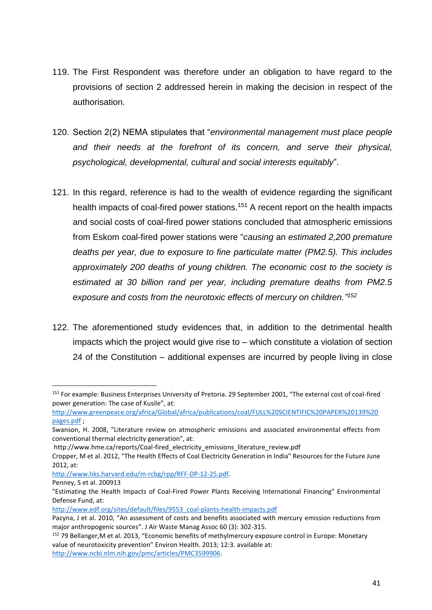- 119. The First Respondent was therefore under an obligation to have regard to the provisions of section 2 addressed herein in making the decision in respect of the authorisation.
- 120. Section 2(2) NEMA stipulates that "*environmental management must place people and their needs at the forefront of its concern, and serve their physical, psychological, developmental, cultural and social interests equitably*".
- 121. In this regard, reference is had to the wealth of evidence regarding the significant health impacts of coal-fired power stations.<sup>151</sup> A recent report on the health impacts and social costs of coal-fired power stations concluded that atmospheric emissions from Eskom coal-fired power stations were "*causing* an *estimated 2,200 premature deaths per year, due to exposure to fine particulate matter (PM2.5). This includes approximately 200 deaths of young children. The economic cost to the society is estimated at 30 billion rand per year, including premature deaths from PM2.5 exposure and costs from the neurotoxic effects of mercury on children." 152*
- 122. The aforementioned study evidences that, in addition to the detrimental health impacts which the project would give rise to – which constitute a violation of section 24 of the Constitution – additional expenses are incurred by people living in close

 $\overline{a}$ 

[http://www.edf.org/sites/default/files/9553\\_coal-plants-health-impacts.pdf](http://www.edf.org/sites/default/files/9553_coal-plants-health-impacts.pdf)

<sup>151</sup> For example: Business Enterprises University of Pretoria. 29 September 2001, "The external cost of coal-fired power generation: The case of Kusile", at:

[http://www.greenpeace.org/africa/Global/africa/publications/coal/FULL%20SCIENTIFIC%20PAPER%20139%20](http://www.greenpeace.org/africa/Global/africa/publications/coal/FULL%20SCIENTIFIC%20PAPER%20139%20pages.pdf) [pages.pdf](http://www.greenpeace.org/africa/Global/africa/publications/coal/FULL%20SCIENTIFIC%20PAPER%20139%20pages.pdf) ;

Swanson, H. 2008, "Literature review on atmospheric emissions and associated environmental effects from conventional thermal electricity generation", at:

http://www.hme.ca/reports/Coal-fired\_electricity\_emissions\_literature\_review.pdf

Cropper, M et al. 2012, "The Health Effects of Coal Electricity Generation in India" Resources for the Future June 2012, at:

[http://www.hks.harvard.edu/m-rcbg/rpp/RFF-DP-12-25.pdf.](http://www.hks.harvard.edu/m-rcbg/rpp/RFF-DP-12-25.pdf)

Penney, S et al. 200913

<sup>&</sup>quot;Estimating the Health Impacts of Coal-Fired Power Plants Receiving International Financing" Environmental Defense Fund, at:

Pacyna, J et al. 2010, "An assessment of costs and benefits associated with mercury emission reductions from major anthropogenic sources". J Air Waste Manag Assoc 60 (3): 302-315.

<sup>152</sup> 79 Bellanger,M et al. 2013, "Economic benefits of methylmercury exposure control in Europe: Monetary value of neurotoxicity prevention" Environ Health. 2013; 12:3. available at: [http://www.ncbi.nlm.nih.gov/pmc/articles/PMC3599906.](http://www.ncbi.nlm.nih.gov/pmc/articles/PMC3599906)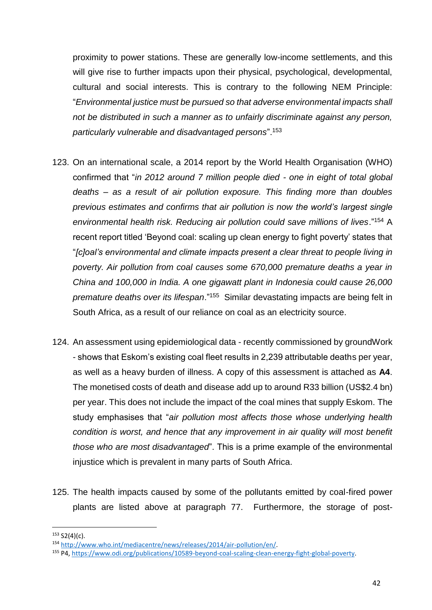proximity to power stations. These are generally low-income settlements, and this will give rise to further impacts upon their physical, psychological, developmental, cultural and social interests. This is contrary to the following NEM Principle: "*Environmental justice must be pursued so that adverse environmental impacts shall not be distributed in such a manner as to unfairly discriminate against any person, particularly vulnerable and disadvantaged persons*".<sup>153</sup>

- 123. On an international scale, a 2014 report by the World Health Organisation (WHO) confirmed that "*in 2012 around 7 million people died - one in eight of total global deaths – as a result of air pollution exposure. This finding more than doubles previous estimates and confirms that air pollution is now the world's largest single environmental health risk. Reducing air pollution could save millions of lives*."<sup>154</sup> A recent report titled 'Beyond coal: scaling up clean energy to fight poverty' states that "*[c]oal's environmental and climate impacts present a clear threat to people living in poverty. Air pollution from coal causes some 670,000 premature deaths a year in China and 100,000 in India. A one gigawatt plant in Indonesia could cause 26,000 premature deaths over its lifespan*."<sup>155</sup> Similar devastating impacts are being felt in South Africa, as a result of our reliance on coal as an electricity source.
- 124. An assessment using epidemiological data recently commissioned by groundWork - shows that Eskom's existing coal fleet results in 2,239 attributable deaths per year, as well as a heavy burden of illness. A copy of this assessment is attached as **A4**. The monetised costs of death and disease add up to around R33 billion (US\$2.4 bn) per year. This does not include the impact of the coal mines that supply Eskom. The study emphasises that "*air pollution most affects those whose underlying health condition is worst, and hence that any improvement in air quality will most benefit those who are most disadvantaged*". This is a prime example of the environmental injustice which is prevalent in many parts of South Africa.
- 125. The health impacts caused by some of the pollutants emitted by coal-fired power plants are listed above at paragraph 77. Furthermore, the storage of post-

 $153 S2(4)(c)$ .

<sup>154</sup> [http://www.who.int/mediacentre/news/releases/2014/air-pollution/en/.](http://www.who.int/mediacentre/news/releases/2014/air-pollution/en/)

<sup>155</sup> P4, [https://www.odi.org/publications/10589-beyond-coal-scaling-clean-energy-fight-global-poverty.](https://www.odi.org/publications/10589-beyond-coal-scaling-clean-energy-fight-global-poverty)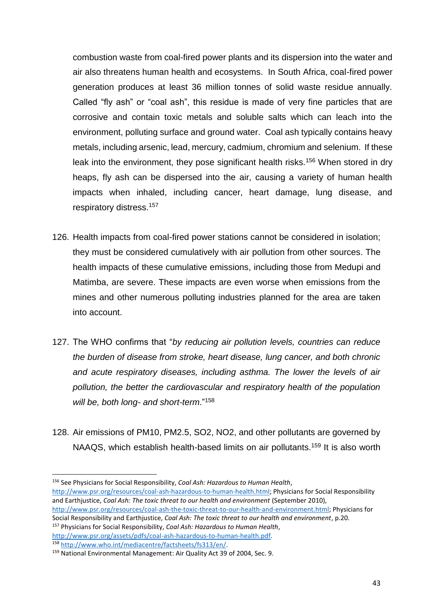combustion waste from coal-fired power plants and its dispersion into the water and air also threatens human health and ecosystems. In South Africa, coal-fired power generation produces at least 36 million tonnes of solid waste residue annually. Called "fly ash" or "coal ash", this residue is made of very fine particles that are corrosive and contain toxic metals and soluble salts which can leach into the environment, polluting surface and ground water. Coal ash typically contains heavy metals, including arsenic, lead, mercury, cadmium, chromium and selenium. If these leak into the environment, they pose significant health risks.<sup>156</sup> When stored in dry heaps, fly ash can be dispersed into the air, causing a variety of human health impacts when inhaled, including cancer, heart damage, lung disease, and respiratory distress.<sup>157</sup>

- 126. Health impacts from coal-fired power stations cannot be considered in isolation; they must be considered cumulatively with air pollution from other sources. The health impacts of these cumulative emissions, including those from Medupi and Matimba, are severe. These impacts are even worse when emissions from the mines and other numerous polluting industries planned for the area are taken into account.
- 127. The WHO confirms that "*by reducing air pollution levels, countries can reduce the burden of disease from stroke, heart disease, lung cancer, and both chronic and acute respiratory diseases, including asthma. The lower the levels of air pollution, the better the cardiovascular and respiratory health of the population will be, both long- and short-term*."<sup>158</sup>
- 128. Air emissions of PM10, PM2.5, SO2, NO2, and other pollutants are governed by NAAQS, which establish health-based limits on air pollutants.<sup>159</sup> It is also worth

Social Responsibility and Earthjustice, *Coal Ash: The toxic threat to our health and environment*, p.20. <sup>157</sup> Physicians for Social Responsibility, *Coal Ash: Hazardous to Human Health*,

[http://www.psr.org/assets/pdfs/coal-ash-hazardous-to-human-health.pdf.](http://www.psr.org/assets/pdfs/coal-ash-hazardous-to-human-health.pdf) <sup>158</sup> [http://www.who.int/mediacentre/factsheets/fs313/en/.](http://www.who.int/mediacentre/factsheets/fs313/en/)

**<sup>.</sup>** <sup>156</sup> See Physicians for Social Responsibility, *Coal Ash: Hazardous to Human Health*, [http://www.psr.org/resources/coal-ash-hazardous-to-human-health.html;](http://www.psr.org/resources/coal-ash-hazardous-to-human-health.html) Physicians for Social Responsibility and Earthjustice, *Coal Ash: The toxic threat to our health and environment* (September 2010), [http://www.psr.org/resources/coal-ash-the-toxic-threat-to-our-health-and-environment.html;](http://www.psr.org/resources/coal-ash-the-toxic-threat-to-our-health-and-environment.html) Physicians for

<sup>159</sup> National Environmental Management: Air Quality Act 39 of 2004, Sec. 9.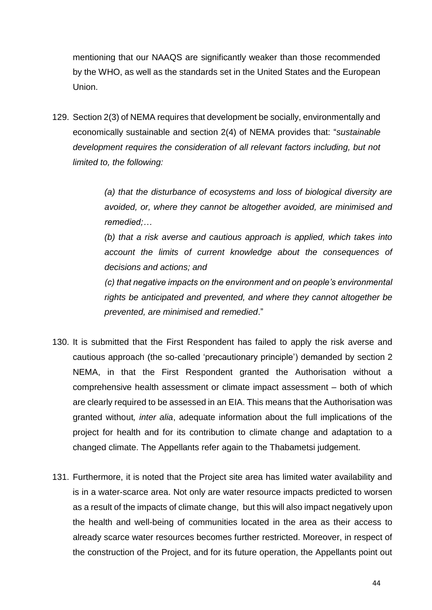mentioning that our NAAQS are significantly weaker than those recommended by the WHO, as well as the standards set in the United States and the European Union.

129. Section 2(3) of NEMA requires that development be socially, environmentally and economically sustainable and section 2(4) of NEMA provides that: "*sustainable development requires the consideration of all relevant factors including, but not limited to, the following:*

> *(a) that the disturbance of ecosystems and loss of biological diversity are avoided, or, where they cannot be altogether avoided, are minimised and remedied;…*

> *(b) that a risk averse and cautious approach is applied, which takes into account the limits of current knowledge about the consequences of decisions and actions; and*

> *(c) that negative impacts on the environment and on people's environmental rights be anticipated and prevented, and where they cannot altogether be prevented, are minimised and remedied*."

- 130. It is submitted that the First Respondent has failed to apply the risk averse and cautious approach (the so-called 'precautionary principle') demanded by section 2 NEMA, in that the First Respondent granted the Authorisation without a comprehensive health assessment or climate impact assessment – both of which are clearly required to be assessed in an EIA. This means that the Authorisation was granted without*, inter alia*, adequate information about the full implications of the project for health and for its contribution to climate change and adaptation to a changed climate. The Appellants refer again to the Thabametsi judgement.
- 131. Furthermore, it is noted that the Project site area has limited water availability and is in a water-scarce area. Not only are water resource impacts predicted to worsen as a result of the impacts of climate change, but this will also impact negatively upon the health and well-being of communities located in the area as their access to already scarce water resources becomes further restricted. Moreover, in respect of the construction of the Project, and for its future operation, the Appellants point out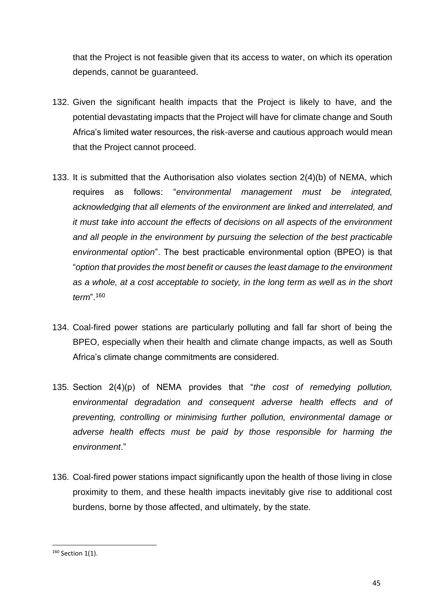that the Project is not feasible given that its access to water, on which its operation depends, cannot be guaranteed.

- 132. Given the significant health impacts that the Project is likely to have, and the potential devastating impacts that the Project will have for climate change and South Africa's limited water resources, the risk-averse and cautious approach would mean that the Project cannot proceed.
- 133. It is submitted that the Authorisation also violates section 2(4)(b) of NEMA, which requires as follows: "*environmental management must be integrated, acknowledging that all elements of the environment are linked and interrelated, and it must take into account the effects of decisions on all aspects of the environment and all people in the environment by pursuing the selection of the best practicable environmental option*". The best practicable environmental option (BPEO) is that "*option that provides the most benefit or causes the least damage to the environment as a whole, at a cost acceptable to society, in the long term as well as in the short term*".<sup>160</sup>
- 134. Coal-fired power stations are particularly polluting and fall far short of being the BPEO, especially when their health and climate change impacts, as well as South Africa's climate change commitments are considered.
- 135. Section 2(4)(p) of NEMA provides that "*the cost of remedying pollution, environmental degradation and consequent adverse health effects and of preventing, controlling or minimising further pollution, environmental damage or adverse health effects must be paid by those responsible for harming the environment*."
- 136. Coal-fired power stations impact significantly upon the health of those living in close proximity to them, and these health impacts inevitably give rise to additional cost burdens, borne by those affected, and ultimately, by the state.

**<sup>.</sup>** <sup>160</sup> Section 1(1).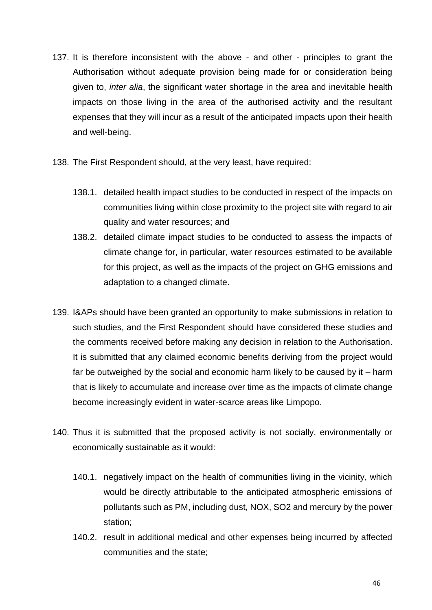- 137. It is therefore inconsistent with the above and other principles to grant the Authorisation without adequate provision being made for or consideration being given to, *inter alia*, the significant water shortage in the area and inevitable health impacts on those living in the area of the authorised activity and the resultant expenses that they will incur as a result of the anticipated impacts upon their health and well-being.
- 138. The First Respondent should, at the very least, have required:
	- 138.1. detailed health impact studies to be conducted in respect of the impacts on communities living within close proximity to the project site with regard to air quality and water resources; and
	- 138.2. detailed climate impact studies to be conducted to assess the impacts of climate change for, in particular, water resources estimated to be available for this project, as well as the impacts of the project on GHG emissions and adaptation to a changed climate.
- 139. I&APs should have been granted an opportunity to make submissions in relation to such studies, and the First Respondent should have considered these studies and the comments received before making any decision in relation to the Authorisation. It is submitted that any claimed economic benefits deriving from the project would far be outweighed by the social and economic harm likely to be caused by it – harm that is likely to accumulate and increase over time as the impacts of climate change become increasingly evident in water-scarce areas like Limpopo.
- 140. Thus it is submitted that the proposed activity is not socially, environmentally or economically sustainable as it would:
	- 140.1. negatively impact on the health of communities living in the vicinity, which would be directly attributable to the anticipated atmospheric emissions of pollutants such as PM, including dust, NOX, SO2 and mercury by the power station;
	- 140.2. result in additional medical and other expenses being incurred by affected communities and the state;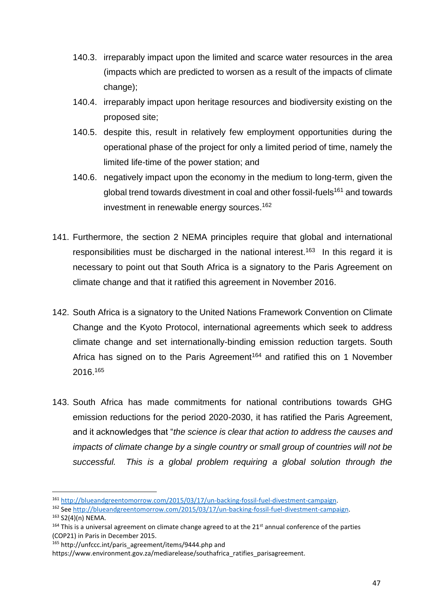- 140.3. irreparably impact upon the limited and scarce water resources in the area (impacts which are predicted to worsen as a result of the impacts of climate change);
- 140.4. irreparably impact upon heritage resources and biodiversity existing on the proposed site;
- 140.5. despite this, result in relatively few employment opportunities during the operational phase of the project for only a limited period of time, namely the limited life-time of the power station; and
- 140.6. negatively impact upon the economy in the medium to long-term, given the global trend towards divestment in coal and other fossil-fuels<sup>161</sup> and towards investment in renewable energy sources. 162
- 141. Furthermore, the section 2 NEMA principles require that global and international responsibilities must be discharged in the national interest.<sup>163</sup> In this regard it is necessary to point out that South Africa is a signatory to the Paris Agreement on climate change and that it ratified this agreement in November 2016.
- 142. South Africa is a signatory to the United Nations Framework Convention on Climate Change and the Kyoto Protocol, international agreements which seek to address climate change and set internationally-binding emission reduction targets. South Africa has signed on to the Paris Agreement<sup>164</sup> and ratified this on 1 November 2016.<sup>165</sup>
- 143. South Africa has made commitments for national contributions towards GHG emission reductions for the period 2020-2030, it has ratified the Paris Agreement, and it acknowledges that "*the science is clear that action to address the causes and impacts of climate change by a single country or small group of countries will not be successful. This is a global problem requiring a global solution through the*

 $\overline{a}$ 

<sup>161</sup> [http://blueandgreentomorrow.com/2015/03/17/un-backing-fossil-fuel-divestment-campaign.](http://blueandgreentomorrow.com/2015/03/17/un-backing-fossil-fuel-divestment-campaign)

<sup>162</sup> See [http://blueandgreentomorrow.com/2015/03/17/un-backing-fossil-fuel-divestment-campaign.](http://blueandgreentomorrow.com/2015/03/17/un-backing-fossil-fuel-divestment-campaign)

<sup>163</sup> S2(4)(n) NEMA.

<sup>&</sup>lt;sup>164</sup> This is a universal agreement on climate change agreed to at the 21<sup>st</sup> annual conference of the parties (COP21) in Paris in December 2015.

<sup>165</sup> http://unfccc.int/paris\_agreement/items/9444.php and

https://www.environment.gov.za/mediarelease/southafrica\_ratifies\_parisagreement.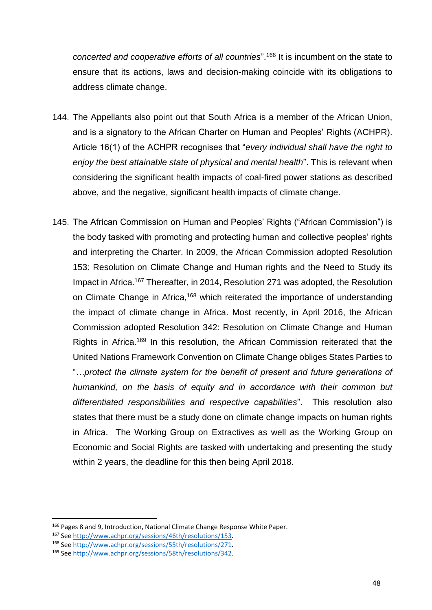*concerted and cooperative efforts of all countries*".<sup>166</sup> It is incumbent on the state to ensure that its actions, laws and decision-making coincide with its obligations to address climate change.

- 144. The Appellants also point out that South Africa is a member of the African Union, and is a signatory to the African Charter on Human and Peoples' Rights (ACHPR). Article 16(1) of the ACHPR recognises that "*every individual shall have the right to enjoy the best attainable state of physical and mental health*". This is relevant when considering the significant health impacts of coal-fired power stations as described above, and the negative, significant health impacts of climate change.
- 145. The African Commission on Human and Peoples' Rights ("African Commission") is the body tasked with promoting and protecting human and collective peoples' rights and interpreting the Charter. In 2009, the African Commission adopted Resolution 153: Resolution on Climate Change and Human rights and the Need to Study its Impact in Africa.<sup>167</sup> Thereafter, in 2014, Resolution 271 was adopted, the Resolution on Climate Change in Africa,<sup>168</sup> which reiterated the importance of understanding the impact of climate change in Africa. Most recently, in April 2016, the African Commission adopted Resolution 342: Resolution on Climate Change and Human Rights in Africa.<sup>169</sup> In this resolution, the African Commission reiterated that the United Nations Framework Convention on Climate Change obliges States Parties to "*…protect the climate system for the benefit of present and future generations of humankind, on the basis of equity and in accordance with their common but differentiated responsibilities and respective capabilities*". This resolution also states that there must be a study done on climate change impacts on human rights in Africa. The Working Group on Extractives as well as the Working Group on Economic and Social Rights are tasked with undertaking and presenting the study within 2 years, the deadline for this then being April 2018.

<sup>166</sup> Pages 8 and 9, Introduction, National Climate Change Response White Paper.

<sup>167</sup> See [http://www.achpr.org/sessions/46th/resolutions/153.](http://www.achpr.org/sessions/46th/resolutions/153) 

<sup>168</sup> See [http://www.achpr.org/sessions/55th/resolutions/271.](http://www.achpr.org/sessions/55th/resolutions/271)

<sup>169</sup> See [http://www.achpr.org/sessions/58th/resolutions/342.](http://www.achpr.org/sessions/58th/resolutions/342)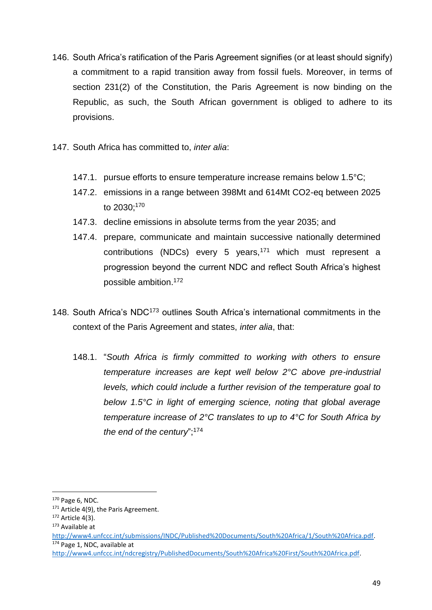- 146. South Africa's ratification of the Paris Agreement signifies (or at least should signify) a commitment to a rapid transition away from fossil fuels. Moreover, in terms of section 231(2) of the Constitution, the Paris Agreement is now binding on the Republic, as such, the South African government is obliged to adhere to its provisions.
- 147. South Africa has committed to, *inter alia*:
	- 147.1. pursue efforts to ensure temperature increase remains below 1.5°C;
	- 147.2. emissions in a range between 398Mt and 614Mt CO2-eq between 2025 to 2030;<sup>170</sup>
	- 147.3. decline emissions in absolute terms from the year 2035; and
	- 147.4. prepare, communicate and maintain successive nationally determined contributions (NDCs) every 5 years,<sup>171</sup> which must represent a progression beyond the current NDC and reflect South Africa's highest possible ambition.<sup>172</sup>
- 148. South Africa's NDC<sup>173</sup> outlines South Africa's international commitments in the context of the Paris Agreement and states, *inter alia*, that:
	- 148.1. "*South Africa is firmly committed to working with others to ensure temperature increases are kept well below 2°C above pre-industrial levels, which could include a further revision of the temperature goal to below 1.5°C in light of emerging science, noting that global average temperature increase of 2°C translates to up to 4°C for South Africa by the end of the century*";<sup>174</sup>

 $\overline{a}$ 

<sup>170</sup> Page 6, NDC.

<sup>&</sup>lt;sup>171</sup> Article 4(9), the Paris Agreement.

 $172$  Article 4(3).

<sup>173</sup> Available at

[http://www4.unfccc.int/submissions/INDC/Published%20Documents/South%20Africa/1/South%20Africa.pdf.](http://www4.unfccc.int/submissions/INDC/Published%20Documents/South%20Africa/1/South%20Africa.pdf) <sup>174</sup> Page 1, NDC, available at

[http://www4.unfccc.int/ndcregistry/PublishedDocuments/South%20Africa%20First/South%20Africa.pdf.](http://www4.unfccc.int/ndcregistry/PublishedDocuments/South%20Africa%20First/South%20Africa.pdf)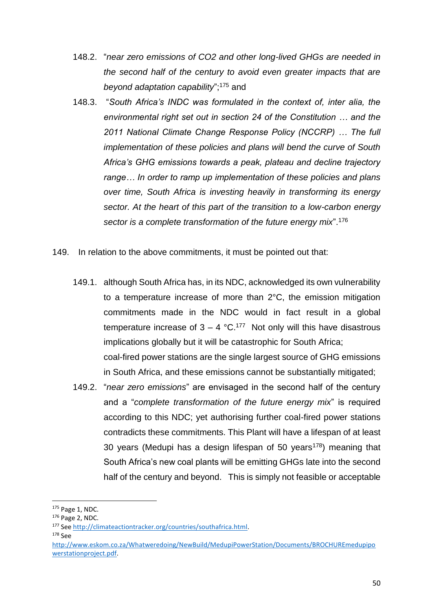- 148.2. "*near zero emissions of CO2 and other long-lived GHGs are needed in the second half of the century to avoid even greater impacts that are beyond adaptation capability*";<sup>175</sup> and
- 148.3. "*South Africa's INDC was formulated in the context of, inter alia, the environmental right set out in section 24 of the Constitution … and the 2011 National Climate Change Response Policy (NCCRP) … The full implementation of these policies and plans will bend the curve of South Africa's GHG emissions towards a peak, plateau and decline trajectory range… In order to ramp up implementation of these policies and plans over time, South Africa is investing heavily in transforming its energy sector. At the heart of this part of the transition to a low-carbon energy sector is a complete transformation of the future energy mix*".<sup>176</sup>
- 149. In relation to the above commitments, it must be pointed out that:
	- 149.1. although South Africa has, in its NDC, acknowledged its own vulnerability to a temperature increase of more than 2°C, the emission mitigation commitments made in the NDC would in fact result in a global temperature increase of  $3 - 4$  °C.<sup>177</sup> Not only will this have disastrous implications globally but it will be catastrophic for South Africa; coal-fired power stations are the single largest source of GHG emissions in South Africa, and these emissions cannot be substantially mitigated;
	- 149.2. "*near zero emissions*" are envisaged in the second half of the century and a "*complete transformation of the future energy mix*" is required according to this NDC; yet authorising further coal-fired power stations contradicts these commitments. This Plant will have a lifespan of at least 30 years (Medupi has a design lifespan of 50 years<sup>178</sup>) meaning that South Africa's new coal plants will be emitting GHGs late into the second half of the century and beyond. This is simply not feasible or acceptable

178 See

<sup>175</sup> Page 1, NDC.

<sup>176</sup> Page 2, NDC.

<sup>177</sup> See [http://climateactiontracker.org/countries/southafrica.html.](http://climateactiontracker.org/countries/southafrica.html) 

[http://www.eskom.co.za/Whatweredoing/NewBuild/MedupiPowerStation/Documents/BROCHUREmedupipo](http://www.eskom.co.za/Whatweredoing/NewBuild/MedupiPowerStation/Documents/BROCHUREmedupipowerstationproject.pdf) [werstationproject.pdf.](http://www.eskom.co.za/Whatweredoing/NewBuild/MedupiPowerStation/Documents/BROCHUREmedupipowerstationproject.pdf)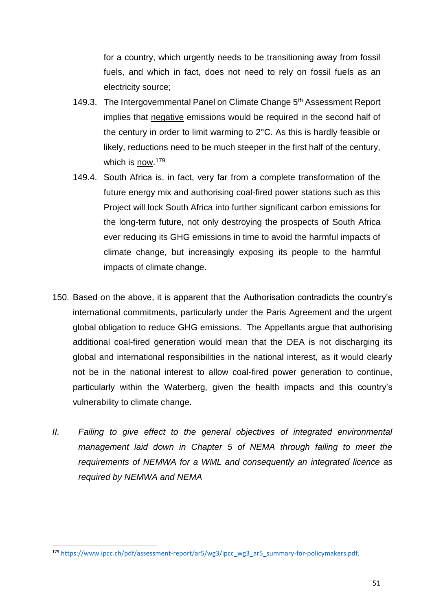for a country, which urgently needs to be transitioning away from fossil fuels, and which in fact, does not need to rely on fossil fuels as an electricity source;

- 149.3. The Intergovernmental Panel on Climate Change 5<sup>th</sup> Assessment Report implies that negative emissions would be required in the second half of the century in order to limit warming to 2°C. As this is hardly feasible or likely, reductions need to be much steeper in the first half of the century, which is <u>now</u>.179
- 149.4. South Africa is, in fact, very far from a complete transformation of the future energy mix and authorising coal-fired power stations such as this Project will lock South Africa into further significant carbon emissions for the long-term future, not only destroying the prospects of South Africa ever reducing its GHG emissions in time to avoid the harmful impacts of climate change, but increasingly exposing its people to the harmful impacts of climate change.
- 150. Based on the above, it is apparent that the Authorisation contradicts the country's international commitments, particularly under the Paris Agreement and the urgent global obligation to reduce GHG emissions. The Appellants argue that authorising additional coal-fired generation would mean that the DEA is not discharging its global and international responsibilities in the national interest, as it would clearly not be in the national interest to allow coal-fired power generation to continue, particularly within the Waterberg, given the health impacts and this country's vulnerability to climate change.
- *II.* Failing to give effect to the general objectives of integrated environmental *management laid down in Chapter 5 of NEMA through failing to meet the requirements of NEMWA for a WML and consequently an integrated licence as required by NEMWA and NEMA*

**<sup>.</sup>** <sup>179</sup> [https://www.ipcc.ch/pdf/assessment-report/ar5/wg3/ipcc\\_wg3\\_ar5\\_summary-for-policymakers.pdf.](https://www.ipcc.ch/pdf/assessment-report/ar5/wg3/ipcc_wg3_ar5_summary-for-policymakers.pdf)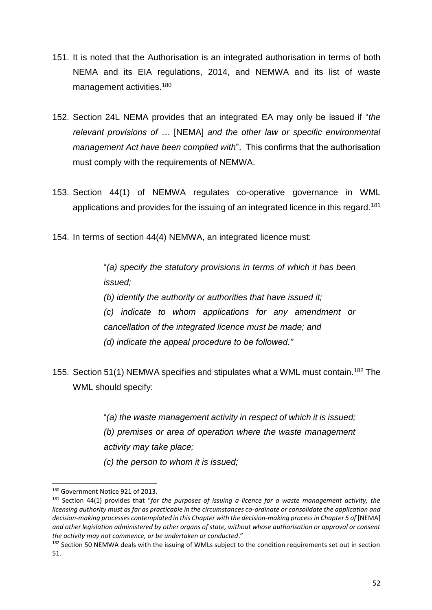- 151. It is noted that the Authorisation is an integrated authorisation in terms of both NEMA and its EIA regulations, 2014, and NEMWA and its list of waste management activities.<sup>180</sup>
- 152. Section 24L NEMA provides that an integrated EA may only be issued if "*the relevant provisions of …* [NEMA] *and the other law or specific environmental management Act have been complied with*". This confirms that the authorisation must comply with the requirements of NEMWA.
- 153. Section 44(1) of NEMWA regulates co-operative governance in WML applications and provides for the issuing of an integrated licence in this regard.<sup>181</sup>
- 154. In terms of section 44(4) NEMWA, an integrated licence must:

"*(a) specify the statutory provisions in terms of which it has been issued;*

*(b) identify the authority or authorities that have issued it; (c) indicate to whom applications for any amendment or cancellation of the integrated licence must be made; and (d) indicate the appeal procedure to be followed."*

155. Section 51(1) NEMWA specifies and stipulates what a WML must contain.<sup>182</sup> The WML should specify:

> "*(a) the waste management activity in respect of which it is issued; (b) premises or area of operation where the waste management activity may take place; (c) the person to whom it is issued;*

<sup>&</sup>lt;sup>180</sup> Government Notice 921 of 2013.

<sup>181</sup> Section 44(1) provides that "*for the purposes of issuing a licence for a waste management activity, the licensing authority must as far as practicable in the circumstances co-ordinate or consolidate the application and decision-making processes contemplated in this Chapter with the decision-making process in Chapter 5 of* [NEMA] *and other legislation administered by other organs of state, without whose authorisation or approval or consent the activity may not commence, or be undertaken or conducted*."

<sup>&</sup>lt;sup>182</sup> Section 50 NEMWA deals with the issuing of WMLs subject to the condition requirements set out in section 51.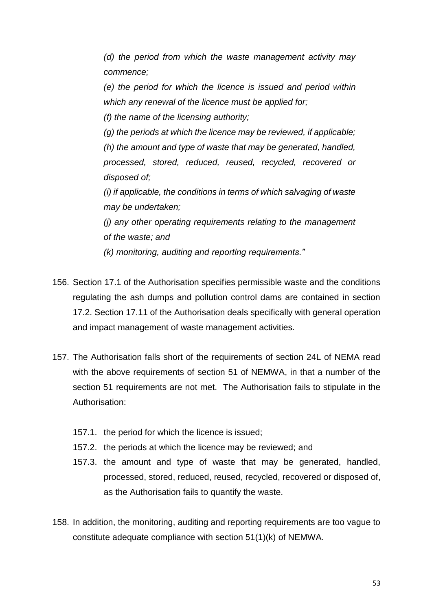*(d) the period from which the waste management activity may commence;* 

*(e) the period for which the licence is issued and period within which any renewal of the licence must be applied for;* 

*(f) the name of the licensing authority;* 

*(g) the periods at which the licence may be reviewed, if applicable; (h) the amount and type of waste that may be generated, handled, processed, stored, reduced, reused, recycled, recovered or disposed of;* 

*(i) if applicable, the conditions in terms of which salvaging of waste may be undertaken;* 

*(j) any other operating requirements relating to the management of the waste; and* 

*(k) monitoring, auditing and reporting requirements."*

- 156. Section 17.1 of the Authorisation specifies permissible waste and the conditions regulating the ash dumps and pollution control dams are contained in section 17.2. Section 17.11 of the Authorisation deals specifically with general operation and impact management of waste management activities.
- 157. The Authorisation falls short of the requirements of section 24L of NEMA read with the above requirements of section 51 of NEMWA, in that a number of the section 51 requirements are not met. The Authorisation fails to stipulate in the Authorisation:
	- 157.1. the period for which the licence is issued;
	- 157.2. the periods at which the licence may be reviewed; and
	- 157.3. the amount and type of waste that may be generated, handled, processed, stored, reduced, reused, recycled, recovered or disposed of, as the Authorisation fails to quantify the waste.
- 158. In addition, the monitoring, auditing and reporting requirements are too vague to constitute adequate compliance with section 51(1)(k) of NEMWA.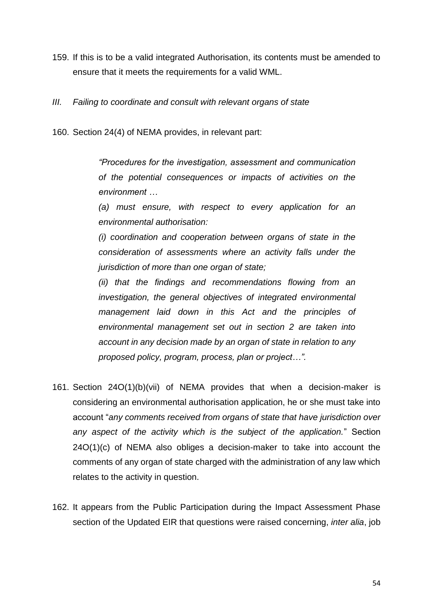- 159. If this is to be a valid integrated Authorisation, its contents must be amended to ensure that it meets the requirements for a valid WML.
- *III. Failing to coordinate and consult with relevant organs of state*
- 160. Section 24(4) of NEMA provides, in relevant part:

*"Procedures for the investigation, assessment and communication of the potential consequences or impacts of activities on the environment …* 

*(a) must ensure, with respect to every application for an environmental authorisation:*

*(i) coordination and cooperation between organs of state in the consideration of assessments where an activity falls under the jurisdiction of more than one organ of state;* 

*(ii) that the findings and recommendations flowing from an investigation, the general objectives of integrated environmental management laid down in this Act and the principles of environmental management set out in section 2 are taken into account in any decision made by an organ of state in relation to any proposed policy, program, process, plan or project…".*

- 161. Section 24O(1)(b)(vii) of NEMA provides that when a decision-maker is considering an environmental authorisation application, he or she must take into account "*any comments received from organs of state that have jurisdiction over any aspect of the activity which is the subject of the application.*" Section 24O(1)(c) of NEMA also obliges a decision-maker to take into account the comments of any organ of state charged with the administration of any law which relates to the activity in question.
- 162. It appears from the Public Participation during the Impact Assessment Phase section of the Updated EIR that questions were raised concerning, *inter alia*, job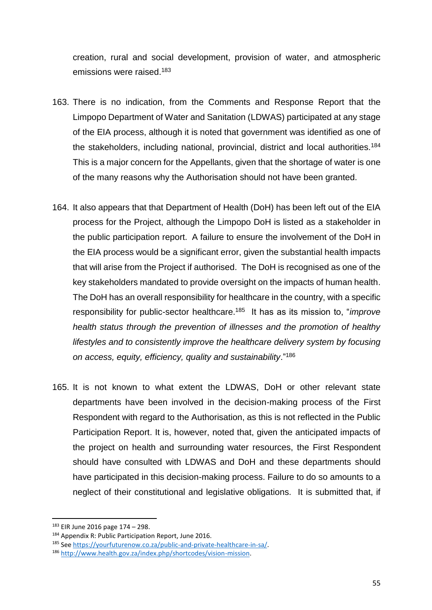creation, rural and social development, provision of water, and atmospheric emissions were raised. 183

- 163. There is no indication, from the Comments and Response Report that the Limpopo Department of Water and Sanitation (LDWAS) participated at any stage of the EIA process, although it is noted that government was identified as one of the stakeholders, including national, provincial, district and local authorities.<sup>184</sup> This is a major concern for the Appellants, given that the shortage of water is one of the many reasons why the Authorisation should not have been granted.
- 164. It also appears that that Department of Health (DoH) has been left out of the EIA process for the Project, although the Limpopo DoH is listed as a stakeholder in the public participation report. A failure to ensure the involvement of the DoH in the EIA process would be a significant error, given the substantial health impacts that will arise from the Project if authorised. The DoH is recognised as one of the key stakeholders mandated to provide oversight on the impacts of human health. The DoH has an overall responsibility for healthcare in the country, with a specific responsibility for public-sector healthcare. 185 It has as its mission to, "*improve health status through the prevention of illnesses and the promotion of healthy lifestyles and to consistently improve the healthcare delivery system by focusing on access, equity, efficiency, quality and sustainability*."<sup>186</sup>
- 165. It is not known to what extent the LDWAS, DoH or other relevant state departments have been involved in the decision-making process of the First Respondent with regard to the Authorisation, as this is not reflected in the Public Participation Report. It is, however, noted that, given the anticipated impacts of the project on health and surrounding water resources, the First Respondent should have consulted with LDWAS and DoH and these departments should have participated in this decision-making process. Failure to do so amounts to a neglect of their constitutional and legislative obligations. It is submitted that, if

<sup>183</sup> EIR June 2016 page 174 – 298.

<sup>184</sup> Appendix R: Public Participation Report, June 2016.

<sup>185</sup> See [https://yourfuturenow.co.za/public-and-private-healthcare-in-sa/.](https://yourfuturenow.co.za/public-and-private-healthcare-in-sa/) 

<sup>186</sup> [http://www.health.gov.za/index.php/shortcodes/vision-mission.](http://www.health.gov.za/index.php/shortcodes/vision-mission)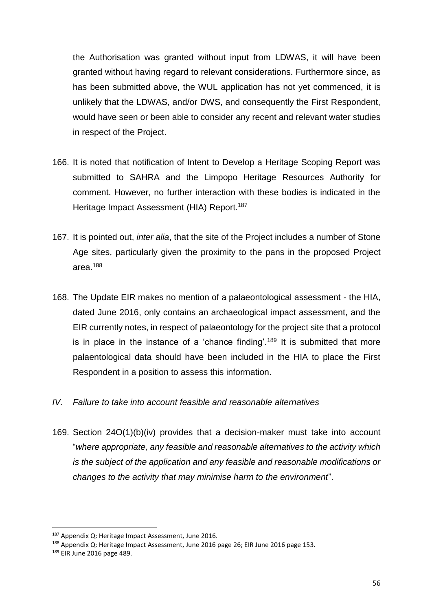the Authorisation was granted without input from LDWAS, it will have been granted without having regard to relevant considerations. Furthermore since, as has been submitted above, the WUL application has not yet commenced, it is unlikely that the LDWAS, and/or DWS, and consequently the First Respondent, would have seen or been able to consider any recent and relevant water studies in respect of the Project.

- 166. It is noted that notification of Intent to Develop a Heritage Scoping Report was submitted to SAHRA and the Limpopo Heritage Resources Authority for comment. However, no further interaction with these bodies is indicated in the Heritage Impact Assessment (HIA) Report.<sup>187</sup>
- 167. It is pointed out, *inter alia*, that the site of the Project includes a number of Stone Age sites, particularly given the proximity to the pans in the proposed Project area.<sup>188</sup>
- 168. The Update EIR makes no mention of a palaeontological assessment the HIA, dated June 2016, only contains an archaeological impact assessment, and the EIR currently notes, in respect of palaeontology for the project site that a protocol is in place in the instance of a 'chance finding'.<sup>189</sup> It is submitted that more palaentological data should have been included in the HIA to place the First Respondent in a position to assess this information.
- *IV. Failure to take into account feasible and reasonable alternatives*
- 169. Section 24O(1)(b)(iv) provides that a decision-maker must take into account "*where appropriate, any feasible and reasonable alternatives to the activity which is the subject of the application and any feasible and reasonable modifications or changes to the activity that may minimise harm to the environment*".

<sup>&</sup>lt;sup>187</sup> Appendix Q: Heritage Impact Assessment, June 2016.

<sup>188</sup> Appendix Q: Heritage Impact Assessment, June 2016 page 26; EIR June 2016 page 153.

<sup>189</sup> EIR June 2016 page 489.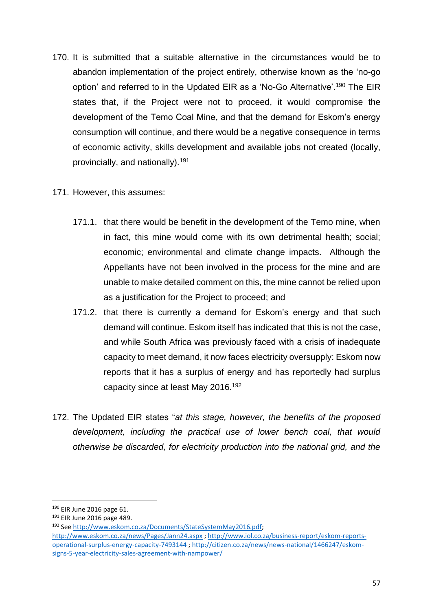- 170. It is submitted that a suitable alternative in the circumstances would be to abandon implementation of the project entirely, otherwise known as the 'no-go option' and referred to in the Updated EIR as a 'No-Go Alternative'.<sup>190</sup> The EIR states that, if the Project were not to proceed, it would compromise the development of the Temo Coal Mine, and that the demand for Eskom's energy consumption will continue, and there would be a negative consequence in terms of economic activity, skills development and available jobs not created (locally, provincially, and nationally).<sup>191</sup>
- 171. However, this assumes:
	- 171.1. that there would be benefit in the development of the Temo mine, when in fact, this mine would come with its own detrimental health; social; economic; environmental and climate change impacts. Although the Appellants have not been involved in the process for the mine and are unable to make detailed comment on this, the mine cannot be relied upon as a justification for the Project to proceed; and
	- 171.2. that there is currently a demand for Eskom's energy and that such demand will continue. Eskom itself has indicated that this is not the case, and while South Africa was previously faced with a crisis of inadequate capacity to meet demand, it now faces electricity oversupply: Eskom now reports that it has a surplus of energy and has reportedly had surplus capacity since at least May 2016.<sup>192</sup>
- 172. The Updated EIR states "*at this stage, however, the benefits of the proposed development, including the practical use of lower bench coal, that would otherwise be discarded, for electricity production into the national grid, and the*

<sup>190</sup> EIR June 2016 page 61.

<sup>191</sup> EIR June 2016 page 489.

<sup>192</sup> See [http://www.eskom.co.za/Documents/StateSystemMay2016.pdf;](http://www.eskom.co.za/Documents/StateSystemMay2016.pdf) 

<http://www.eskom.co.za/news/Pages/Jann24.aspx> [; http://www.iol.co.za/business-report/eskom-reports](http://www.iol.co.za/business-report/eskom-reports-operational-surplus-energy-capacity-7493144)[operational-surplus-energy-capacity-7493144](http://www.iol.co.za/business-report/eskom-reports-operational-surplus-energy-capacity-7493144) [; http://citizen.co.za/news/news-national/1466247/eskom](http://citizen.co.za/news/news-national/1466247/eskom-signs-5-year-electricity-sales-agreement-with-nampower/)[signs-5-year-electricity-sales-agreement-with-nampower/](http://citizen.co.za/news/news-national/1466247/eskom-signs-5-year-electricity-sales-agreement-with-nampower/)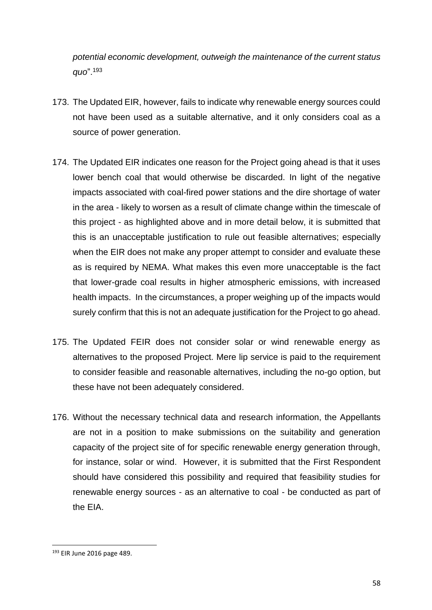*potential economic development, outweigh the maintenance of the current status quo*".<sup>193</sup>

- 173. The Updated EIR, however, fails to indicate why renewable energy sources could not have been used as a suitable alternative, and it only considers coal as a source of power generation.
- 174. The Updated EIR indicates one reason for the Project going ahead is that it uses lower bench coal that would otherwise be discarded. In light of the negative impacts associated with coal-fired power stations and the dire shortage of water in the area - likely to worsen as a result of climate change within the timescale of this project - as highlighted above and in more detail below, it is submitted that this is an unacceptable justification to rule out feasible alternatives; especially when the EIR does not make any proper attempt to consider and evaluate these as is required by NEMA. What makes this even more unacceptable is the fact that lower-grade coal results in higher atmospheric emissions, with increased health impacts. In the circumstances, a proper weighing up of the impacts would surely confirm that this is not an adequate justification for the Project to go ahead.
- 175. The Updated FEIR does not consider solar or wind renewable energy as alternatives to the proposed Project. Mere lip service is paid to the requirement to consider feasible and reasonable alternatives, including the no-go option, but these have not been adequately considered.
- 176. Without the necessary technical data and research information, the Appellants are not in a position to make submissions on the suitability and generation capacity of the project site of for specific renewable energy generation through, for instance, solar or wind. However, it is submitted that the First Respondent should have considered this possibility and required that feasibility studies for renewable energy sources - as an alternative to coal - be conducted as part of the EIA.

<sup>193</sup> EIR June 2016 page 489.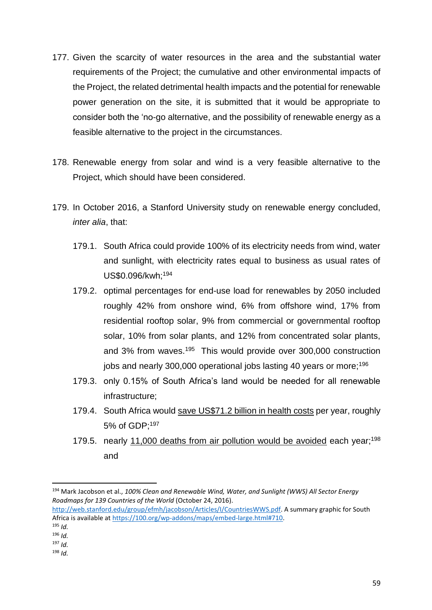- 177. Given the scarcity of water resources in the area and the substantial water requirements of the Project; the cumulative and other environmental impacts of the Project, the related detrimental health impacts and the potential for renewable power generation on the site, it is submitted that it would be appropriate to consider both the 'no-go alternative, and the possibility of renewable energy as a feasible alternative to the project in the circumstances.
- 178. Renewable energy from solar and wind is a very feasible alternative to the Project, which should have been considered.
- 179. In October 2016, a Stanford University study on renewable energy concluded, *inter alia*, that:
	- 179.1. South Africa could provide 100% of its electricity needs from wind, water and sunlight, with electricity rates equal to business as usual rates of US\$0.096/kwh;<sup>194</sup>
	- 179.2. optimal percentages for end-use load for renewables by 2050 included roughly 42% from onshore wind, 6% from offshore wind, 17% from residential rooftop solar, 9% from commercial or governmental rooftop solar, 10% from solar plants, and 12% from concentrated solar plants, and 3% from waves.<sup>195</sup> This would provide over 300,000 construction jobs and nearly 300,000 operational jobs lasting 40 years or more;<sup>196</sup>
	- 179.3. only 0.15% of South Africa's land would be needed for all renewable infrastructure;
	- 179.4. South Africa would save US\$71.2 billion in health costs per year, roughly 5% of GDP;<sup>197</sup>
	- 179.5. nearly 11,000 deaths from air pollution would be avoided each year;<sup>198</sup> and

<sup>194</sup> Mark Jacobson et al., *100% Clean and Renewable Wind, Water, and Sunlight (WWS) All Sector Energy Roadmaps for 139 Countries of the World* (October 24, 2016).

[http://web.stanford.edu/group/efmh/jacobson/Articles/I/CountriesWWS.pdf.](http://web.stanford.edu/group/efmh/jacobson/Articles/I/CountriesWWS.pdf) A summary graphic for South Africa is available at [https://100.org/wp-addons/maps/embed-large.html#710.](https://100.org/wp-addons/maps/embed-large.html#710)

<sup>195</sup> *Id.*

<sup>196</sup> *Id.* <sup>197</sup> *Id.*

<sup>198</sup> *Id.*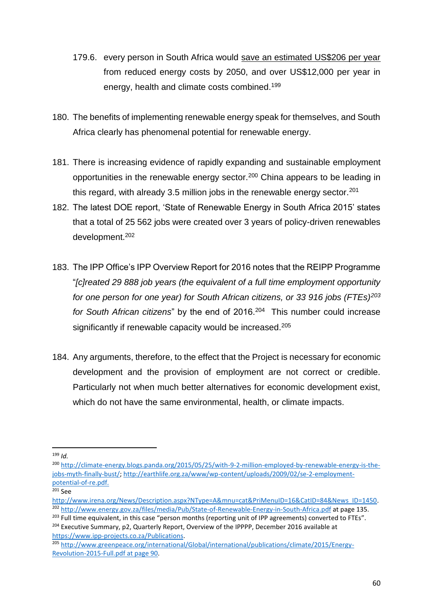- 179.6. every person in South Africa would save an estimated US\$206 per year from reduced energy costs by 2050, and over US\$12,000 per year in energy, health and climate costs combined.<sup>199</sup>
- 180. The benefits of implementing renewable energy speak for themselves, and South Africa clearly has phenomenal potential for renewable energy.
- 181. There is increasing evidence of rapidly expanding and sustainable employment opportunities in the renewable energy sector.<sup>200</sup> China appears to be leading in this regard, with already 3.5 million jobs in the renewable energy sector.<sup>201</sup>
- 182. The latest DOE report, 'State of Renewable Energy in South Africa 2015' states that a total of 25 562 jobs were created over 3 years of policy-driven renewables development.<sup>202</sup>
- 183. The IPP Office's IPP Overview Report for 2016 notes that the REIPP Programme "*[c]reated 29 888 job years (the equivalent of a full time employment opportunity for one person for one year) for South African citizens, or 33 916 jobs (FTEs)<sup>203</sup>* for South African citizens" by the end of 2016.<sup>204</sup> This number could increase significantly if renewable capacity would be increased.<sup>205</sup>
- 184. Any arguments, therefore, to the effect that the Project is necessary for economic development and the provision of employment are not correct or credible. Particularly not when much better alternatives for economic development exist, which do not have the same environmental, health, or climate impacts.

 $\overline{a}$ <sup>199</sup> *Id.*

<sup>200</sup> [http://climate-energy.blogs.panda.org/2015/05/25/with-9-2-million-employed-by-renewable-energy-is-the](http://climate-energy.blogs.panda.org/2015/05/25/with-9-2-million-employed-by-renewable-energy-is-the-jobs-myth-finally-bust/)[jobs-myth-finally-bust/;](http://climate-energy.blogs.panda.org/2015/05/25/with-9-2-million-employed-by-renewable-energy-is-the-jobs-myth-finally-bust/) [http://earthlife.org.za/www/wp-content/uploads/2009/02/se-2-employment](http://earthlife.org.za/www/wp-content/uploads/2009/02/se-2-employment-potential-of-re.pdf)[potential-of-re.pdf.](http://earthlife.org.za/www/wp-content/uploads/2009/02/se-2-employment-potential-of-re.pdf)

 $201$  See

[http://www.irena.org/News/Description.aspx?NType=A&mnu=cat&PriMenuID=16&CatID=84&News\\_ID=1450.](http://www.irena.org/News/Description.aspx?NType=A&mnu=cat&PriMenuID=16&CatID=84&News_ID=1450) <sup>202</sup> <http://www.energy.gov.za/files/media/Pub/State-of-Renewable-Energy-in-South-Africa.pdf> at page 135.

<sup>&</sup>lt;sup>203</sup> Full time equivalent, in this case "person months (reporting unit of IPP agreements) converted to FTEs".

<sup>&</sup>lt;sup>204</sup> Executive Summary, p2, Quarterly Report, Overview of the IPPPP, December 2016 available at [https://www.ipp-projects.co.za/Publications.](https://www.ipp-projects.co.za/Publications)

<sup>205</sup> [http://www.greenpeace.org/international/Global/international/publications/climate/2015/Energy-](http://www.greenpeace.org/international/Global/international/publications/climate/2015/Energy-Revolution-2015-Full.pdf%20at%20page%2090)[Revolution-2015-Full.pdf at page 90.](http://www.greenpeace.org/international/Global/international/publications/climate/2015/Energy-Revolution-2015-Full.pdf%20at%20page%2090)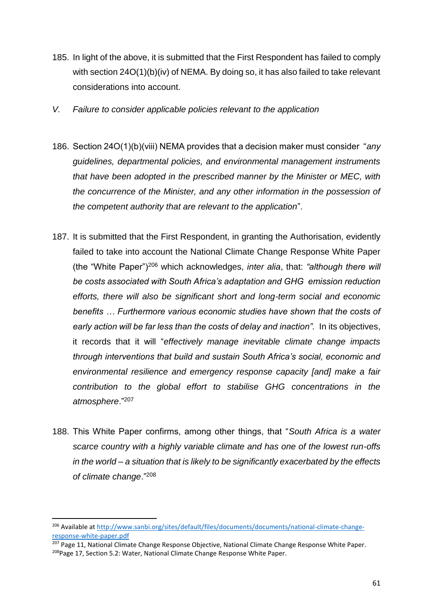- 185. In light of the above, it is submitted that the First Respondent has failed to comply with section 24O(1)(b)(iv) of NEMA. By doing so, it has also failed to take relevant considerations into account.
- *V. Failure to consider applicable policies relevant to the application*
- 186. Section 24O(1)(b)(viii) NEMA provides that a decision maker must consider "*any guidelines, departmental policies, and environmental management instruments that have been adopted in the prescribed manner by the Minister or MEC, with the concurrence of the Minister, and any other information in the possession of the competent authority that are relevant to the application*".
- 187. It is submitted that the First Respondent, in granting the Authorisation, evidently failed to take into account the National Climate Change Response White Paper (the "White Paper")<sup>206</sup> which acknowledges, *inter alia*, that: *"although there will be costs associated with South Africa's adaptation and GHG emission reduction efforts, there will also be significant short and long-term social and economic benefits … Furthermore various economic studies have shown that the costs of early action will be far less than the costs of delay and inaction".* In its objectives, it records that it will "*effectively manage inevitable climate change impacts through interventions that build and sustain South Africa's social, economic and environmental resilience and emergency response capacity [and] make a fair contribution to the global effort to stabilise GHG concentrations in the atmosphere*."<sup>207</sup>
- 188. This White Paper confirms, among other things, that "*South Africa is a water scarce country with a highly variable climate and has one of the lowest run-offs in the world – a situation that is likely to be significantly exacerbated by the effects of climate change*."<sup>208</sup>

<sup>206</sup> Available at [http://www.sanbi.org/sites/default/files/documents/documents/national-climate-change](http://www.sanbi.org/sites/default/files/documents/documents/national-climate-change-response-white-paper.pdf)[response-white-paper.pdf](http://www.sanbi.org/sites/default/files/documents/documents/national-climate-change-response-white-paper.pdf)

<sup>&</sup>lt;sup>207</sup> Page 11, National Climate Change Response Objective, National Climate Change Response White Paper. 208Page 17, Section 5.2: Water, National Climate Change Response White Paper.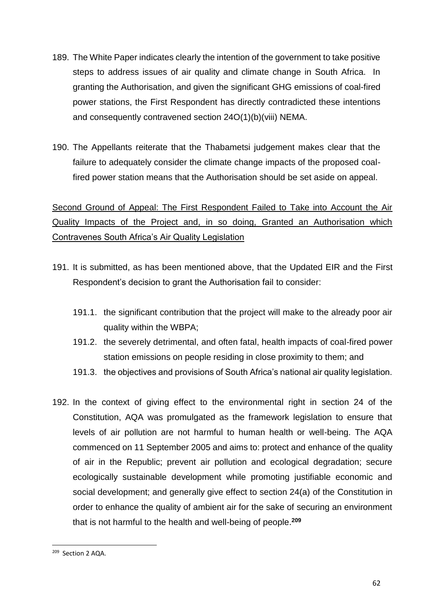- 189. The White Paper indicates clearly the intention of the government to take positive steps to address issues of air quality and climate change in South Africa. In granting the Authorisation, and given the significant GHG emissions of coal-fired power stations, the First Respondent has directly contradicted these intentions and consequently contravened section 24O(1)(b)(viii) NEMA.
- 190. The Appellants reiterate that the Thabametsi judgement makes clear that the failure to adequately consider the climate change impacts of the proposed coalfired power station means that the Authorisation should be set aside on appeal.

# Second Ground of Appeal: The First Respondent Failed to Take into Account the Air Quality Impacts of the Project and, in so doing, Granted an Authorisation which Contravenes South Africa's Air Quality Legislation

- 191. It is submitted, as has been mentioned above, that the Updated EIR and the First Respondent's decision to grant the Authorisation fail to consider:
	- 191.1. the significant contribution that the project will make to the already poor air quality within the WBPA;
	- 191.2. the severely detrimental, and often fatal, health impacts of coal-fired power station emissions on people residing in close proximity to them; and
	- 191.3. the objectives and provisions of South Africa's national air quality legislation.
- 192. In the context of giving effect to the environmental right in section 24 of the Constitution, AQA was promulgated as the framework legislation to ensure that levels of air pollution are not harmful to human health or well-being. The AQA commenced on 11 September 2005 and aims to: protect and enhance of the quality of air in the Republic; prevent air pollution and ecological degradation; secure ecologically sustainable development while promoting justifiable economic and social development; and generally give effect to section 24(a) of the Constitution in order to enhance the quality of ambient air for the sake of securing an environment that is not harmful to the health and well-being of people.**<sup>209</sup>**

**<sup>.</sup>** <sup>209</sup> Section 2 AQA.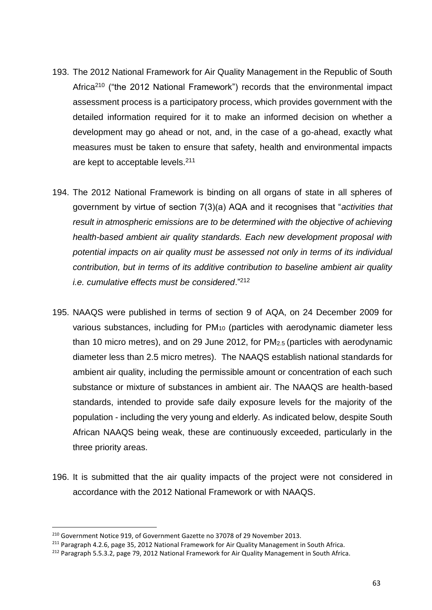- 193. The 2012 National Framework for Air Quality Management in the Republic of South Africa<sup>210</sup> ("the 2012 National Framework") records that the environmental impact assessment process is a participatory process, which provides government with the detailed information required for it to make an informed decision on whether a development may go ahead or not, and, in the case of a go-ahead, exactly what measures must be taken to ensure that safety, health and environmental impacts are kept to acceptable levels.<sup>211</sup>
- 194. The 2012 National Framework is binding on all organs of state in all spheres of government by virtue of section 7(3)(a) AQA and it recognises that "*activities that result in atmospheric emissions are to be determined with the objective of achieving health-based ambient air quality standards. Each new development proposal with potential impacts on air quality must be assessed not only in terms of its individual contribution, but in terms of its additive contribution to baseline ambient air quality i.e. cumulative effects must be considered*."<sup>212</sup>
- 195. NAAQS were published in terms of section 9 of AQA, on 24 December 2009 for various substances, including for PM<sup>10</sup> (particles with aerodynamic diameter less than 10 micro metres), and on 29 June 2012, for PM2.5 (particles with aerodynamic diameter less than 2.5 micro metres). The NAAQS establish national standards for ambient air quality, including the permissible amount or concentration of each such substance or mixture of substances in ambient air. The NAAQS are health-based standards, intended to provide safe daily exposure levels for the majority of the population - including the very young and elderly. As indicated below, despite South African NAAQS being weak, these are continuously exceeded, particularly in the three priority areas.
- 196. It is submitted that the air quality impacts of the project were not considered in accordance with the 2012 National Framework or with NAAQS.

<sup>210</sup> Government Notice 919, of Government Gazette no 37078 of 29 November 2013.

<sup>&</sup>lt;sup>211</sup> Paragraph 4.2.6, page 35, 2012 National Framework for Air Quality Management in South Africa.

<sup>&</sup>lt;sup>212</sup> Paragraph 5.5.3.2, page 79, 2012 National Framework for Air Quality Management in South Africa.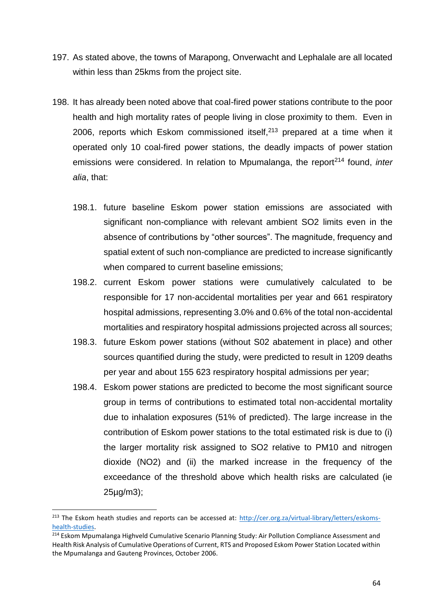- 197. As stated above, the towns of Marapong, Onverwacht and Lephalale are all located within less than 25kms from the project site.
- 198. It has already been noted above that coal-fired power stations contribute to the poor health and high mortality rates of people living in close proximity to them. Even in 2006, reports which Eskom commissioned itself, $213$  prepared at a time when it operated only 10 coal-fired power stations, the deadly impacts of power station emissions were considered. In relation to Mpumalanga, the report<sup>214</sup> found, *inter alia*, that:
	- 198.1. future baseline Eskom power station emissions are associated with significant non-compliance with relevant ambient SO2 limits even in the absence of contributions by "other sources". The magnitude, frequency and spatial extent of such non-compliance are predicted to increase significantly when compared to current baseline emissions;
	- 198.2. current Eskom power stations were cumulatively calculated to be responsible for 17 non-accidental mortalities per year and 661 respiratory hospital admissions, representing 3.0% and 0.6% of the total non-accidental mortalities and respiratory hospital admissions projected across all sources;
	- 198.3. future Eskom power stations (without S02 abatement in place) and other sources quantified during the study, were predicted to result in 1209 deaths per year and about 155 623 respiratory hospital admissions per year;
	- 198.4. Eskom power stations are predicted to become the most significant source group in terms of contributions to estimated total non-accidental mortality due to inhalation exposures (51% of predicted). The large increase in the contribution of Eskom power stations to the total estimated risk is due to (i) the larger mortality risk assigned to SO2 relative to PM10 and nitrogen dioxide (NO2) and (ii) the marked increase in the frequency of the exceedance of the threshold above which health risks are calculated (ie 25µg/m3);

 $\overline{a}$ 

<sup>&</sup>lt;sup>213</sup> The Eskom heath studies and reports can be accessed at: [http://cer.org.za/virtual-library/letters/eskoms](http://cer.org.za/virtual-library/letters/eskoms-health-studies)[health-studies.](http://cer.org.za/virtual-library/letters/eskoms-health-studies)

<sup>&</sup>lt;sup>214</sup> Eskom Mpumalanga Highveld Cumulative Scenario Planning Study: Air Pollution Compliance Assessment and Health Risk Analysis of Cumulative Operations of Current, RTS and Proposed Eskom Power Station Located within the Mpumalanga and Gauteng Provinces, October 2006.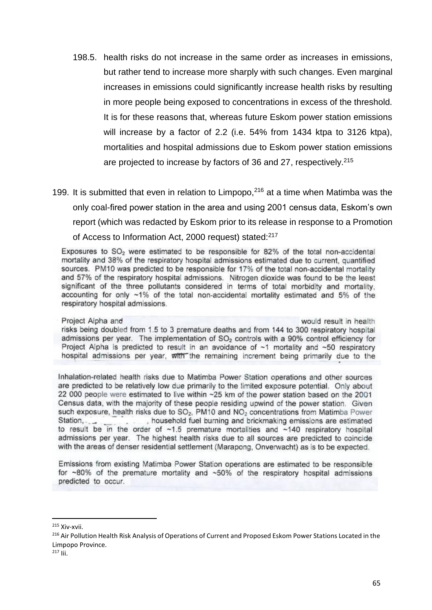- 198.5. health risks do not increase in the same order as increases in emissions, but rather tend to increase more sharply with such changes. Even marginal increases in emissions could significantly increase health risks by resulting in more people being exposed to concentrations in excess of the threshold. It is for these reasons that, whereas future Eskom power station emissions will increase by a factor of 2.2 (i.e. 54% from 1434 ktpa to 3126 ktpa), mortalities and hospital admissions due to Eskom power station emissions are projected to increase by factors of 36 and 27, respectively.<sup>215</sup>
- 199. It is submitted that even in relation to Limpopo,  $216$  at a time when Matimba was the only coal-fired power station in the area and using 2001 census data, Eskom's own report (which was redacted by Eskom prior to its release in response to a Promotion of Access to Information Act, 2000 request) stated:<sup>217</sup>

Exposures to SO<sub>2</sub> were estimated to be responsible for 82% of the total non-accidental mortality and 38% of the respiratory hospital admissions estimated due to current, quantified sources. PM10 was predicted to be responsible for 17% of the total non-accidental mortality and 57% of the respiratory hospital admissions. Nitrogen dioxide was found to be the least significant of the three pollutants considered in terms of total morbidity and mortality. accounting for only ~1% of the total non-accidental mortality estimated and 5% of the respiratory hospital admissions.

Project Alpha and would result in health risks being doubled from 1.5 to 3 premature deaths and from 144 to 300 respiratory hospital admissions per year. The implementation of SO<sub>2</sub> controls with a 90% control efficiency for Project Alpha is predicted to result in an avoidance of ~1 mortality and ~50 respiratory hospital admissions per year, with the remaining increment being primarily due to the

Inhalation-related health risks due to Matimba Power Station operations and other sources are predicted to be relatively low due primarily to the limited exposure potential. Only about 22 000 people were estimated to live within ~25 km of the power station based on the 2001 Census data, with the majority of these people residing upwind of the power station. Given such exposure, health risks due to SO<sub>2</sub>, PM10 and NO<sub>2</sub> concentrations from Matimba Power Station, , household fuel burning and brickmaking emissions are estimated to result be in the order of  $~1.5$  premature mortalities and  $~140$  respiratory hospital admissions per year. The highest health risks due to all sources are predicted to coincide with the areas of denser residential settlement (Marapong, Onverwacht) as is to be expected.

Emissions from existing Matimba Power Station operations are estimated to be responsible for ~80% of the premature mortality and ~50% of the respiratory hospital admissions predicted to occur.

<sup>215</sup> Xiv-xvii.

<sup>&</sup>lt;sup>216</sup> Air Pollution Health Risk Analysis of Operations of Current and Proposed Eskom Power Stations Located in the Limpopo Province.

<sup>217</sup> Iii.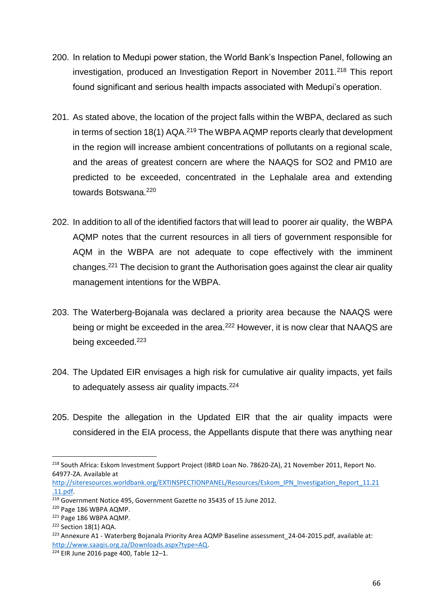- 200. In relation to Medupi power station, the World Bank's Inspection Panel, following an investigation, produced an Investigation Report in November 2011.<sup>218</sup> This report found significant and serious health impacts associated with Medupi's operation.
- 201. As stated above, the location of the project falls within the WBPA, declared as such in terms of section 18(1)  $AQA<sup>219</sup>$  The WBPA  $AQMP$  reports clearly that development in the region will increase ambient concentrations of pollutants on a regional scale, and the areas of greatest concern are where the NAAQS for SO2 and PM10 are predicted to be exceeded, concentrated in the Lephalale area and extending towards Botswana.<sup>220</sup>
- 202. In addition to all of the identified factors that will lead to poorer air quality, the WBPA AQMP notes that the current resources in all tiers of government responsible for AQM in the WBPA are not adequate to cope effectively with the imminent changes.<sup>221</sup> The decision to grant the Authorisation goes against the clear air quality management intentions for the WBPA.
- 203. The Waterberg-Bojanala was declared a priority area because the NAAQS were being or might be exceeded in the area.<sup>222</sup> However, it is now clear that NAAQS are being exceeded.<sup>223</sup>
- 204. The Updated EIR envisages a high risk for cumulative air quality impacts, yet fails to adequately assess air quality impacts.<sup>224</sup>
- 205. Despite the allegation in the Updated EIR that the air quality impacts were considered in the EIA process, the Appellants dispute that there was anything near

<sup>218</sup> South Africa: Eskom Investment Support Project (IBRD Loan No. 78620-ZA), 21 November 2011, Report No. 64977-ZA. Available at

[http://siteresources.worldbank.org/EXTINSPECTIONPANEL/Resources/Eskom\\_IPN\\_Investigation\\_Report\\_11.21](http://siteresources.worldbank.org/EXTINSPECTIONPANEL/Resources/Eskom_IPN_Investigation_Report_11.21.11.pdf) [.11.pdf.](http://siteresources.worldbank.org/EXTINSPECTIONPANEL/Resources/Eskom_IPN_Investigation_Report_11.21.11.pdf)

<sup>&</sup>lt;sup>219</sup> Government Notice 495, Government Gazette no 35435 of 15 June 2012.

<sup>220</sup> Page 186 WBPA AQMP.

<sup>221</sup> Page 186 WBPA AQMP.

<sup>&</sup>lt;sup>222</sup> Section 18(1) AQA.

<sup>&</sup>lt;sup>223</sup> Annexure A1 - Waterberg Bojanala Priority Area AQMP Baseline assessment 24-04-2015.pdf, available at: [http://www.saaqis.org.za/Downloads.aspx?type=AQ.](http://www.saaqis.org.za/Downloads.aspx?type=AQ)

 $224$  EIR June 2016 page 400. Table 12-1.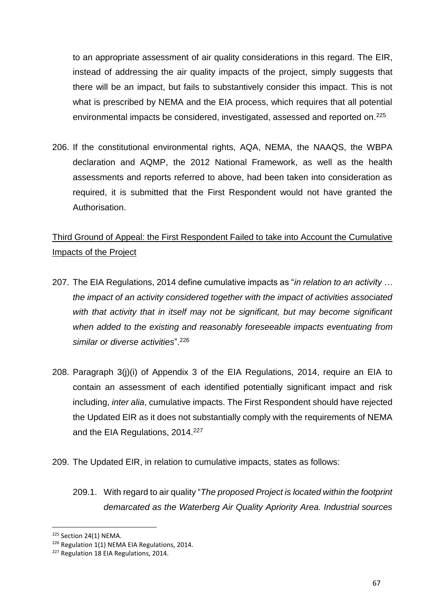to an appropriate assessment of air quality considerations in this regard. The EIR, instead of addressing the air quality impacts of the project, simply suggests that there will be an impact, but fails to substantively consider this impact. This is not what is prescribed by NEMA and the EIA process, which requires that all potential environmental impacts be considered, investigated, assessed and reported on.<sup>225</sup>

206. If the constitutional environmental rights, AQA, NEMA, the NAAQS, the WBPA declaration and AQMP, the 2012 National Framework, as well as the health assessments and reports referred to above, had been taken into consideration as required, it is submitted that the First Respondent would not have granted the Authorisation.

# Third Ground of Appeal: the First Respondent Failed to take into Account the Cumulative Impacts of the Project

- 207. The EIA Regulations, 2014 define cumulative impacts as "*in relation to an activity … the impact of an activity considered together with the impact of activities associated*  with that activity that in itself may not be significant, but may become significant *when added to the existing and reasonably foreseeable impacts eventuating from similar or diverse activities*".<sup>226</sup>
- 208. Paragraph 3(j)(i) of Appendix 3 of the EIA Regulations, 2014, require an EIA to contain an assessment of each identified potentially significant impact and risk including, *inter alia*, cumulative impacts. The First Respondent should have rejected the Updated EIR as it does not substantially comply with the requirements of NEMA and the EIA Regulations, 2014.<sup>227</sup>
- 209. The Updated EIR, in relation to cumulative impacts, states as follows:
	- 209.1. With regard to air quality "*The proposed Project is located within the footprint demarcated as the Waterberg Air Quality Apriority Area. Industrial sources*

<sup>225</sup> Section 24(1) NEMA.

<sup>&</sup>lt;sup>226</sup> Regulation 1(1) NEMA EIA Regulations, 2014.

<sup>&</sup>lt;sup>227</sup> Regulation 18 EIA Regulations, 2014.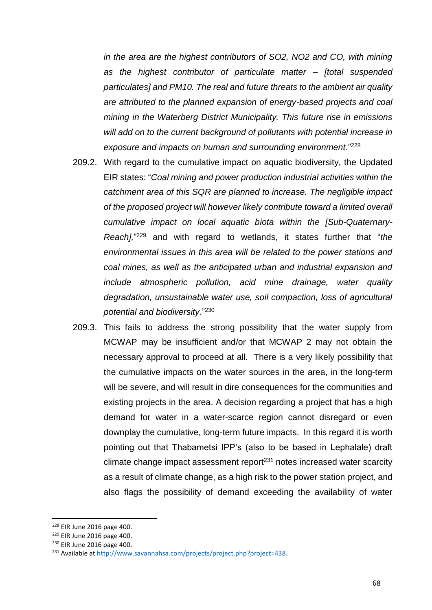*in the area are the highest contributors of SO2, NO2 and CO, with mining as the highest contributor of particulate matter – [total suspended particulates] and PM10. The real and future threats to the ambient air quality are attributed to the planned expansion of energy-based projects and coal mining in the Waterberg District Municipality. This future rise in emissions will add on to the current background of pollutants with potential increase in exposure and impacts on human and surrounding environment.*" 228

- 209.2. With regard to the cumulative impact on aquatic biodiversity, the Updated EIR states: "*Coal mining and power production industrial activities within the catchment area of this SQR are planned to increase. The negligible impact of the proposed project will however likely contribute toward a limited overall cumulative impact on local aquatic biota within the [Sub-Quaternary-Reach],*" <sup>229</sup> and with regard to wetlands, it states further that "*the environmental issues in this area will be related to the power stations and coal mines, as well as the anticipated urban and industrial expansion and include atmospheric pollution, acid mine drainage, water quality degradation, unsustainable water use, soil compaction, loss of agricultural potential and biodiversity.*" 230
- 209.3. This fails to address the strong possibility that the water supply from MCWAP may be insufficient and/or that MCWAP 2 may not obtain the necessary approval to proceed at all. There is a very likely possibility that the cumulative impacts on the water sources in the area, in the long-term will be severe, and will result in dire consequences for the communities and existing projects in the area. A decision regarding a project that has a high demand for water in a water-scarce region cannot disregard or even downplay the cumulative, long-term future impacts. In this regard it is worth pointing out that Thabametsi IPP's (also to be based in Lephalale) draft climate change impact assessment report $231$  notes increased water scarcity as a result of climate change, as a high risk to the power station project, and also flags the possibility of demand exceeding the availability of water

<sup>228</sup> EIR June 2016 page 400.

<sup>229</sup> EIR June 2016 page 400.

<sup>230</sup> EIR June 2016 page 400.

<sup>&</sup>lt;sup>231</sup> Available at http://www.savannahsa.com/projects/project.php?project=438.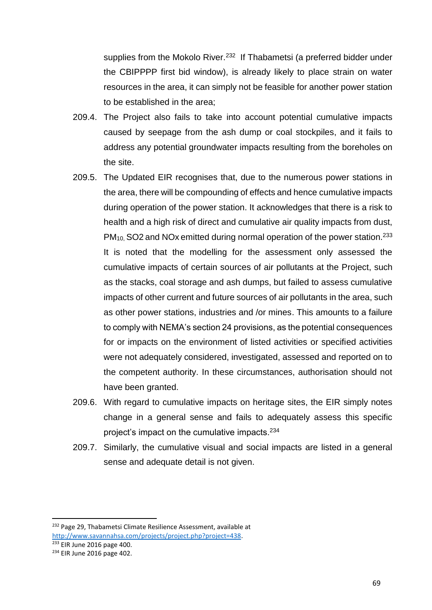supplies from the Mokolo River.<sup>232</sup> If Thabametsi (a preferred bidder under the CBIPPPP first bid window), is already likely to place strain on water resources in the area, it can simply not be feasible for another power station to be established in the area;

- 209.4. The Project also fails to take into account potential cumulative impacts caused by seepage from the ash dump or coal stockpiles, and it fails to address any potential groundwater impacts resulting from the boreholes on the site.
- 209.5. The Updated EIR recognises that, due to the numerous power stations in the area, there will be compounding of effects and hence cumulative impacts during operation of the power station. It acknowledges that there is a risk to health and a high risk of direct and cumulative air quality impacts from dust, PM<sub>10</sub>, SO2 and NOx emitted during normal operation of the power station.<sup>233</sup> It is noted that the modelling for the assessment only assessed the cumulative impacts of certain sources of air pollutants at the Project, such as the stacks, coal storage and ash dumps, but failed to assess cumulative impacts of other current and future sources of air pollutants in the area, such as other power stations, industries and /or mines. This amounts to a failure to comply with NEMA's section 24 provisions, as the potential consequences for or impacts on the environment of listed activities or specified activities were not adequately considered, investigated, assessed and reported on to the competent authority. In these circumstances, authorisation should not have been granted.
- 209.6. With regard to cumulative impacts on heritage sites, the EIR simply notes change in a general sense and fails to adequately assess this specific project's impact on the cumulative impacts.<sup>234</sup>
- 209.7. Similarly, the cumulative visual and social impacts are listed in a general sense and adequate detail is not given.

<sup>&</sup>lt;sup>232</sup> Page 29, Thabametsi Climate Resilience Assessment, available at [http://www.savannahsa.com/projects/project.php?project=438.](http://www.savannahsa.com/projects/project.php?project=438) 

<sup>&</sup>lt;sup>233</sup> EIR June 2016 page 400.

<sup>234</sup> EIR June 2016 page 402.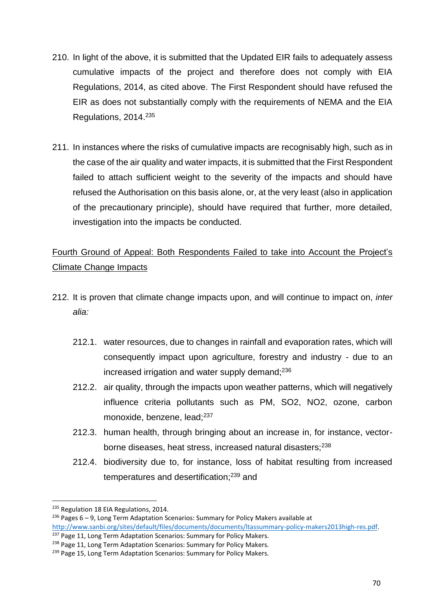- 210. In light of the above, it is submitted that the Updated EIR fails to adequately assess cumulative impacts of the project and therefore does not comply with EIA Regulations, 2014, as cited above. The First Respondent should have refused the EIR as does not substantially comply with the requirements of NEMA and the EIA Regulations, 2014.<sup>235</sup>
- 211. In instances where the risks of cumulative impacts are recognisably high, such as in the case of the air quality and water impacts, it is submitted that the First Respondent failed to attach sufficient weight to the severity of the impacts and should have refused the Authorisation on this basis alone, or, at the very least (also in application of the precautionary principle), should have required that further, more detailed, investigation into the impacts be conducted.

### Fourth Ground of Appeal: Both Respondents Failed to take into Account the Project's Climate Change Impacts

- 212. It is proven that climate change impacts upon, and will continue to impact on, *inter alia:*
	- 212.1. water resources, due to changes in rainfall and evaporation rates, which will consequently impact upon agriculture, forestry and industry - due to an increased irrigation and water supply demand; $236$
	- 212.2. air quality, through the impacts upon weather patterns, which will negatively influence criteria pollutants such as PM, SO2, NO2, ozone, carbon monoxide, benzene, lead;<sup>237</sup>
	- 212.3. human health, through bringing about an increase in, for instance, vectorborne diseases, heat stress, increased natural disasters;<sup>238</sup>
	- 212.4. biodiversity due to, for instance, loss of habitat resulting from increased temperatures and desertification;<sup>239</sup> and

<sup>&</sup>lt;sup>235</sup> Regulation 18 EIA Regulations, 2014.

<sup>&</sup>lt;sup>236</sup> Pages  $6 - 9$ , Long Term Adaptation Scenarios: Summary for Policy Makers available at [http://www.sanbi.org/sites/default/files/documents/documents/ltassummary-policy-makers2013high-res.pdf.](http://www.sanbi.org/sites/default/files/documents/documents/ltassummary-policy-makers2013high-res.pdf)

<sup>&</sup>lt;sup>237</sup> Page 11, Long Term Adaptation Scenarios: Summary for Policy Makers.

<sup>&</sup>lt;sup>238</sup> Page 11, Long Term Adaptation Scenarios: Summary for Policy Makers.

<sup>&</sup>lt;sup>239</sup> Page 15, Long Term Adaptation Scenarios: Summary for Policy Makers.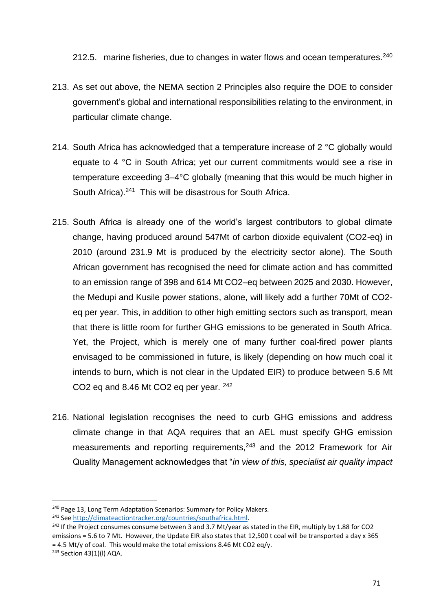212.5. marine fisheries, due to changes in water flows and ocean temperatures.<sup>240</sup>

- 213. As set out above, the NEMA section 2 Principles also require the DOE to consider government's global and international responsibilities relating to the environment, in particular climate change.
- 214. South Africa has acknowledged that a temperature increase of 2 °C globally would equate to 4 °C in South Africa; yet our current commitments would see a rise in temperature exceeding 3–4°C globally (meaning that this would be much higher in South Africa).<sup>241</sup> This will be disastrous for South Africa.
- 215. South Africa is already one of the world's largest contributors to global climate change, having produced around 547Mt of carbon dioxide equivalent (CO2-eq) in 2010 (around 231.9 Mt is produced by the electricity sector alone). The South African government has recognised the need for climate action and has committed to an emission range of 398 and 614 Mt CO2–eq between 2025 and 2030. However, the Medupi and Kusile power stations, alone, will likely add a further 70Mt of CO2 eq per year. This, in addition to other high emitting sectors such as transport, mean that there is little room for further GHG emissions to be generated in South Africa. Yet, the Project, which is merely one of many further coal-fired power plants envisaged to be commissioned in future, is likely (depending on how much coal it intends to burn, which is not clear in the Updated EIR) to produce between 5.6 Mt CO2 eq and 8.46 Mt CO2 eq per year. <sup>242</sup>
- 216. National legislation recognises the need to curb GHG emissions and address climate change in that AQA requires that an AEL must specify GHG emission measurements and reporting requirements,<sup>243</sup> and the 2012 Framework for Air Quality Management acknowledges that "*in view of this, specialist air quality impact*

<sup>&</sup>lt;sup>240</sup> Page 13, Long Term Adaptation Scenarios: Summary for Policy Makers.

<sup>241</sup> See [http://climateactiontracker.org/countries/southafrica.html.](http://climateactiontracker.org/countries/southafrica.html) 

<sup>&</sup>lt;sup>242</sup> If the Project consumes consume between 3 and 3.7 Mt/year as stated in the EIR, multiply by 1.88 for CO2 emissions = 5.6 to 7 Mt. However, the Update EIR also states that 12,500 t coal will be transported a day x 365  $= 4.5$  Mt/y of coal. This would make the total emissions 8.46 Mt CO2 eq/y.

<sup>243</sup> Section 43(1)(l) AQA.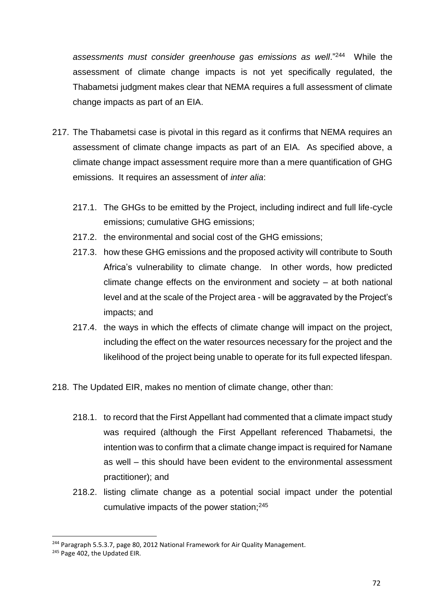assessments must consider greenhouse gas emissions as well."<sup>244</sup> While the assessment of climate change impacts is not yet specifically regulated, the Thabametsi judgment makes clear that NEMA requires a full assessment of climate change impacts as part of an EIA.

- 217. The Thabametsi case is pivotal in this regard as it confirms that NEMA requires an assessment of climate change impacts as part of an EIA. As specified above, a climate change impact assessment require more than a mere quantification of GHG emissions. It requires an assessment of *inter alia*:
	- 217.1. The GHGs to be emitted by the Project, including indirect and full life-cycle emissions; cumulative GHG emissions;
	- 217.2. the environmental and social cost of the GHG emissions;
	- 217.3. how these GHG emissions and the proposed activity will contribute to South Africa's vulnerability to climate change. In other words, how predicted climate change effects on the environment and society – at both national level and at the scale of the Project area - will be aggravated by the Project's impacts; and
	- 217.4. the ways in which the effects of climate change will impact on the project, including the effect on the water resources necessary for the project and the likelihood of the project being unable to operate for its full expected lifespan.

218. The Updated EIR, makes no mention of climate change, other than:

- 218.1. to record that the First Appellant had commented that a climate impact study was required (although the First Appellant referenced Thabametsi, the intention was to confirm that a climate change impact is required for Namane as well – this should have been evident to the environmental assessment practitioner); and
- 218.2. listing climate change as a potential social impact under the potential cumulative impacts of the power station;<sup>245</sup>

<sup>&</sup>lt;sup>244</sup> Paragraph 5.5.3.7, page 80, 2012 National Framework for Air Quality Management.

<sup>&</sup>lt;sup>245</sup> Page 402, the Updated EIR.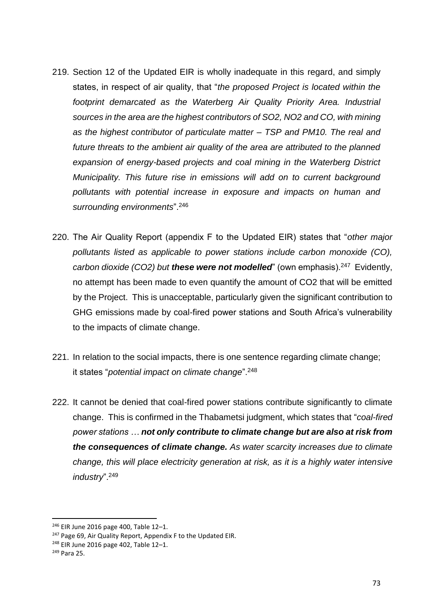- 219. Section 12 of the Updated EIR is wholly inadequate in this regard, and simply states, in respect of air quality, that "*the proposed Project is located within the footprint demarcated as the Waterberg Air Quality Priority Area. Industrial sources in the area are the highest contributors of SO2, NO2 and CO, with mining as the highest contributor of particulate matter – TSP and PM10. The real and future threats to the ambient air quality of the area are attributed to the planned expansion of energy-based projects and coal mining in the Waterberg District Municipality. This future rise in emissions will add on to current background pollutants with potential increase in exposure and impacts on human and surrounding environments*".<sup>246</sup>
- 220. The Air Quality Report (appendix F to the Updated EIR) states that "*other major pollutants listed as applicable to power stations include carbon monoxide (CO),*  carbon dioxide (CO2) but **these were not modelled**" (own emphasis).<sup>247</sup> Evidently, no attempt has been made to even quantify the amount of CO2 that will be emitted by the Project. This is unacceptable, particularly given the significant contribution to GHG emissions made by coal-fired power stations and South Africa's vulnerability to the impacts of climate change.
- 221. In relation to the social impacts, there is one sentence regarding climate change; it states "*potential impact on climate change*".<sup>248</sup>
- 222. It cannot be denied that coal-fired power stations contribute significantly to climate change. This is confirmed in the Thabametsi judgment, which states that "*coal-fired power stations … not only contribute to climate change but are also at risk from the consequences of climate change. As water scarcity increases due to climate change, this will place electricity generation at risk, as it is a highly water intensive industry*".<sup>249</sup>

<sup>246</sup> EIR June 2016 page 400, Table 12–1.

<sup>&</sup>lt;sup>247</sup> Page 69, Air Quality Report, Appendix F to the Updated EIR.

<sup>248</sup> EIR June 2016 page 402, Table 12–1.

<sup>249</sup> Para 25.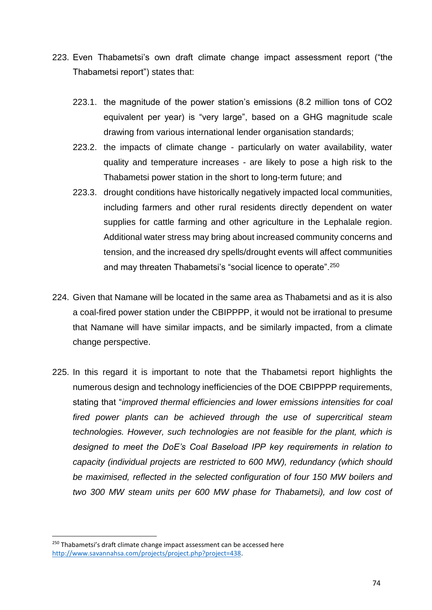- 223. Even Thabametsi's own draft climate change impact assessment report ("the Thabametsi report") states that:
	- 223.1. the magnitude of the power station's emissions (8.2 million tons of CO2 equivalent per year) is "very large", based on a GHG magnitude scale drawing from various international lender organisation standards;
	- 223.2. the impacts of climate change particularly on water availability, water quality and temperature increases - are likely to pose a high risk to the Thabametsi power station in the short to long-term future; and
	- 223.3. drought conditions have historically negatively impacted local communities, including farmers and other rural residents directly dependent on water supplies for cattle farming and other agriculture in the Lephalale region. Additional water stress may bring about increased community concerns and tension, and the increased dry spells/drought events will affect communities and may threaten Thabametsi's "social licence to operate".<sup>250</sup>
- 224. Given that Namane will be located in the same area as Thabametsi and as it is also a coal-fired power station under the CBIPPPP, it would not be irrational to presume that Namane will have similar impacts, and be similarly impacted, from a climate change perspective.
- 225. In this regard it is important to note that the Thabametsi report highlights the numerous design and technology inefficiencies of the DOE CBIPPPP requirements, stating that "*improved thermal efficiencies and lower emissions intensities for coal fired power plants can be achieved through the use of supercritical steam technologies. However, such technologies are not feasible for the plant, which is designed to meet the DoE's Coal Baseload IPP key requirements in relation to capacity (individual projects are restricted to 600 MW), redundancy (which should be maximised, reflected in the selected configuration of four 150 MW boilers and two 300 MW steam units per 600 MW phase for Thabametsi), and low cost of*

<sup>&</sup>lt;sup>250</sup> Thabametsi's draft climate change impact assessment can be accessed here [http://www.savannahsa.com/projects/project.php?project=438.](http://www.savannahsa.com/projects/project.php?project=438)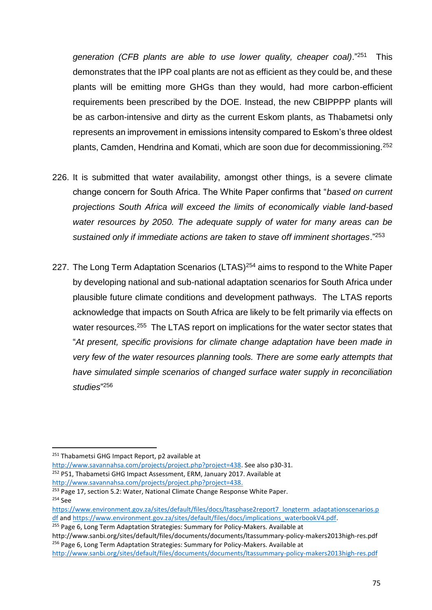*generation (CFB plants are able to use lower quality, cheaper coal)*."<sup>251</sup> This demonstrates that the IPP coal plants are not as efficient as they could be, and these plants will be emitting more GHGs than they would, had more carbon-efficient requirements been prescribed by the DOE. Instead, the new CBIPPPP plants will be as carbon-intensive and dirty as the current Eskom plants, as Thabametsi only represents an improvement in emissions intensity compared to Eskom's three oldest plants, Camden, Hendrina and Komati, which are soon due for decommissioning.<sup>252</sup>

- 226. It is submitted that water availability, amongst other things, is a severe climate change concern for South Africa. The White Paper confirms that "*based on current projections South Africa will exceed the limits of economically viable land-based water resources by 2050. The adequate supply of water for many areas can be sustained only if immediate actions are taken to stave off imminent shortages*."<sup>253</sup>
- 227. The Long Term Adaptation Scenarios (LTAS)<sup>254</sup> aims to respond to the White Paper by developing national and sub-national adaptation scenarios for South Africa under plausible future climate conditions and development pathways. The LTAS reports acknowledge that impacts on South Africa are likely to be felt primarily via effects on water resources.<sup>255</sup> The LTAS report on implications for the water sector states that "*At present, specific provisions for climate change adaptation have been made in very few of the water resources planning tools. There are some early attempts that have simulated simple scenarios of changed surface water supply in reconciliation studies*" 256

 $\overline{a}$ 

- [http://www.savannahsa.com/projects/project.php?project=438.](http://www.savannahsa.com/projects/project.php?project=438)
- <sup>253</sup> Page 17, section 5.2: Water, National Climate Change Response White Paper. <sup>254</sup> See

<sup>255</sup> Page 6, Long Term Adaptation Strategies: Summary for Policy-Makers. Available at

<sup>&</sup>lt;sup>251</sup> Thabametsi GHG Impact Report, p2 available at

[http://www.savannahsa.com/projects/project.php?project=438.](http://www.savannahsa.com/projects/project.php?project=438) See also p30-31.  $252$  P51, Thabametsi GHG Impact Assessment, ERM, January 2017. Available at

[https://www.environment.gov.za/sites/default/files/docs/ltasphase2report7\\_longterm\\_adaptationscenarios.p](https://www.environment.gov.za/sites/default/files/docs/ltasphase2report7_longterm_adaptationscenarios.pdf) [df](https://www.environment.gov.za/sites/default/files/docs/ltasphase2report7_longterm_adaptationscenarios.pdf) and [https://www.environment.gov.za/sites/default/files/docs/implications\\_waterbookV4.pdf.](https://www.environment.gov.za/sites/default/files/docs/implications_waterbookV4.pdf)

http://www.sanbi.org/sites/default/files/documents/documents/ltassummary-policy-makers2013high-res.pdf <sup>256</sup> Page 6, Long Term Adaptation Strategies: Summary for Policy-Makers. Available at

<http://www.sanbi.org/sites/default/files/documents/documents/ltassummary-policy-makers2013high-res.pdf>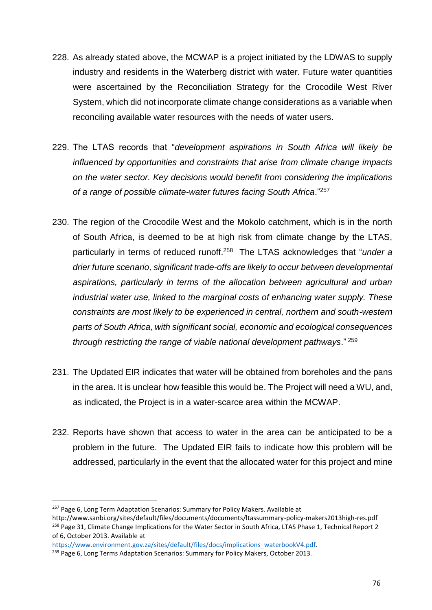- 228. As already stated above, the MCWAP is a project initiated by the LDWAS to supply industry and residents in the Waterberg district with water. Future water quantities were ascertained by the Reconciliation Strategy for the Crocodile West River System, which did not incorporate climate change considerations as a variable when reconciling available water resources with the needs of water users.
- 229. The LTAS records that "*development aspirations in South Africa will likely be influenced by opportunities and constraints that arise from climate change impacts on the water sector. Key decisions would benefit from considering the implications of a range of possible climate-water futures facing South Africa*."<sup>257</sup>
- 230. The region of the Crocodile West and the Mokolo catchment, which is in the north of South Africa, is deemed to be at high risk from climate change by the LTAS, particularly in terms of reduced runoff.<sup>258</sup> The LTAS acknowledges that "*under a drier future scenario, significant trade-offs are likely to occur between developmental aspirations, particularly in terms of the allocation between agricultural and urban industrial water use, linked to the marginal costs of enhancing water supply. These constraints are most likely to be experienced in central, northern and south-western parts of South Africa, with significant social, economic and ecological consequences through restricting the range of viable national development pathways*." <sup>259</sup>
- 231. The Updated EIR indicates that water will be obtained from boreholes and the pans in the area. It is unclear how feasible this would be. The Project will need a WU, and, as indicated, the Project is in a water-scarce area within the MCWAP.
- 232. Reports have shown that access to water in the area can be anticipated to be a problem in the future. The Updated EIR fails to indicate how this problem will be addressed, particularly in the event that the allocated water for this project and mine

<sup>&</sup>lt;sup>257</sup> Page 6, Long Term Adaptation Scenarios: Summary for Policy Makers. Available at

http://www.sanbi.org/sites/default/files/documents/documents/ltassummary-policy-makers2013high-res.pdf <sup>258</sup> Page 31, Climate Change Implications for the Water Sector in South Africa, LTAS Phase 1, Technical Report 2 of 6, October 2013. Available at

[https://www.environment.gov.za/sites/default/files/docs/implications\\_waterbookV4.pdf.](https://www.environment.gov.za/sites/default/files/docs/implications_waterbookV4.pdf) 

<sup>&</sup>lt;sup>259</sup> Page 6, Long Terms Adaptation Scenarios: Summary for Policy Makers, October 2013.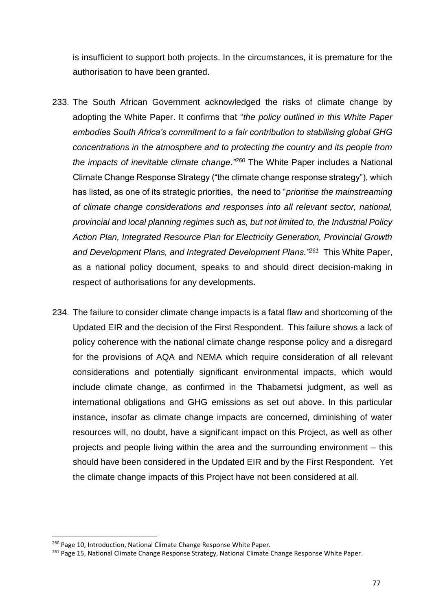is insufficient to support both projects. In the circumstances, it is premature for the authorisation to have been granted.

- 233. The South African Government acknowledged the risks of climate change by adopting the White Paper. It confirms that "*the policy outlined in this White Paper embodies South Africa's commitment to a fair contribution to stabilising global GHG concentrations in the atmosphere and to protecting the country and its people from the impacts of inevitable climate change."<sup>260</sup>* The White Paper includes a National Climate Change Response Strategy ("the climate change response strategy"), which has listed, as one of its strategic priorities, the need to "*prioritise the mainstreaming of climate change considerations and responses into all relevant sector, national, provincial and local planning regimes such as, but not limited to, the Industrial Policy Action Plan, Integrated Resource Plan for Electricity Generation, Provincial Growth and Development Plans, and Integrated Development Plans."<sup>261</sup>* This White Paper, as a national policy document, speaks to and should direct decision-making in respect of authorisations for any developments.
- 234. The failure to consider climate change impacts is a fatal flaw and shortcoming of the Updated EIR and the decision of the First Respondent. This failure shows a lack of policy coherence with the national climate change response policy and a disregard for the provisions of AQA and NEMA which require consideration of all relevant considerations and potentially significant environmental impacts, which would include climate change, as confirmed in the Thabametsi judgment, as well as international obligations and GHG emissions as set out above. In this particular instance, insofar as climate change impacts are concerned, diminishing of water resources will, no doubt, have a significant impact on this Project, as well as other projects and people living within the area and the surrounding environment – this should have been considered in the Updated EIR and by the First Respondent. Yet the climate change impacts of this Project have not been considered at all.

<sup>&</sup>lt;sup>260</sup> Page 10, Introduction, National Climate Change Response White Paper.

<sup>&</sup>lt;sup>261</sup> Page 15, National Climate Change Response Strategy, National Climate Change Response White Paper.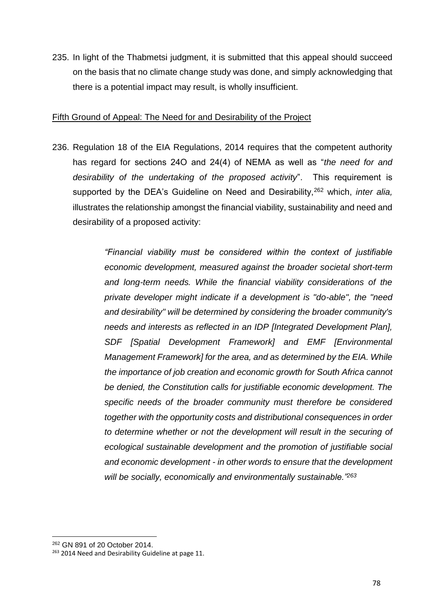235. In light of the Thabmetsi judgment, it is submitted that this appeal should succeed on the basis that no climate change study was done, and simply acknowledging that there is a potential impact may result, is wholly insufficient.

## Fifth Ground of Appeal: The Need for and Desirability of the Project

236. Regulation 18 of the EIA Regulations, 2014 requires that the competent authority has regard for sections 24O and 24(4) of NEMA as well as "*the need for and desirability of the undertaking of the proposed activity*". This requirement is supported by the DEA's Guideline on Need and Desirability,<sup>262</sup> which, *inter alia,* illustrates the relationship amongst the financial viability, sustainability and need and desirability of a proposed activity:

> *"Financial viability must be considered within the context of justifiable economic development, measured against the broader societal short-term and long-term needs. While the financial viability considerations of the private developer might indicate if a development is "do-able", the "need and desirability" will be determined by considering the broader community's needs and interests as reflected in an IDP [Integrated Development Plan], SDF [Spatial Development Framework] and EMF [Environmental Management Framework] for the area, and as determined by the EIA. While the importance of job creation and economic growth for South Africa cannot be denied, the Constitution calls for justifiable economic development. The specific needs of the broader community must therefore be considered together with the opportunity costs and distributional consequences in order to determine whether or not the development will result in the securing of ecological sustainable development and the promotion of justifiable social and economic development - in other words to ensure that the development will be socially, economically and environmentally sustainable."<sup>263</sup>*

<sup>262</sup> GN 891 of 20 October 2014.

<sup>&</sup>lt;sup>263</sup> 2014 Need and Desirability Guideline at page 11.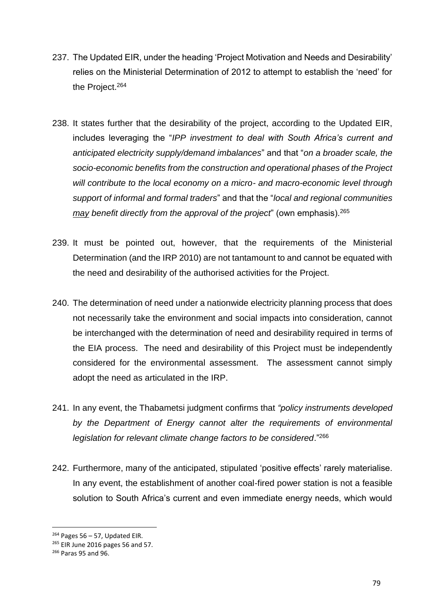- 237. The Updated EIR, under the heading 'Project Motivation and Needs and Desirability' relies on the Ministerial Determination of 2012 to attempt to establish the 'need' for the Project.<sup>264</sup>
- 238. It states further that the desirability of the project, according to the Updated EIR, includes leveraging the "*IPP investment to deal with South Africa's current and anticipated electricity supply/demand imbalances*" and that "*on a broader scale, the socio-economic benefits from the construction and operational phases of the Project will contribute to the local economy on a micro- and macro-economic level through support of informal and formal traders*" and that the "*local and regional communities may benefit directly from the approval of the project*" (own emphasis).<sup>265</sup>
- 239. It must be pointed out, however, that the requirements of the Ministerial Determination (and the IRP 2010) are not tantamount to and cannot be equated with the need and desirability of the authorised activities for the Project.
- 240. The determination of need under a nationwide electricity planning process that does not necessarily take the environment and social impacts into consideration, cannot be interchanged with the determination of need and desirability required in terms of the EIA process. The need and desirability of this Project must be independently considered for the environmental assessment. The assessment cannot simply adopt the need as articulated in the IRP.
- 241. In any event, the Thabametsi judgment confirms that *"policy instruments developed by the Department of Energy cannot alter the requirements of environmental legislation for relevant climate change factors to be considered*."<sup>266</sup>
- 242. Furthermore, many of the anticipated, stipulated 'positive effects' rarely materialise. In any event, the establishment of another coal-fired power station is not a feasible solution to South Africa's current and even immediate energy needs, which would

 $264$  Pages 56 – 57, Updated EIR.

<sup>265</sup> EIR June 2016 pages 56 and 57.

<sup>266</sup> Paras 95 and 96.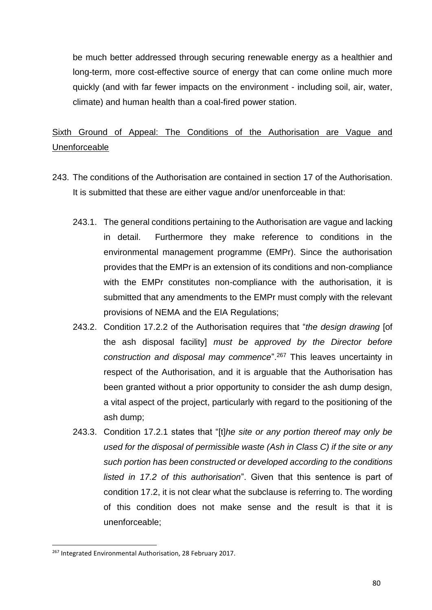be much better addressed through securing renewable energy as a healthier and long-term, more cost-effective source of energy that can come online much more quickly (and with far fewer impacts on the environment - including soil, air, water, climate) and human health than a coal-fired power station.

# Sixth Ground of Appeal: The Conditions of the Authorisation are Vague and Unenforceable

- 243. The conditions of the Authorisation are contained in section 17 of the Authorisation. It is submitted that these are either vague and/or unenforceable in that:
	- 243.1. The general conditions pertaining to the Authorisation are vague and lacking in detail. Furthermore they make reference to conditions in the environmental management programme (EMPr). Since the authorisation provides that the EMPr is an extension of its conditions and non-compliance with the EMPr constitutes non-compliance with the authorisation, it is submitted that any amendments to the EMPr must comply with the relevant provisions of NEMA and the EIA Regulations;
	- 243.2. Condition 17.2.2 of the Authorisation requires that "*the design drawing* [of the ash disposal facility] *must be approved by the Director before construction and disposal may commence*".<sup>267</sup> This leaves uncertainty in respect of the Authorisation, and it is arguable that the Authorisation has been granted without a prior opportunity to consider the ash dump design, a vital aspect of the project, particularly with regard to the positioning of the ash dump;
	- 243.3. Condition 17.2.1 states that "[t]*he site or any portion thereof may only be used for the disposal of permissible waste (Ash in Class C) if the site or any such portion has been constructed or developed according to the conditions listed in 17.2 of this authorisation*". Given that this sentence is part of condition 17.2, it is not clear what the subclause is referring to. The wording of this condition does not make sense and the result is that it is unenforceable;

<sup>267</sup> Integrated Environmental Authorisation, 28 February 2017.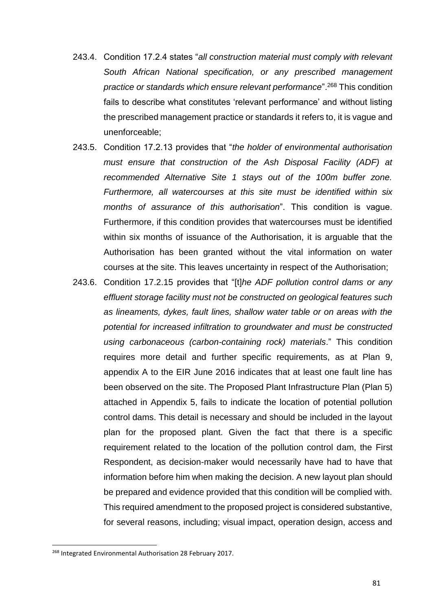- 243.4. Condition 17.2.4 states "*all construction material must comply with relevant South African National specification, or any prescribed management practice or standards which ensure relevant performance*".<sup>268</sup> This condition fails to describe what constitutes 'relevant performance' and without listing the prescribed management practice or standards it refers to, it is vague and unenforceable;
- 243.5. Condition 17.2.13 provides that "*the holder of environmental authorisation must ensure that construction of the Ash Disposal Facility (ADF) at recommended Alternative Site 1 stays out of the 100m buffer zone. Furthermore, all watercourses at this site must be identified within six months of assurance of this authorisation*". This condition is vague. Furthermore, if this condition provides that watercourses must be identified within six months of issuance of the Authorisation, it is arguable that the Authorisation has been granted without the vital information on water courses at the site. This leaves uncertainty in respect of the Authorisation;
- 243.6. Condition 17.2.15 provides that "[t]*he ADF pollution control dams or any effluent storage facility must not be constructed on geological features such as lineaments, dykes, fault lines, shallow water table or on areas with the potential for increased infiltration to groundwater and must be constructed using carbonaceous (carbon-containing rock) materials*." This condition requires more detail and further specific requirements, as at Plan 9, appendix A to the EIR June 2016 indicates that at least one fault line has been observed on the site. The Proposed Plant Infrastructure Plan (Plan 5) attached in Appendix 5, fails to indicate the location of potential pollution control dams. This detail is necessary and should be included in the layout plan for the proposed plant. Given the fact that there is a specific requirement related to the location of the pollution control dam, the First Respondent, as decision-maker would necessarily have had to have that information before him when making the decision. A new layout plan should be prepared and evidence provided that this condition will be complied with. This required amendment to the proposed project is considered substantive, for several reasons, including; visual impact, operation design, access and

<sup>268</sup> Integrated Environmental Authorisation 28 February 2017.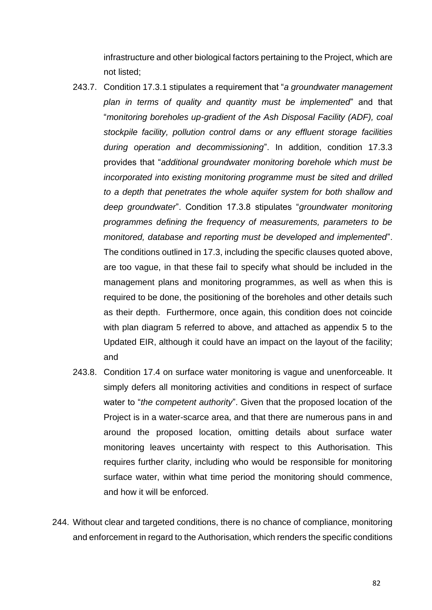infrastructure and other biological factors pertaining to the Project, which are not listed;

- 243.7. Condition 17.3.1 stipulates a requirement that "*a groundwater management plan in terms of quality and quantity must be implemented*" and that "*monitoring boreholes up-gradient of the Ash Disposal Facility (ADF), coal stockpile facility, pollution control dams or any effluent storage facilities during operation and decommissioning*". In addition, condition 17.3.3 provides that "*additional groundwater monitoring borehole which must be incorporated into existing monitoring programme must be sited and drilled to a depth that penetrates the whole aquifer system for both shallow and deep groundwater*". Condition 17.3.8 stipulates "*groundwater monitoring programmes defining the frequency of measurements, parameters to be monitored, database and reporting must be developed and implemented*". The conditions outlined in 17.3, including the specific clauses quoted above, are too vague, in that these fail to specify what should be included in the management plans and monitoring programmes, as well as when this is required to be done, the positioning of the boreholes and other details such as their depth. Furthermore, once again, this condition does not coincide with plan diagram 5 referred to above, and attached as appendix 5 to the Updated EIR, although it could have an impact on the layout of the facility; and
- 243.8. Condition 17.4 on surface water monitoring is vague and unenforceable. It simply defers all monitoring activities and conditions in respect of surface water to "*the competent authority*". Given that the proposed location of the Project is in a water-scarce area, and that there are numerous pans in and around the proposed location, omitting details about surface water monitoring leaves uncertainty with respect to this Authorisation. This requires further clarity, including who would be responsible for monitoring surface water, within what time period the monitoring should commence, and how it will be enforced.
- 244. Without clear and targeted conditions, there is no chance of compliance, monitoring and enforcement in regard to the Authorisation, which renders the specific conditions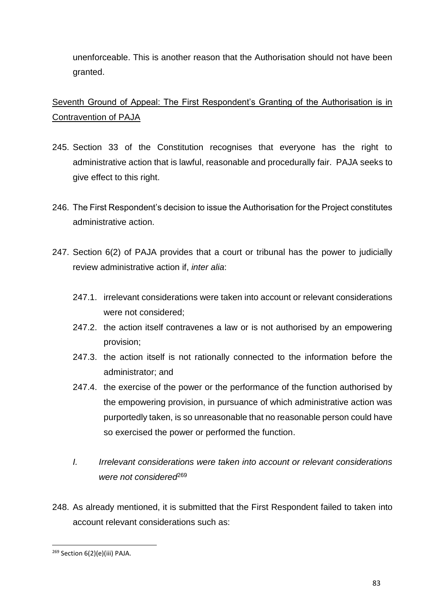unenforceable. This is another reason that the Authorisation should not have been granted.

Seventh Ground of Appeal: The First Respondent's Granting of the Authorisation is in Contravention of PAJA

- 245. Section 33 of the Constitution recognises that everyone has the right to administrative action that is lawful, reasonable and procedurally fair. PAJA seeks to give effect to this right.
- 246. The First Respondent's decision to issue the Authorisation for the Project constitutes administrative action.
- 247. Section 6(2) of PAJA provides that a court or tribunal has the power to judicially review administrative action if, *inter alia*:
	- 247.1. irrelevant considerations were taken into account or relevant considerations were not considered;
	- 247.2. the action itself contravenes a law or is not authorised by an empowering provision;
	- 247.3. the action itself is not rationally connected to the information before the administrator; and
	- 247.4. the exercise of the power or the performance of the function authorised by the empowering provision, in pursuance of which administrative action was purportedly taken, is so unreasonable that no reasonable person could have so exercised the power or performed the function.
	- *I. Irrelevant considerations were taken into account or relevant considerations were not considered*<sup>269</sup>
- 248. As already mentioned, it is submitted that the First Respondent failed to taken into account relevant considerations such as:

**<sup>.</sup>** <sup>269</sup> Section 6(2)(e)(iii) PAJA.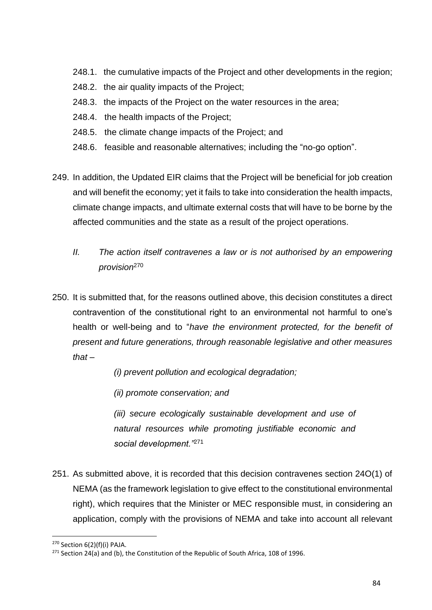- 248.1. the cumulative impacts of the Project and other developments in the region;
- 248.2. the air quality impacts of the Project;
- 248.3. the impacts of the Project on the water resources in the area;
- 248.4. the health impacts of the Project;
- 248.5. the climate change impacts of the Project; and
- 248.6. feasible and reasonable alternatives; including the "no-go option".
- 249. In addition, the Updated EIR claims that the Project will be beneficial for job creation and will benefit the economy; yet it fails to take into consideration the health impacts, climate change impacts, and ultimate external costs that will have to be borne by the affected communities and the state as a result of the project operations.
	- *II. The action itself contravenes a law or is not authorised by an empowering provision*<sup>270</sup>
- 250. It is submitted that, for the reasons outlined above, this decision constitutes a direct contravention of the constitutional right to an environmental not harmful to one's health or well-being and to "*have the environment protected, for the benefit of present and future generations, through reasonable legislative and other measures that –*

*(i) prevent pollution and ecological degradation;* 

*(ii) promote conservation; and*

*(iii) secure ecologically sustainable development and use of natural resources while promoting justifiable economic and social development."*<sup>271</sup>

251. As submitted above, it is recorded that this decision contravenes section 24O(1) of NEMA (as the framework legislation to give effect to the constitutional environmental right), which requires that the Minister or MEC responsible must, in considering an application, comply with the provisions of NEMA and take into account all relevant

**<sup>.</sup>** <sup>270</sup> Section 6(2)(f)(i) PAJA.

 $271$  Section 24(a) and (b), the Constitution of the Republic of South Africa, 108 of 1996.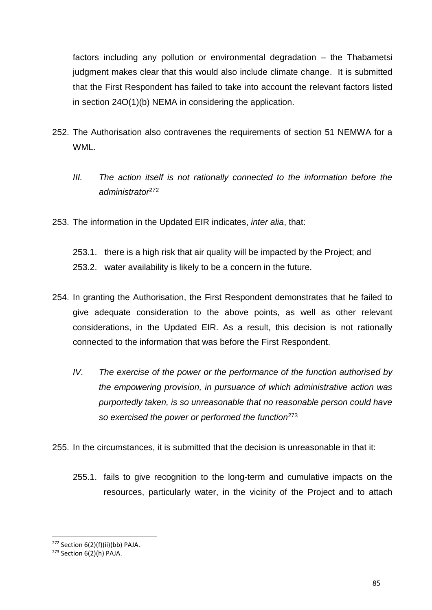factors including any pollution or environmental degradation – the Thabametsi judgment makes clear that this would also include climate change. It is submitted that the First Respondent has failed to take into account the relevant factors listed in section 24O(1)(b) NEMA in considering the application.

- 252. The Authorisation also contravenes the requirements of section 51 NEMWA for a WML.
	- *III. The action itself is not rationally connected to the information before the administrator*<sup>272</sup>
- 253. The information in the Updated EIR indicates, *inter alia*, that:
	- 253.1. there is a high risk that air quality will be impacted by the Project; and 253.2. water availability is likely to be a concern in the future.
- 254. In granting the Authorisation, the First Respondent demonstrates that he failed to give adequate consideration to the above points, as well as other relevant considerations, in the Updated EIR. As a result, this decision is not rationally connected to the information that was before the First Respondent.
	- *IV. The exercise of the power or the performance of the function authorised by the empowering provision, in pursuance of which administrative action was purportedly taken, is so unreasonable that no reasonable person could have so exercised the power or performed the function*<sup>273</sup>
- 255. In the circumstances, it is submitted that the decision is unreasonable in that it:
	- 255.1. fails to give recognition to the long-term and cumulative impacts on the resources, particularly water, in the vicinity of the Project and to attach

 $272$  Section 6(2)(f)(ii)(bb) PAJA.

<sup>273</sup> Section 6(2)(h) PAJA.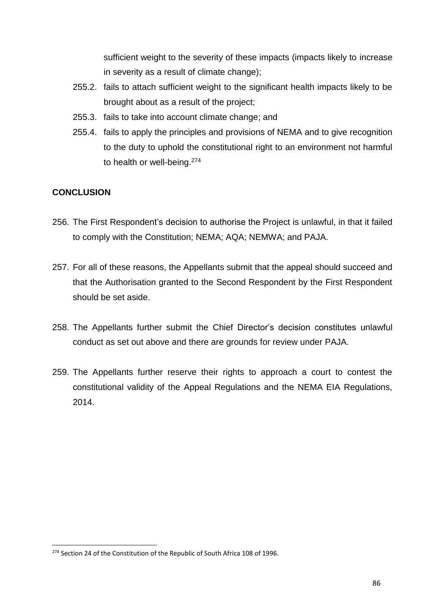sufficient weight to the severity of these impacts (impacts likely to increase in severity as a result of climate change);

- 255.2. fails to attach sufficient weight to the significant health impacts likely to be brought about as a result of the project;
- 255.3. fails to take into account climate change; and
- 255.4. fails to apply the principles and provisions of NEMA and to give recognition to the duty to uphold the constitutional right to an environment not harmful to health or well-being.<sup>274</sup>

# **CONCLUSION**

- 256. The First Respondent's decision to authorise the Project is unlawful, in that it failed to comply with the Constitution; NEMA; AQA; NEMWA; and PAJA.
- 257. For all of these reasons, the Appellants submit that the appeal should succeed and that the Authorisation granted to the Second Respondent by the First Respondent should be set aside.
- 258. The Appellants further submit the Chief Director's decision constitutes unlawful conduct as set out above and there are grounds for review under PAJA.
- 259. The Appellants further reserve their rights to approach a court to contest the constitutional validity of the Appeal Regulations and the NEMA EIA Regulations, 2014.

<sup>&</sup>lt;sup>274</sup> Section 24 of the Constitution of the Republic of South Africa 108 of 1996.